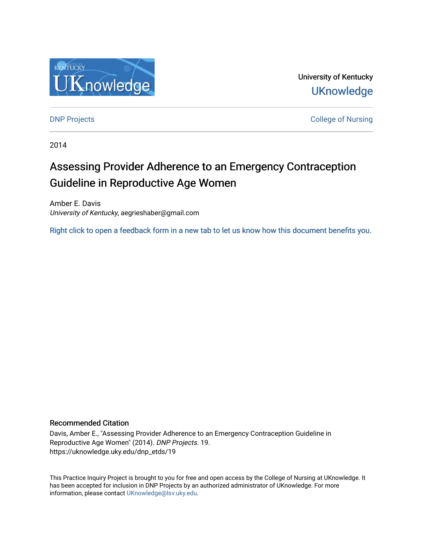

University of Kentucky **UKnowledge** 

**DNP Projects** College of Nursing

2014

# Assessing Provider Adherence to an Emergency Contraception Guideline in Reproductive Age Women

Amber E. Davis University of Kentucky, aegrieshaber@gmail.com

[Right click to open a feedback form in a new tab to let us know how this document benefits you.](https://uky.az1.qualtrics.com/jfe/form/SV_9mq8fx2GnONRfz7)

## Recommended Citation

Davis, Amber E., "Assessing Provider Adherence to an Emergency Contraception Guideline in Reproductive Age Women" (2014). DNP Projects. 19. https://uknowledge.uky.edu/dnp\_etds/19

This Practice Inquiry Project is brought to you for free and open access by the College of Nursing at UKnowledge. It has been accepted for inclusion in DNP Projects by an authorized administrator of UKnowledge. For more information, please contact [UKnowledge@lsv.uky.edu](mailto:UKnowledge@lsv.uky.edu).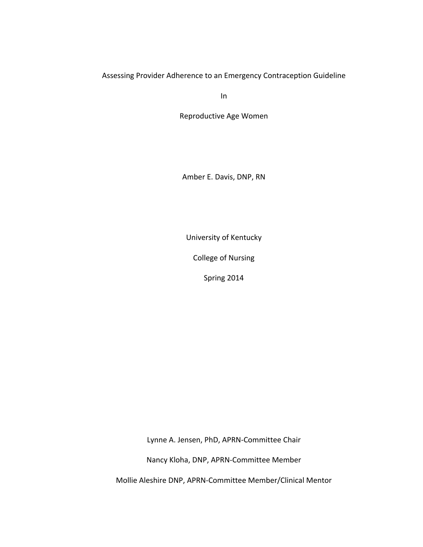Assessing Provider Adherence to an Emergency Contraception Guideline

 $\ln$ 

Reproductive Age Women

Amber E. Davis, DNP, RN

University of Kentucky

College of Nursing

Spring 2014

Lynne A. Jensen, PhD, APRN-Committee Chair

Nancy Kloha, DNP, APRN-Committee Member

Mollie Aleshire DNP, APRN-Committee Member/Clinical Mentor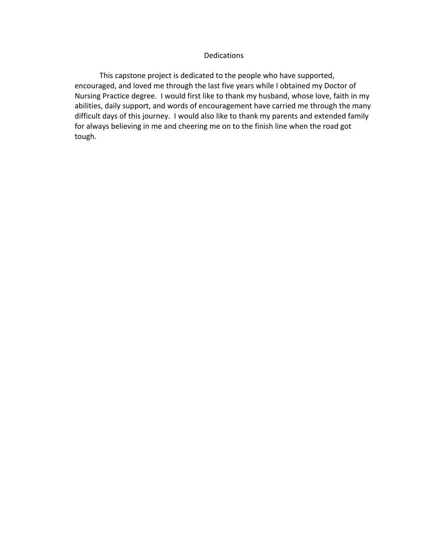# Dedications

This capstone project is dedicated to the people who have supported, encouraged, and loved me through the last five years while I obtained my Doctor of Nursing Practice degree. I would first like to thank my husband, whose love, faith in my abilities, daily support, and words of encouragement have carried me through the many difficult days of this journey. I would also like to thank my parents and extended family for always believing in me and cheering me on to the finish line when the road got tough.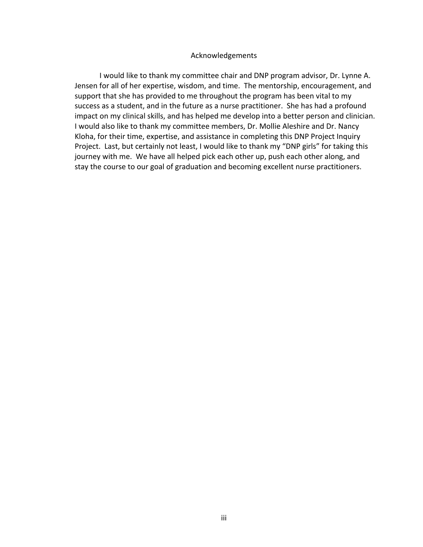#### Acknowledgements

I would like to thank my committee chair and DNP program advisor, Dr. Lynne A. Jensen for all of her expertise, wisdom, and time. The mentorship, encouragement, and support that she has provided to me throughout the program has been vital to my success as a student, and in the future as a nurse practitioner. She has had a profound impact on my clinical skills, and has helped me develop into a better person and clinician. I would also like to thank my committee members, Dr. Mollie Aleshire and Dr. Nancy Kloha, for their time, expertise, and assistance in completing this DNP Project Inquiry Project. Last, but certainly not least, I would like to thank my "DNP girls" for taking this journey with me. We have all helped pick each other up, push each other along, and stay the course to our goal of graduation and becoming excellent nurse practitioners.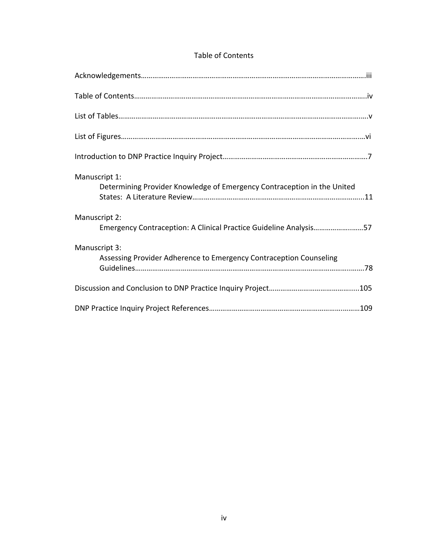| Manuscript 1:<br>Determining Provider Knowledge of Emergency Contraception in the United |
|------------------------------------------------------------------------------------------|
| Manuscript 2:<br>Emergency Contraception: A Clinical Practice Guideline Analysis57       |
| Manuscript 3:<br>Assessing Provider Adherence to Emergency Contraception Counseling      |
|                                                                                          |
|                                                                                          |

# Table of Contents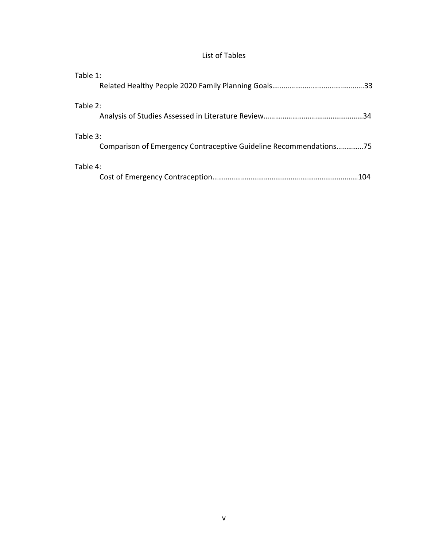| Table 1:                                                          |
|-------------------------------------------------------------------|
|                                                                   |
|                                                                   |
| Table 2:                                                          |
|                                                                   |
|                                                                   |
| Table 3:                                                          |
| Comparison of Emergency Contraceptive Guideline Recommendations75 |
|                                                                   |
| Table 4:                                                          |
|                                                                   |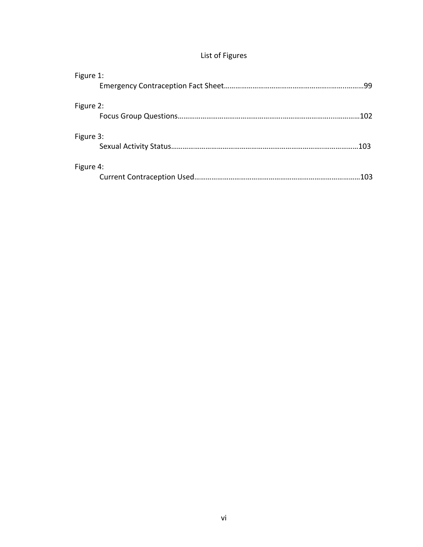| Figure 1: |     |
|-----------|-----|
|           | 99  |
|           |     |
| Figure 2: |     |
|           | 102 |
|           |     |
| Figure 3: |     |
|           | 103 |
|           |     |
| Figure 4: |     |
|           | 103 |
|           |     |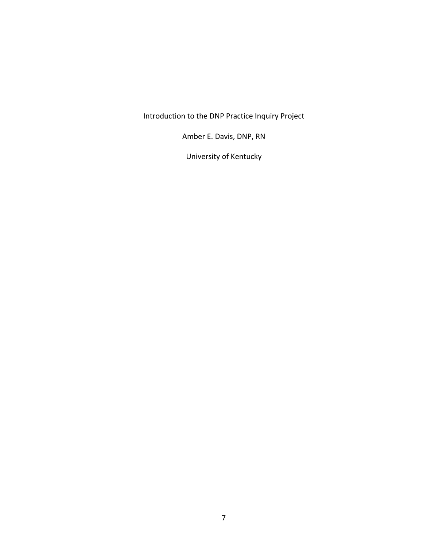Introduction to the DNP Practice Inquiry Project

Amber E. Davis, DNP, RN

University of Kentucky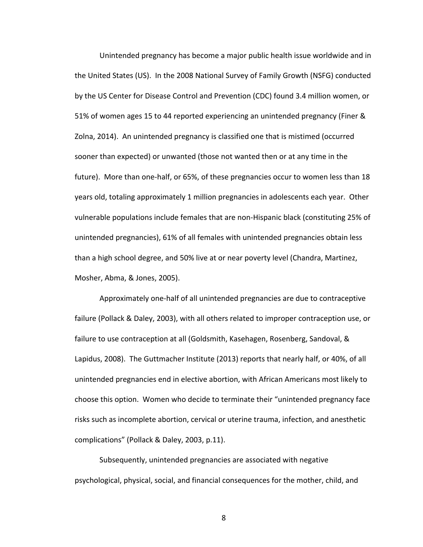Unintended pregnancy has become a major public health issue worldwide and in the United States (US). In the 2008 National Survey of Family Growth (NSFG) conducted by the US Center for Disease Control and Prevention (CDC) found 3.4 million women, or 51% of women ages 15 to 44 reported experiencing an unintended pregnancy (Finer & Zolna, 2014). An unintended pregnancy is classified one that is mistimed (occurred sooner than expected) or unwanted (those not wanted then or at any time in the future). More than one-half, or 65%, of these pregnancies occur to women less than 18 years old, totaling approximately 1 million pregnancies in adolescents each year. Other vulnerable populations include females that are non-Hispanic black (constituting 25% of unintended pregnancies), 61% of all females with unintended pregnancies obtain less than a high school degree, and 50% live at or near poverty level (Chandra, Martinez, Mosher, Abma, & Jones, 2005).

Approximately one-half of all unintended pregnancies are due to contraceptive failure (Pollack & Daley, 2003), with all others related to improper contraception use, or failure to use contraception at all (Goldsmith, Kasehagen, Rosenberg, Sandoval, & Lapidus, 2008). The Guttmacher Institute (2013) reports that nearly half, or 40%, of all unintended pregnancies end in elective abortion, with African Americans most likely to choose this option. Women who decide to terminate their "unintended pregnancy face risks such as incomplete abortion, cervical or uterine trauma, infection, and anesthetic complications" (Pollack & Daley, 2003, p.11).

Subsequently, unintended pregnancies are associated with negative psychological, physical, social, and financial consequences for the mother, child, and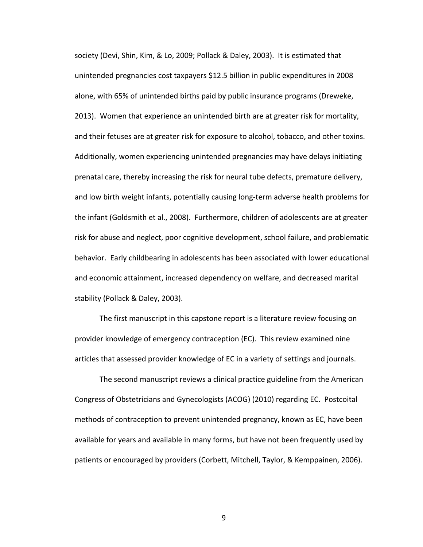society (Devi, Shin, Kim, & Lo, 2009; Pollack & Daley, 2003). It is estimated that unintended pregnancies cost taxpayers \$12.5 billion in public expenditures in 2008 alone, with 65% of unintended births paid by public insurance programs (Dreweke, 2013). Women that experience an unintended birth are at greater risk for mortality, and their fetuses are at greater risk for exposure to alcohol, tobacco, and other toxins. Additionally, women experiencing unintended pregnancies may have delays initiating prenatal care, thereby increasing the risk for neural tube defects, premature delivery, and low birth weight infants, potentially causing long-term adverse health problems for the infant (Goldsmith et al., 2008). Furthermore, children of adolescents are at greater risk for abuse and neglect, poor cognitive development, school failure, and problematic behavior. Early childbearing in adolescents has been associated with lower educational and economic attainment, increased dependency on welfare, and decreased marital stability (Pollack & Daley, 2003).

The first manuscript in this capstone report is a literature review focusing on provider knowledge of emergency contraception (EC). This review examined nine articles that assessed provider knowledge of EC in a variety of settings and journals.

The second manuscript reviews a clinical practice guideline from the American Congress of Obstetricians and Gynecologists (ACOG) (2010) regarding EC. Postcoital methods of contraception to prevent unintended pregnancy, known as EC, have been available for years and available in many forms, but have not been frequently used by patients or encouraged by providers (Corbett, Mitchell, Taylor, & Kemppainen, 2006).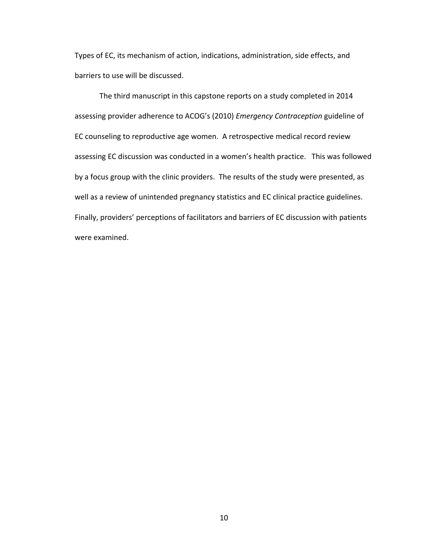Types of EC, its mechanism of action, indications, administration, side effects, and barriers to use will be discussed.

The third manuscript in this capstone reports on a study completed in 2014 assessing provider adherence to ACOG's (2010) Emergency Contraception guideline of EC counseling to reproductive age women. A retrospective medical record review assessing EC discussion was conducted in a women's health practice. This was followed by a focus group with the clinic providers. The results of the study were presented, as well as a review of unintended pregnancy statistics and EC clinical practice guidelines. Finally, providers' perceptions of facilitators and barriers of EC discussion with patients were examined.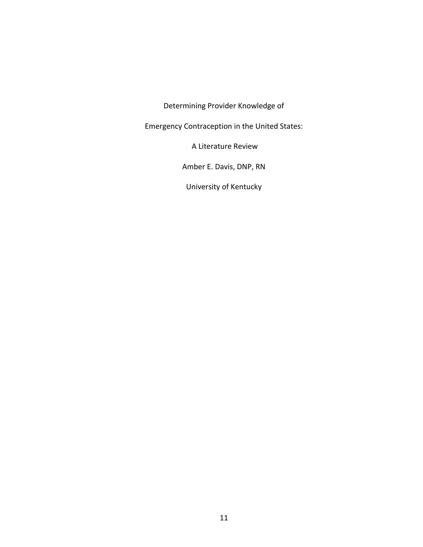Determining Provider Knowledge of

Emergency Contraception in the United States:

A Literature Review

Amber E. Davis, DNP, RN

University of Kentucky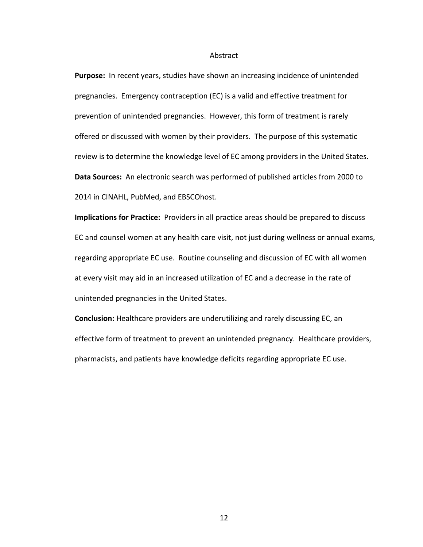#### Abstract

Purpose: In recent years, studies have shown an increasing incidence of unintended pregnancies. Emergency contraception (EC) is a valid and effective treatment for prevention of unintended pregnancies. However, this form of treatment is rarely offered or discussed with women by their providers. The purpose of this systematic review is to determine the knowledge level of EC among providers in the United States. Data Sources: An electronic search was performed of published articles from 2000 to 2014 in CINAHL, PubMed, and EBSCOhost.

Implications for Practice: Providers in all practice areas should be prepared to discuss EC and counsel women at any health care visit, not just during wellness or annual exams, regarding appropriate EC use. Routine counseling and discussion of EC with all women at every visit may aid in an increased utilization of EC and a decrease in the rate of unintended pregnancies in the United States.

Conclusion: Healthcare providers are underutilizing and rarely discussing EC, an effective form of treatment to prevent an unintended pregnancy. Healthcare providers, pharmacists, and patients have knowledge deficits regarding appropriate EC use.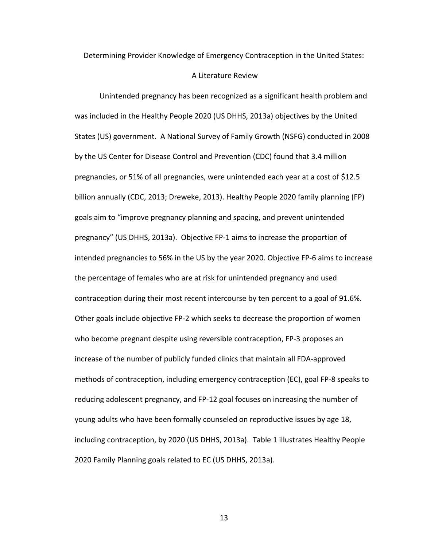Determining Provider Knowledge of Emergency Contraception in the United States:

#### A Literature Review

Unintended pregnancy has been recognized as a significant health problem and was included in the Healthy People 2020 (US DHHS, 2013a) objectives by the United States (US) government. A National Survey of Family Growth (NSFG) conducted in 2008 by the US Center for Disease Control and Prevention (CDC) found that 3.4 million pregnancies, or 51% of all pregnancies, were unintended each year at a cost of \$12.5 billion annually (CDC, 2013; Dreweke, 2013). Healthy People 2020 family planning (FP) goals aim to "improve pregnancy planning and spacing, and prevent unintended pregnancy" (US DHHS, 2013a). Objective FP-1 aims to increase the proportion of intended pregnancies to 56% in the US by the year 2020. Objective FP-6 aims to increase the percentage of females who are at risk for unintended pregnancy and used contraception during their most recent intercourse by ten percent to a goal of 91.6%. Other goals include objective FP-2 which seeks to decrease the proportion of women who become pregnant despite using reversible contraception, FP-3 proposes an increase of the number of publicly funded clinics that maintain all FDA-approved methods of contraception, including emergency contraception (EC), goal FP-8 speaks to reducing adolescent pregnancy, and FP-12 goal focuses on increasing the number of young adults who have been formally counseled on reproductive issues by age 18, including contraception, by 2020 (US DHHS, 2013a). Table 1 illustrates Healthy People 2020 Family Planning goals related to EC (US DHHS, 2013a).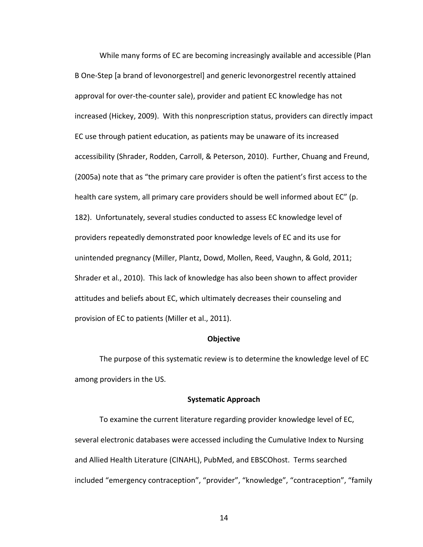While many forms of EC are becoming increasingly available and accessible (Plan B One-Step [a brand of levonorgestrel] and generic levonorgestrel recently attained approval for over-the-counter sale), provider and patient EC knowledge has not increased (Hickey, 2009). With this nonprescription status, providers can directly impact EC use through patient education, as patients may be unaware of its increased accessibility (Shrader, Rodden, Carroll, & Peterson, 2010). Further, Chuang and Freund, (2005a) note that as "the primary care provider is often the patient's first access to the health care system, all primary care providers should be well informed about EC" (p. 182). Unfortunately, several studies conducted to assess EC knowledge level of providers repeatedly demonstrated poor knowledge levels of EC and its use for unintended pregnancy (Miller, Plantz, Dowd, Mollen, Reed, Vaughn, & Gold, 2011; Shrader et al., 2010). This lack of knowledge has also been shown to affect provider attitudes and beliefs about EC, which ultimately decreases their counseling and provision of EC to patients (Miller et al., 2011).

#### **Objective**

The purpose of this systematic review is to determine the knowledge level of EC among providers in the US.

#### **Systematic Approach**

To examine the current literature regarding provider knowledge level of EC, several electronic databases were accessed including the Cumulative Index to Nursing and Allied Health Literature (CINAHL), PubMed, and EBSCOhost. Terms searched included "emergency contraception", "provider", "knowledge", "contraception", "family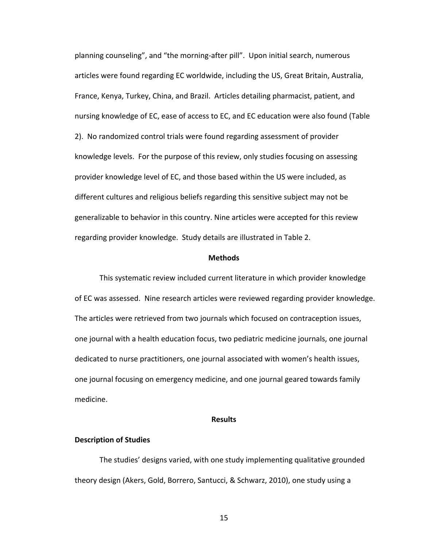planning counseling", and "the morning-after pill". Upon initial search, numerous articles were found regarding EC worldwide, including the US, Great Britain, Australia, France, Kenya, Turkey, China, and Brazil. Articles detailing pharmacist, patient, and nursing knowledge of EC, ease of access to EC, and EC education were also found (Table 2). No randomized control trials were found regarding assessment of provider knowledge levels. For the purpose of this review, only studies focusing on assessing provider knowledge level of EC, and those based within the US were included, as different cultures and religious beliefs regarding this sensitive subject may not be generalizable to behavior in this country. Nine articles were accepted for this review regarding provider knowledge. Study details are illustrated in Table 2.

#### **Methods**

This systematic review included current literature in which provider knowledge of EC was assessed. Nine research articles were reviewed regarding provider knowledge. The articles were retrieved from two journals which focused on contraception issues, one journal with a health education focus, two pediatric medicine journals, one journal dedicated to nurse practitioners, one journal associated with women's health issues, one journal focusing on emergency medicine, and one journal geared towards family medicine.

#### **Results**

#### **Description of Studies**

The studies' designs varied, with one study implementing qualitative grounded theory design (Akers, Gold, Borrero, Santucci, & Schwarz, 2010), one study using a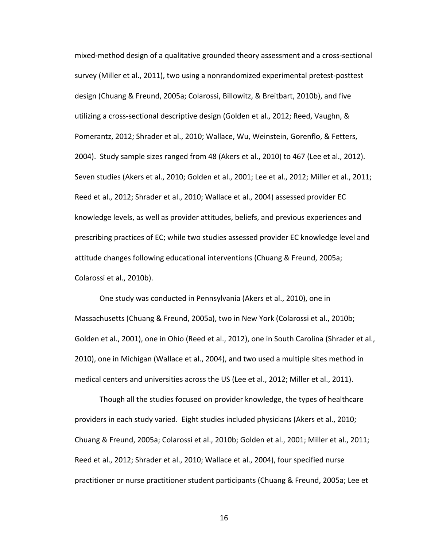mixed-method design of a qualitative grounded theory assessment and a cross-sectional survey (Miller et al., 2011), two using a nonrandomized experimental pretest-posttest design (Chuang & Freund, 2005a; Colarossi, Billowitz, & Breitbart, 2010b), and five utilizing a cross-sectional descriptive design (Golden et al., 2012; Reed, Vaughn, & Pomerantz, 2012; Shrader et al., 2010; Wallace, Wu, Weinstein, Gorenflo, & Fetters, 2004). Study sample sizes ranged from 48 (Akers et al., 2010) to 467 (Lee et al., 2012). Seven studies (Akers et al., 2010; Golden et al., 2001; Lee et al., 2012; Miller et al., 2011; Reed et al., 2012; Shrader et al., 2010; Wallace et al., 2004) assessed provider EC knowledge levels, as well as provider attitudes, beliefs, and previous experiences and prescribing practices of EC; while two studies assessed provider EC knowledge level and attitude changes following educational interventions (Chuang & Freund, 2005a; Colarossi et al., 2010b).

One study was conducted in Pennsylvania (Akers et al., 2010), one in Massachusetts (Chuang & Freund, 2005a), two in New York (Colarossi et al., 2010b; Golden et al., 2001), one in Ohio (Reed et al., 2012), one in South Carolina (Shrader et al., 2010), one in Michigan (Wallace et al., 2004), and two used a multiple sites method in medical centers and universities across the US (Lee et al., 2012; Miller et al., 2011).

Though all the studies focused on provider knowledge, the types of healthcare providers in each study varied. Eight studies included physicians (Akers et al., 2010; Chuang & Freund, 2005a; Colarossi et al., 2010b; Golden et al., 2001; Miller et al., 2011; Reed et al., 2012; Shrader et al., 2010; Wallace et al., 2004), four specified nurse practitioner or nurse practitioner student participants (Chuang & Freund, 2005a; Lee et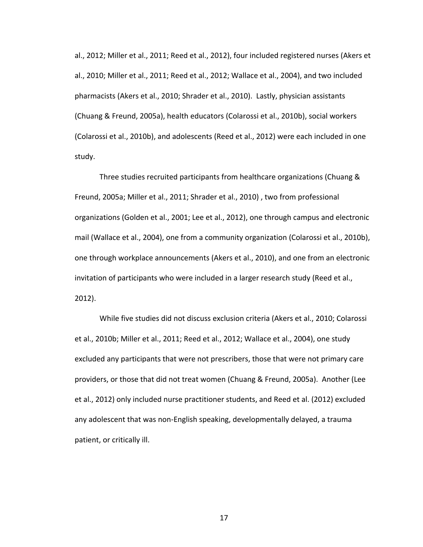al., 2012; Miller et al., 2011; Reed et al., 2012), four included registered nurses (Akers et al., 2010; Miller et al., 2011; Reed et al., 2012; Wallace et al., 2004), and two included pharmacists (Akers et al., 2010; Shrader et al., 2010). Lastly, physician assistants (Chuang & Freund, 2005a), health educators (Colarossi et al., 2010b), social workers (Colarossi et al., 2010b), and adolescents (Reed et al., 2012) were each included in one study.

Three studies recruited participants from healthcare organizations (Chuang & Freund, 2005a; Miller et al., 2011; Shrader et al., 2010), two from professional organizations (Golden et al., 2001; Lee et al., 2012), one through campus and electronic mail (Wallace et al., 2004), one from a community organization (Colarossi et al., 2010b), one through workplace announcements (Akers et al., 2010), and one from an electronic invitation of participants who were included in a larger research study (Reed et al.,  $2012$ ).

While five studies did not discuss exclusion criteria (Akers et al., 2010; Colarossi et al., 2010b; Miller et al., 2011; Reed et al., 2012; Wallace et al., 2004), one study excluded any participants that were not prescribers, those that were not primary care providers, or those that did not treat women (Chuang & Freund, 2005a). Another (Lee et al., 2012) only included nurse practitioner students, and Reed et al. (2012) excluded any adolescent that was non-English speaking, developmentally delayed, a trauma patient, or critically ill.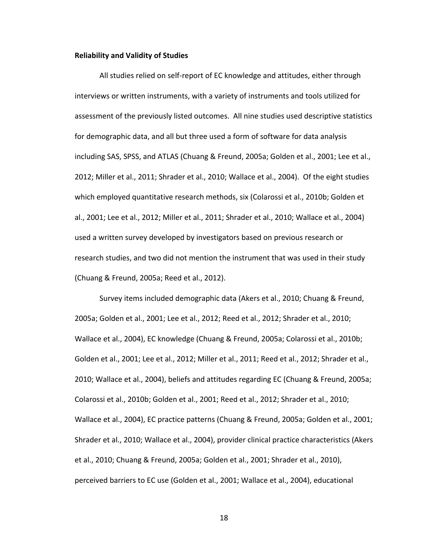#### **Reliability and Validity of Studies**

All studies relied on self-report of EC knowledge and attitudes, either through interviews or written instruments, with a variety of instruments and tools utilized for assessment of the previously listed outcomes. All nine studies used descriptive statistics for demographic data, and all but three used a form of software for data analysis including SAS, SPSS, and ATLAS (Chuang & Freund, 2005a; Golden et al., 2001; Lee et al., 2012; Miller et al., 2011; Shrader et al., 2010; Wallace et al., 2004). Of the eight studies which employed quantitative research methods, six (Colarossi et al., 2010b; Golden et al., 2001; Lee et al., 2012; Miller et al., 2011; Shrader et al., 2010; Wallace et al., 2004) used a written survey developed by investigators based on previous research or research studies, and two did not mention the instrument that was used in their study (Chuang & Freund, 2005a; Reed et al., 2012).

Survey items included demographic data (Akers et al., 2010; Chuang & Freund, 2005a; Golden et al., 2001; Lee et al., 2012; Reed et al., 2012; Shrader et al., 2010; Wallace et al., 2004), EC knowledge (Chuang & Freund, 2005a; Colarossi et al., 2010b; Golden et al., 2001; Lee et al., 2012; Miller et al., 2011; Reed et al., 2012; Shrader et al., 2010; Wallace et al., 2004), beliefs and attitudes regarding EC (Chuang & Freund, 2005a; Colarossi et al., 2010b; Golden et al., 2001; Reed et al., 2012; Shrader et al., 2010; Wallace et al., 2004), EC practice patterns (Chuang & Freund, 2005a; Golden et al., 2001; Shrader et al., 2010; Wallace et al., 2004), provider clinical practice characteristics (Akers et al., 2010; Chuang & Freund, 2005a; Golden et al., 2001; Shrader et al., 2010), perceived barriers to EC use (Golden et al., 2001; Wallace et al., 2004), educational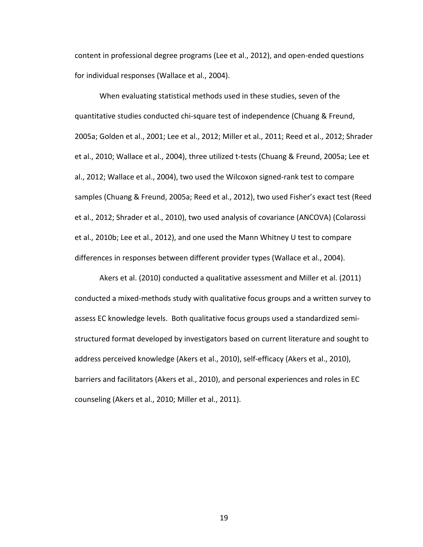content in professional degree programs (Lee et al., 2012), and open-ended questions for individual responses (Wallace et al., 2004).

When evaluating statistical methods used in these studies, seven of the quantitative studies conducted chi-square test of independence (Chuang & Freund, 2005a; Golden et al., 2001; Lee et al., 2012; Miller et al., 2011; Reed et al., 2012; Shrader et al., 2010; Wallace et al., 2004), three utilized t-tests (Chuang & Freund, 2005a; Lee et al., 2012; Wallace et al., 2004), two used the Wilcoxon signed-rank test to compare samples (Chuang & Freund, 2005a; Reed et al., 2012), two used Fisher's exact test (Reed et al., 2012; Shrader et al., 2010), two used analysis of covariance (ANCOVA) (Colarossi et al., 2010b; Lee et al., 2012), and one used the Mann Whitney U test to compare differences in responses between different provider types (Wallace et al., 2004).

Akers et al. (2010) conducted a qualitative assessment and Miller et al. (2011) conducted a mixed-methods study with qualitative focus groups and a written survey to assess EC knowledge levels. Both qualitative focus groups used a standardized semistructured format developed by investigators based on current literature and sought to address perceived knowledge (Akers et al., 2010), self-efficacy (Akers et al., 2010), barriers and facilitators (Akers et al., 2010), and personal experiences and roles in EC counseling (Akers et al., 2010; Miller et al., 2011).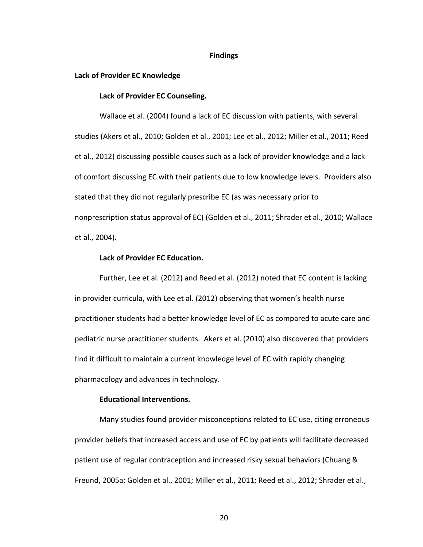#### **Findings**

#### Lack of Provider EC Knowledge

#### Lack of Provider EC Counseling.

Wallace et al. (2004) found a lack of EC discussion with patients, with several studies (Akers et al., 2010; Golden et al., 2001; Lee et al., 2012; Miller et al., 2011; Reed et al., 2012) discussing possible causes such as a lack of provider knowledge and a lack of comfort discussing EC with their patients due to low knowledge levels. Providers also stated that they did not regularly prescribe EC (as was necessary prior to nonprescription status approval of EC) (Golden et al., 2011; Shrader et al., 2010; Wallace et al., 2004).

#### **Lack of Provider EC Education.**

Further, Lee et al. (2012) and Reed et al. (2012) noted that EC content is lacking in provider curricula, with Lee et al. (2012) observing that women's health nurse practitioner students had a better knowledge level of EC as compared to acute care and pediatric nurse practitioner students. Akers et al. (2010) also discovered that providers find it difficult to maintain a current knowledge level of EC with rapidly changing pharmacology and advances in technology.

#### **Educational Interventions.**

Many studies found provider misconceptions related to EC use, citing erroneous provider beliefs that increased access and use of EC by patients will facilitate decreased patient use of regular contraception and increased risky sexual behaviors (Chuang & Freund, 2005a; Golden et al., 2001; Miller et al., 2011; Reed et al., 2012; Shrader et al.,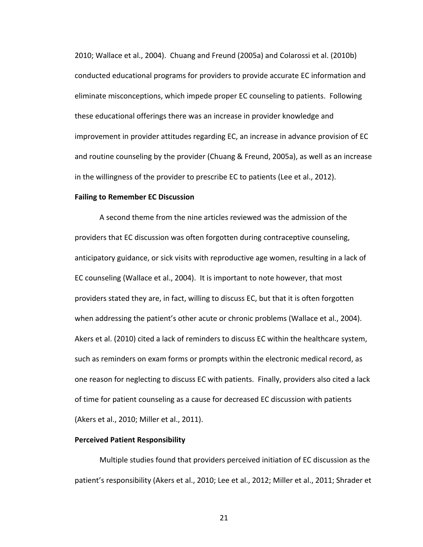2010; Wallace et al., 2004). Chuang and Freund (2005a) and Colarossi et al. (2010b) conducted educational programs for providers to provide accurate EC information and eliminate misconceptions, which impede proper EC counseling to patients. Following these educational offerings there was an increase in provider knowledge and improvement in provider attitudes regarding EC, an increase in advance provision of EC and routine counseling by the provider (Chuang & Freund, 2005a), as well as an increase in the willingness of the provider to prescribe EC to patients (Lee et al., 2012).

#### **Failing to Remember EC Discussion**

A second theme from the nine articles reviewed was the admission of the providers that EC discussion was often forgotten during contraceptive counseling, anticipatory guidance, or sick visits with reproductive age women, resulting in a lack of EC counseling (Wallace et al., 2004). It is important to note however, that most providers stated they are, in fact, willing to discuss EC, but that it is often forgotten when addressing the patient's other acute or chronic problems (Wallace et al., 2004). Akers et al. (2010) cited a lack of reminders to discuss EC within the healthcare system, such as reminders on exam forms or prompts within the electronic medical record, as one reason for neglecting to discuss EC with patients. Finally, providers also cited a lack of time for patient counseling as a cause for decreased EC discussion with patients (Akers et al., 2010; Miller et al., 2011).

## **Perceived Patient Responsibility**

Multiple studies found that providers perceived initiation of EC discussion as the patient's responsibility (Akers et al., 2010; Lee et al., 2012; Miller et al., 2011; Shrader et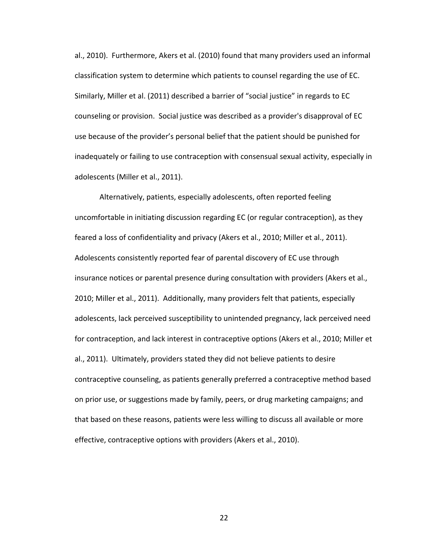al., 2010). Furthermore, Akers et al. (2010) found that many providers used an informal classification system to determine which patients to counsel regarding the use of EC. Similarly, Miller et al. (2011) described a barrier of "social justice" in regards to EC counseling or provision. Social justice was described as a provider's disapproval of EC use because of the provider's personal belief that the patient should be punished for inadequately or failing to use contraception with consensual sexual activity, especially in adolescents (Miller et al., 2011).

Alternatively, patients, especially adolescents, often reported feeling uncomfortable in initiating discussion regarding EC (or regular contraception), as they feared a loss of confidentiality and privacy (Akers et al., 2010; Miller et al., 2011). Adolescents consistently reported fear of parental discovery of EC use through insurance notices or parental presence during consultation with providers (Akers et al., 2010; Miller et al., 2011). Additionally, many providers felt that patients, especially adolescents, lack perceived susceptibility to unintended pregnancy, lack perceived need for contraception, and lack interest in contraceptive options (Akers et al., 2010; Miller et al., 2011). Ultimately, providers stated they did not believe patients to desire contraceptive counseling, as patients generally preferred a contraceptive method based on prior use, or suggestions made by family, peers, or drug marketing campaigns; and that based on these reasons, patients were less willing to discuss all available or more effective, contraceptive options with providers (Akers et al., 2010).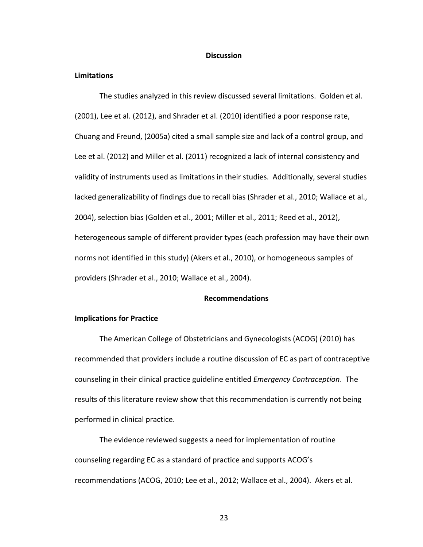#### **Discussion**

#### **Limitations**

The studies analyzed in this review discussed several limitations. Golden et al. (2001), Lee et al. (2012), and Shrader et al. (2010) identified a poor response rate, Chuang and Freund, (2005a) cited a small sample size and lack of a control group, and Lee et al. (2012) and Miller et al. (2011) recognized a lack of internal consistency and validity of instruments used as limitations in their studies. Additionally, several studies lacked generalizability of findings due to recall bias (Shrader et al., 2010; Wallace et al., 2004), selection bias (Golden et al., 2001; Miller et al., 2011; Reed et al., 2012), heterogeneous sample of different provider types (each profession may have their own norms not identified in this study) (Akers et al., 2010), or homogeneous samples of providers (Shrader et al., 2010; Wallace et al., 2004).

#### **Recommendations**

#### **Implications for Practice**

The American College of Obstetricians and Gynecologists (ACOG) (2010) has recommended that providers include a routine discussion of EC as part of contraceptive counseling in their clinical practice guideline entitled *Emergency Contraception*. The results of this literature review show that this recommendation is currently not being performed in clinical practice.

The evidence reviewed suggests a need for implementation of routine counseling regarding EC as a standard of practice and supports ACOG's recommendations (ACOG, 2010; Lee et al., 2012; Wallace et al., 2004). Akers et al.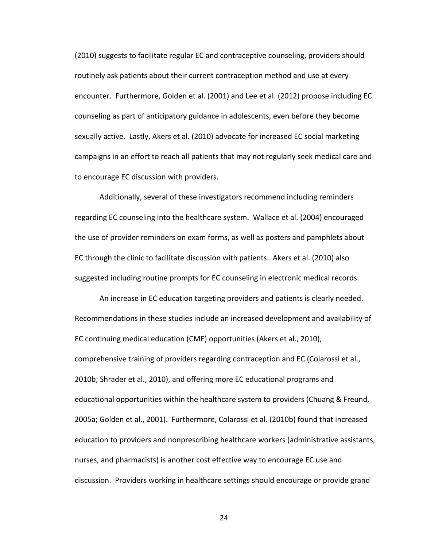(2010) suggests to facilitate regular EC and contraceptive counseling, providers should routinely ask patients about their current contraception method and use at every encounter. Furthermore, Golden et al. (2001) and Lee et al. (2012) propose including EC counseling as part of anticipatory guidance in adolescents, even before they become sexually active. Lastly, Akers et al. (2010) advocate for increased EC social marketing campaigns in an effort to reach all patients that may not regularly seek medical care and to encourage EC discussion with providers.

Additionally, several of these investigators recommend including reminders regarding EC counseling into the healthcare system. Wallace et al. (2004) encouraged the use of provider reminders on exam forms, as well as posters and pamphlets about EC through the clinic to facilitate discussion with patients. Akers et al. (2010) also suggested including routine prompts for EC counseling in electronic medical records.

An increase in EC education targeting providers and patients is clearly needed. Recommendations in these studies include an increased development and availability of EC continuing medical education (CME) opportunities (Akers et al., 2010), comprehensive training of providers regarding contraception and EC (Colarossi et al., 2010b; Shrader et al., 2010), and offering more EC educational programs and educational opportunities within the healthcare system to providers (Chuang & Freund, 2005a; Golden et al., 2001). Furthermore, Colarossi et al. (2010b) found that increased education to providers and nonprescribing healthcare workers (administrative assistants, nurses, and pharmacists) is another cost effective way to encourage EC use and discussion. Providers working in healthcare settings should encourage or provide grand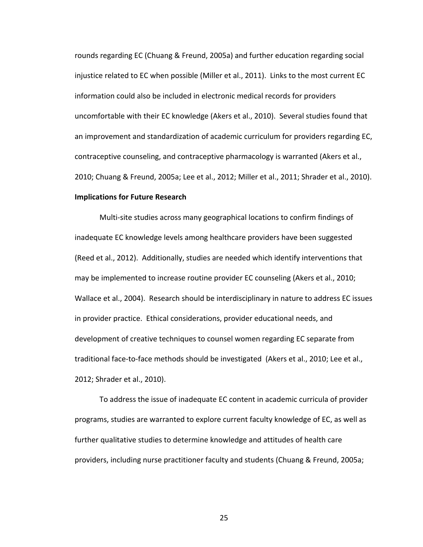rounds regarding EC (Chuang & Freund, 2005a) and further education regarding social injustice related to EC when possible (Miller et al., 2011). Links to the most current EC information could also be included in electronic medical records for providers uncomfortable with their EC knowledge (Akers et al., 2010). Several studies found that an improvement and standardization of academic curriculum for providers regarding EC, contraceptive counseling, and contraceptive pharmacology is warranted (Akers et al., 2010; Chuang & Freund, 2005a; Lee et al., 2012; Miller et al., 2011; Shrader et al., 2010).

#### **Implications for Future Research**

Multi-site studies across many geographical locations to confirm findings of inadequate EC knowledge levels among healthcare providers have been suggested (Reed et al., 2012). Additionally, studies are needed which identify interventions that may be implemented to increase routine provider EC counseling (Akers et al., 2010; Wallace et al., 2004). Research should be interdisciplinary in nature to address EC issues in provider practice. Ethical considerations, provider educational needs, and development of creative techniques to counsel women regarding EC separate from traditional face-to-face methods should be investigated (Akers et al., 2010; Lee et al., 2012; Shrader et al., 2010).

To address the issue of inadequate EC content in academic curricula of provider programs, studies are warranted to explore current faculty knowledge of EC, as well as further qualitative studies to determine knowledge and attitudes of health care providers, including nurse practitioner faculty and students (Chuang & Freund, 2005a;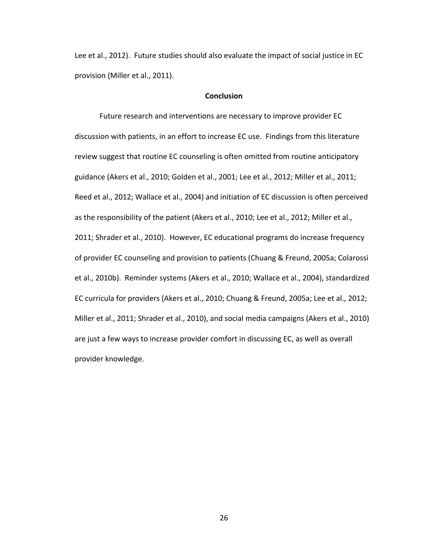Lee et al., 2012). Future studies should also evaluate the impact of social justice in EC provision (Miller et al., 2011).

# **Conclusion**

Future research and interventions are necessary to improve provider EC discussion with patients, in an effort to increase EC use. Findings from this literature review suggest that routine EC counseling is often omitted from routine anticipatory guidance (Akers et al., 2010; Golden et al., 2001; Lee et al., 2012; Miller et al., 2011; Reed et al., 2012; Wallace et al., 2004) and initiation of EC discussion is often perceived as the responsibility of the patient (Akers et al., 2010; Lee et al., 2012; Miller et al., 2011; Shrader et al., 2010). However, EC educational programs do increase frequency of provider EC counseling and provision to patients (Chuang & Freund, 2005a; Colarossi et al., 2010b). Reminder systems (Akers et al., 2010; Wallace et al., 2004), standardized EC curricula for providers (Akers et al., 2010; Chuang & Freund, 2005a; Lee et al., 2012; Miller et al., 2011; Shrader et al., 2010), and social media campaigns (Akers et al., 2010) are just a few ways to increase provider comfort in discussing EC, as well as overall provider knowledge.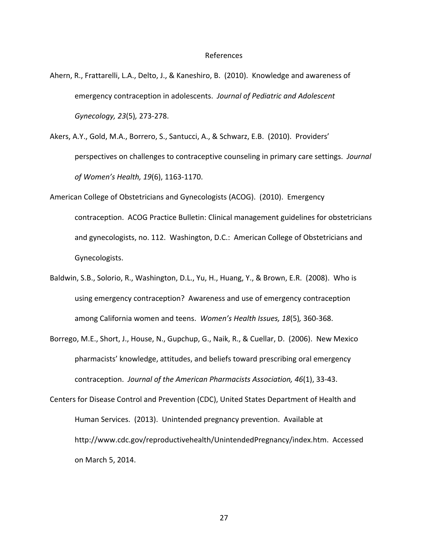#### References

- Ahern, R., Frattarelli, L.A., Delto, J., & Kaneshiro, B. (2010). Knowledge and awareness of emergency contraception in adolescents. Journal of Pediatric and Adolescent Gynecology, 23(5), 273-278.
- Akers, A.Y., Gold, M.A., Borrero, S., Santucci, A., & Schwarz, E.B. (2010). Providers' perspectives on challenges to contraceptive counseling in primary care settings. Journal of Women's Health, 19(6), 1163-1170.
- American College of Obstetricians and Gynecologists (ACOG). (2010). Emergency contraception. ACOG Practice Bulletin: Clinical management guidelines for obstetricians and gynecologists, no. 112. Washington, D.C.: American College of Obstetricians and Gynecologists.
- Baldwin, S.B., Solorio, R., Washington, D.L., Yu, H., Huang, Y., & Brown, E.R. (2008). Who is using emergency contraception? Awareness and use of emergency contraception among California women and teens. Women's Health Issues, 18(5), 360-368.
- Borrego, M.E., Short, J., House, N., Gupchup, G., Naik, R., & Cuellar, D. (2006). New Mexico pharmacists' knowledge, attitudes, and beliefs toward prescribing oral emergency contraception. Journal of the American Pharmacists Association, 46(1), 33-43.
- Centers for Disease Control and Prevention (CDC), United States Department of Health and Human Services. (2013). Unintended pregnancy prevention. Available at http://www.cdc.gov/reproductivehealth/UnintendedPregnancy/index.htm. Accessed on March 5, 2014.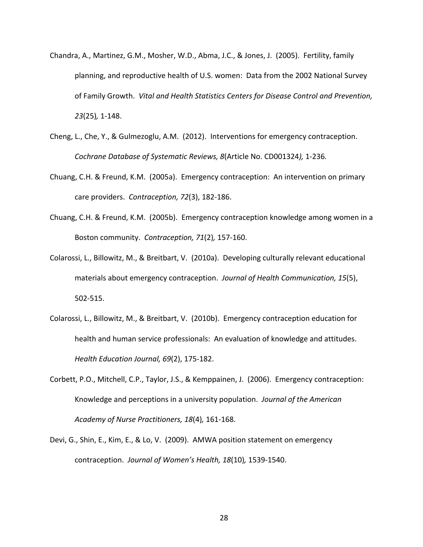- Chandra, A., Martinez, G.M., Mosher, W.D., Abma, J.C., & Jones, J. (2005). Fertility, family planning, and reproductive health of U.S. women: Data from the 2002 National Survey of Family Growth. Vital and Health Statistics Centers for Disease Control and Prevention,  $23(25)$ , 1-148.
- Cheng, L., Che, Y., & Gulmezoglu, A.M. (2012). Interventions for emergency contraception. Cochrane Database of Systematic Reviews, 8(Article No. CD001324), 1-236.
- Chuang, C.H. & Freund, K.M. (2005a). Emergency contraception: An intervention on primary care providers. Contraception, 72(3), 182-186.
- Chuang, C.H. & Freund, K.M. (2005b). Emergency contraception knowledge among women in a Boston community. Contraception, 71(2), 157-160.
- Colarossi, L., Billowitz, M., & Breitbart, V. (2010a). Developing culturally relevant educational materials about emergency contraception. Journal of Health Communication, 15(5), 502-515.
- Colarossi, L., Billowitz, M., & Breitbart, V. (2010b). Emergency contraception education for health and human service professionals: An evaluation of knowledge and attitudes. Health Education Journal, 69(2), 175-182.
- Corbett, P.O., Mitchell, C.P., Taylor, J.S., & Kemppainen, J. (2006). Emergency contraception: Knowledge and perceptions in a university population. Journal of the American Academy of Nurse Practitioners, 18(4), 161-168.
- Devi, G., Shin, E., Kim, E., & Lo, V. (2009). AMWA position statement on emergency contraception. Journal of Women's Health, 18(10), 1539-1540.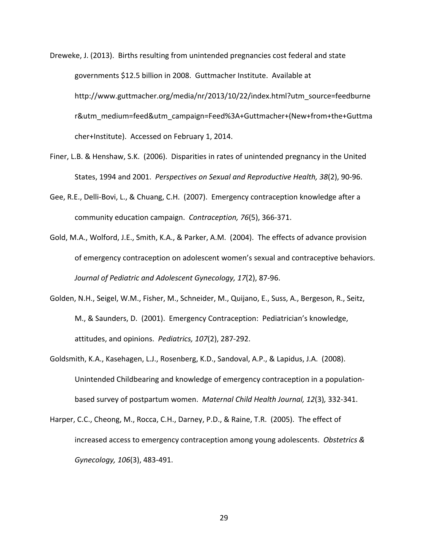- Dreweke, J. (2013). Births resulting from unintended pregnancies cost federal and state governments \$12.5 billion in 2008. Guttmacher Institute. Available at http://www.guttmacher.org/media/nr/2013/10/22/index.html?utm\_source=feedburne r&utm medium=feed&utm campaign=Feed%3A+Guttmacher+(New+from+the+Guttma cher+Institute). Accessed on February 1, 2014.
- Finer, L.B. & Henshaw, S.K. (2006). Disparities in rates of unintended pregnancy in the United States, 1994 and 2001. Perspectives on Sexual and Reproductive Health, 38(2), 90-96.
- Gee, R.E., Delli-Bovi, L., & Chuang, C.H. (2007). Emergency contraception knowledge after a community education campaign. Contraception, 76(5), 366-371.
- Gold, M.A., Wolford, J.E., Smith, K.A., & Parker, A.M. (2004). The effects of advance provision of emergency contraception on adolescent women's sexual and contraceptive behaviors. Journal of Pediatric and Adolescent Gynecology, 17(2), 87-96.
- Golden, N.H., Seigel, W.M., Fisher, M., Schneider, M., Quijano, E., Suss, A., Bergeson, R., Seitz, M., & Saunders, D. (2001). Emergency Contraception: Pediatrician's knowledge, attitudes, and opinions. Pediatrics, 107(2), 287-292.
- Goldsmith, K.A., Kasehagen, L.J., Rosenberg, K.D., Sandoval, A.P., & Lapidus, J.A. (2008). Unintended Childbearing and knowledge of emergency contraception in a populationbased survey of postpartum women. Maternal Child Health Journal, 12(3), 332-341.
- Harper, C.C., Cheong, M., Rocca, C.H., Darney, P.D., & Raine, T.R. (2005). The effect of increased access to emergency contraception among young adolescents. Obstetrics & Gynecology, 106(3), 483-491.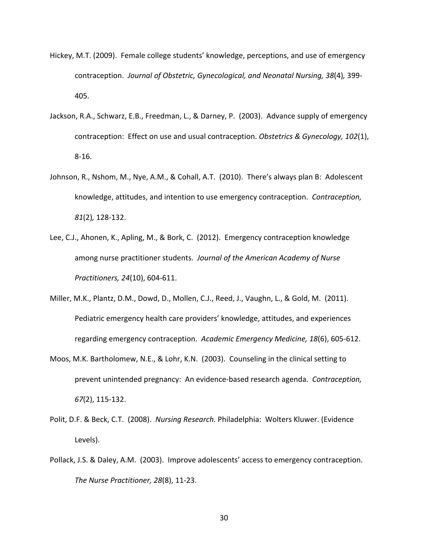- Hickey, M.T. (2009). Female college students' knowledge, perceptions, and use of emergency contraception. Journal of Obstetric, Gynecological, and Neonatal Nursing, 38(4), 399-405.
- Jackson, R.A., Schwarz, E.B., Freedman, L., & Darney, P. (2003). Advance supply of emergency contraception: Effect on use and usual contraception. Obstetrics & Gynecology, 102(1),  $8 - 16.$
- Johnson, R., Nshom, M., Nye, A.M., & Cohall, A.T. (2010). There's always plan B: Adolescent knowledge, attitudes, and intention to use emergency contraception. Contraception, 81(2), 128-132.
- Lee, C.J., Ahonen, K., Apling, M., & Bork, C. (2012). Emergency contraception knowledge among nurse practitioner students. Journal of the American Academy of Nurse Practitioners, 24(10), 604-611.
- Miller, M.K., Plantz, D.M., Dowd, D., Mollen, C.J., Reed, J., Vaughn, L., & Gold, M. (2011). Pediatric emergency health care providers' knowledge, attitudes, and experiences regarding emergency contraception. Academic Emergency Medicine, 18(6), 605-612.
- Moos, M.K. Bartholomew, N.E., & Lohr, K.N. (2003). Counseling in the clinical setting to prevent unintended pregnancy: An evidence-based research agenda. Contraception, 67(2), 115-132.
- Polit, D.F. & Beck, C.T. (2008). Nursing Research. Philadelphia: Wolters Kluwer. (Evidence Levels).
- Pollack, J.S. & Daley, A.M. (2003). Improve adolescents' access to emergency contraception. The Nurse Practitioner, 28(8), 11-23.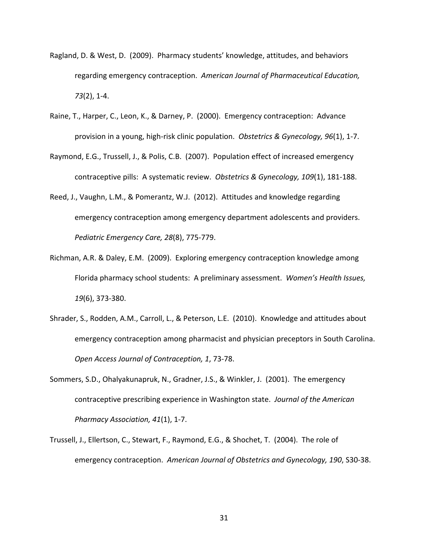- Ragland, D. & West, D. (2009). Pharmacy students' knowledge, attitudes, and behaviors regarding emergency contraception. American Journal of Pharmaceutical Education,  $73(2)$ , 1-4.
- Raine, T., Harper, C., Leon, K., & Darney, P. (2000). Emergency contraception: Advance provision in a young, high-risk clinic population. Obstetrics & Gynecology, 96(1), 1-7.
- Raymond, E.G., Trussell, J., & Polis, C.B. (2007). Population effect of increased emergency contraceptive pills: A systematic review. Obstetrics & Gynecology, 109(1), 181-188.
- Reed, J., Vaughn, L.M., & Pomerantz, W.J. (2012). Attitudes and knowledge regarding emergency contraception among emergency department adolescents and providers. Pediatric Emergency Care, 28(8), 775-779.
- Richman, A.R. & Daley, E.M. (2009). Exploring emergency contraception knowledge among Florida pharmacy school students: A preliminary assessment. Women's Health Issues, 19(6), 373-380.
- Shrader, S., Rodden, A.M., Carroll, L., & Peterson, L.E. (2010). Knowledge and attitudes about emergency contraception among pharmacist and physician preceptors in South Carolina. Open Access Journal of Contraception, 1, 73-78.
- Sommers, S.D., Ohalyakunapruk, N., Gradner, J.S., & Winkler, J. (2001). The emergency contraceptive prescribing experience in Washington state. Journal of the American Pharmacy Association, 41(1), 1-7.
- Trussell, J., Ellertson, C., Stewart, F., Raymond, E.G., & Shochet, T. (2004). The role of emergency contraception. American Journal of Obstetrics and Gynecology, 190, S30-38.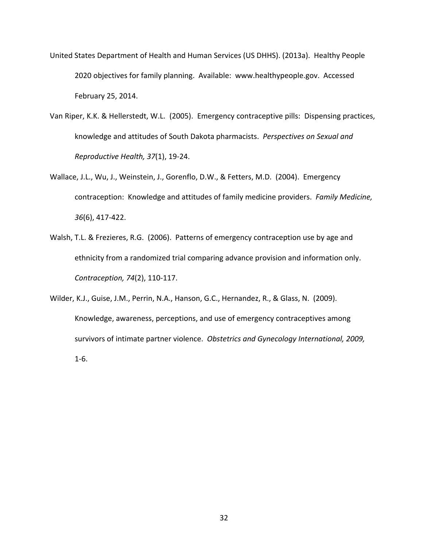- United States Department of Health and Human Services (US DHHS). (2013a). Healthy People 2020 objectives for family planning. Available: www.healthypeople.gov. Accessed February 25, 2014.
- Van Riper, K.K. & Hellerstedt, W.L. (2005). Emergency contraceptive pills: Dispensing practices, knowledge and attitudes of South Dakota pharmacists. Perspectives on Sexual and Reproductive Health, 37(1), 19-24.
- Wallace, J.L., Wu, J., Weinstein, J., Gorenflo, D.W., & Fetters, M.D. (2004). Emergency contraception: Knowledge and attitudes of family medicine providers. Family Medicine, 36(6), 417-422.
- Walsh, T.L. & Frezieres, R.G. (2006). Patterns of emergency contraception use by age and ethnicity from a randomized trial comparing advance provision and information only. Contraception, 74(2), 110-117.
- Wilder, K.J., Guise, J.M., Perrin, N.A., Hanson, G.C., Hernandez, R., & Glass, N. (2009). Knowledge, awareness, perceptions, and use of emergency contraceptives among survivors of intimate partner violence. Obstetrics and Gynecology International, 2009,  $1-6.$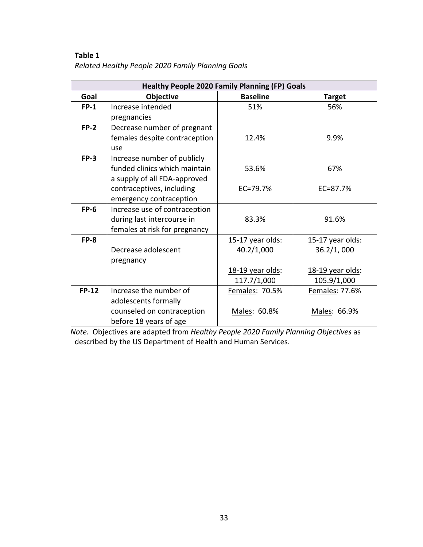| Table 1                                           |  |  |  |
|---------------------------------------------------|--|--|--|
| Related Healthy People 2020 Family Planning Goals |  |  |  |

| <b>Healthy People 2020 Family Planning (FP) Goals</b> |                               |                  |                  |  |  |  |  |
|-------------------------------------------------------|-------------------------------|------------------|------------------|--|--|--|--|
| Goal                                                  | Objective                     | <b>Baseline</b>  | <b>Target</b>    |  |  |  |  |
| $FP-1$                                                | Increase intended             | 51%              | 56%              |  |  |  |  |
|                                                       | pregnancies                   |                  |                  |  |  |  |  |
| $FP-2$                                                | Decrease number of pregnant   |                  |                  |  |  |  |  |
|                                                       | females despite contraception | 12.4%            | 9.9%             |  |  |  |  |
|                                                       | use                           |                  |                  |  |  |  |  |
| $FP-3$                                                | Increase number of publicly   |                  |                  |  |  |  |  |
|                                                       | funded clinics which maintain | 53.6%            | 67%              |  |  |  |  |
|                                                       | a supply of all FDA-approved  |                  |                  |  |  |  |  |
|                                                       | contraceptives, including     | EC=79.7%         | EC=87.7%         |  |  |  |  |
|                                                       | emergency contraception       |                  |                  |  |  |  |  |
| $FP-6$                                                | Increase use of contraception |                  |                  |  |  |  |  |
|                                                       | during last intercourse in    | 83.3%            | 91.6%            |  |  |  |  |
|                                                       | females at risk for pregnancy |                  |                  |  |  |  |  |
| $FP-8$                                                |                               | 15-17 year olds: | 15-17 year olds: |  |  |  |  |
|                                                       | Decrease adolescent           | 40.2/1,000       | 36.2/1,000       |  |  |  |  |
|                                                       | pregnancy                     |                  |                  |  |  |  |  |
|                                                       |                               | 18-19 year olds: | 18-19 year olds: |  |  |  |  |
|                                                       |                               | 117.7/1,000      | 105.9/1,000      |  |  |  |  |
| <b>FP-12</b>                                          | Increase the number of        | Females: 70.5%   | Females: 77.6%   |  |  |  |  |
|                                                       | adolescents formally          |                  |                  |  |  |  |  |
|                                                       | counseled on contraception    | Males: 60.8%     | Males: 66.9%     |  |  |  |  |
|                                                       | before 18 years of age        |                  |                  |  |  |  |  |

Note. Objectives are adapted from Healthy People 2020 Family Planning Objectives as described by the US Department of Health and Human Services.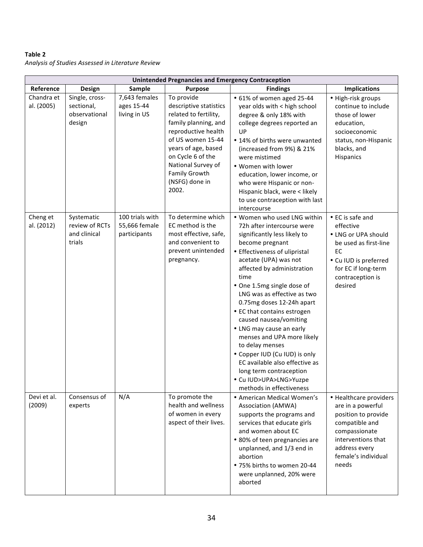# Table 2

Analysis of Studies Assessed in Literature Review

| <b>Unintended Pregnancies and Emergency Contraception</b> |                                                         |                                                  |                                                                                                                                                                                                                                                 |                                                                                                                                                                                                                                                                                                                                                                                                                                                                                                                                                                                                  |                                                                                                                                                                              |
|-----------------------------------------------------------|---------------------------------------------------------|--------------------------------------------------|-------------------------------------------------------------------------------------------------------------------------------------------------------------------------------------------------------------------------------------------------|--------------------------------------------------------------------------------------------------------------------------------------------------------------------------------------------------------------------------------------------------------------------------------------------------------------------------------------------------------------------------------------------------------------------------------------------------------------------------------------------------------------------------------------------------------------------------------------------------|------------------------------------------------------------------------------------------------------------------------------------------------------------------------------|
| Reference                                                 | <b>Design</b>                                           | Sample                                           | <b>Purpose</b>                                                                                                                                                                                                                                  | <b>Findings</b>                                                                                                                                                                                                                                                                                                                                                                                                                                                                                                                                                                                  | <b>Implications</b>                                                                                                                                                          |
| Chandra et<br>al. (2005)                                  | Single, cross-<br>sectional,<br>observational<br>design | 7,643 females<br>ages 15-44<br>living in US      | To provide<br>descriptive statistics<br>related to fertility,<br>family planning, and<br>reproductive health<br>of US women 15-44<br>years of age, based<br>on Cycle 6 of the<br>National Survey of<br>Family Growth<br>(NSFG) done in<br>2002. | • 61% of women aged 25-44<br>year olds with < high school<br>degree & only 18% with<br>college degrees reported an<br>UP<br>• 14% of births were unwanted<br>(increased from 9%) & 21%<br>were mistimed<br>• Women with lower<br>education, lower income, or<br>who were Hispanic or non-<br>Hispanic black, were < likely<br>to use contraception with last<br>intercourse                                                                                                                                                                                                                      | · High-risk groups<br>continue to include<br>those of lower<br>education,<br>socioeconomic<br>status, non-Hispanic<br>blacks, and<br>Hispanics                               |
| Cheng et<br>al. (2012)                                    | Systematic<br>review of RCTs<br>and clinical<br>trials  | 100 trials with<br>55,666 female<br>participants | To determine which<br>EC method is the<br>most effective, safe,<br>and convenient to<br>prevent unintended<br>pregnancy.                                                                                                                        | . Women who used LNG within<br>72h after intercourse were<br>significantly less likely to<br>become pregnant<br>• Effectiveness of ulipristal<br>acetate (UPA) was not<br>affected by administration<br>time<br>• One 1.5mg single dose of<br>LNG was as effective as two<br>0.75mg doses 12-24h apart<br>• EC that contains estrogen<br>caused nausea/vomiting<br>• LNG may cause an early<br>menses and UPA more likely<br>to delay menses<br>• Copper IUD (Cu IUD) is only<br>EC available also effective as<br>long term contraception<br>• Cu IUD>UPA>LNG>Yuzpe<br>methods in effectiveness | • EC is safe and<br>effective<br>• LNG or UPA should<br>be used as first-line<br>EC<br>• Cu IUD is preferred<br>for EC if long-term<br>contraception is<br>desired           |
| Devi et al.<br>(2009)                                     | Consensus of<br>experts                                 | N/A                                              | To promote the<br>health and wellness<br>of women in every<br>aspect of their lives.                                                                                                                                                            | • American Medical Women's<br><b>Association (AMWA)</b><br>supports the programs and<br>services that educate girls<br>and women about EC<br>• 80% of teen pregnancies are<br>unplanned, and 1/3 end in<br>abortion<br>• 75% births to women 20-44<br>were unplanned, 20% were<br>aborted                                                                                                                                                                                                                                                                                                        | • Healthcare providers<br>are in a powerful<br>position to provide<br>compatible and<br>compassionate<br>interventions that<br>address every<br>female's individual<br>needs |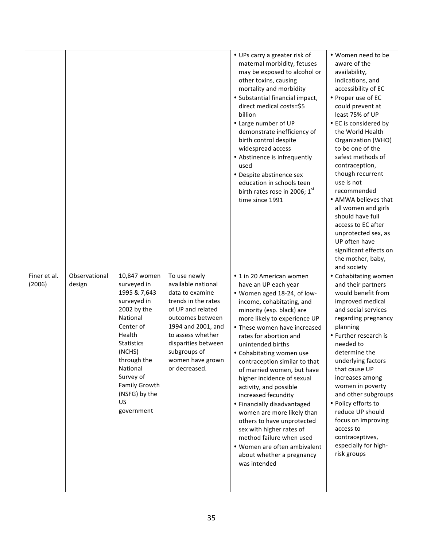|                        |                         |                                                                                                                                                                                                                                            |                                                                                                                                                                                                                                              | • UPs carry a greater risk of<br>maternal morbidity, fetuses<br>may be exposed to alcohol or<br>other toxins, causing<br>mortality and morbidity<br>• Substantial financial impact,<br>direct medical costs=\$5<br>billion<br>• Large number of UP<br>demonstrate inefficiency of<br>birth control despite<br>widespread access<br>• Abstinence is infrequently<br>used<br>• Despite abstinence sex<br>education in schools teen<br>birth rates rose in 2006; 1st<br>time since 1991                                                                                                                                                                               | • Women need to be<br>aware of the<br>availability,<br>indications, and<br>accessibility of EC<br>• Proper use of EC<br>could prevent at<br>least 75% of UP<br>• EC is considered by<br>the World Health<br>Organization (WHO)<br>to be one of the<br>safest methods of<br>contraception,<br>though recurrent<br>use is not<br>recommended<br>• AMWA believes that<br>all women and girls<br>should have full<br>access to EC after<br>unprotected sex, as<br>UP often have<br>significant effects on<br>the mother, baby,<br>and society |
|------------------------|-------------------------|--------------------------------------------------------------------------------------------------------------------------------------------------------------------------------------------------------------------------------------------|----------------------------------------------------------------------------------------------------------------------------------------------------------------------------------------------------------------------------------------------|--------------------------------------------------------------------------------------------------------------------------------------------------------------------------------------------------------------------------------------------------------------------------------------------------------------------------------------------------------------------------------------------------------------------------------------------------------------------------------------------------------------------------------------------------------------------------------------------------------------------------------------------------------------------|-------------------------------------------------------------------------------------------------------------------------------------------------------------------------------------------------------------------------------------------------------------------------------------------------------------------------------------------------------------------------------------------------------------------------------------------------------------------------------------------------------------------------------------------|
| Finer et al.<br>(2006) | Observational<br>design | 10,847 women<br>surveyed in<br>1995 & 7,643<br>surveyed in<br>2002 by the<br>National<br>Center of<br>Health<br><b>Statistics</b><br>(NCHS)<br>through the<br>National<br>Survey of<br>Family Growth<br>(NSFG) by the<br>US.<br>government | To use newly<br>available national<br>data to examine<br>trends in the rates<br>of UP and related<br>outcomes between<br>1994 and 2001, and<br>to assess whether<br>disparities between<br>subgroups of<br>women have grown<br>or decreased. | • 1 in 20 American women<br>have an UP each year<br>• Women aged 18-24, of low-<br>income, cohabitating, and<br>minority (esp. black) are<br>more likely to experience UP<br>• These women have increased<br>rates for abortion and<br>unintended births<br>• Cohabitating women use<br>contraception similar to that<br>of married women, but have<br>higher incidence of sexual<br>activity, and possible<br>increased fecundity<br>• Financially disadvantaged<br>women are more likely than<br>others to have unprotected<br>sex with higher rates of<br>method failure when used<br>• Women are often ambivalent<br>about whether a pregnancy<br>was intended | • Cohabitating women<br>and their partners<br>would benefit from<br>improved medical<br>and social services<br>regarding pregnancy<br>planning<br>• Further research is<br>needed to<br>determine the<br>underlying factors<br>that cause UP<br>increases among<br>women in poverty<br>and other subgroups<br>• Policy efforts to<br>reduce UP should<br>focus on improving<br>access to<br>contraceptives,<br>especially for high-<br>risk groups                                                                                        |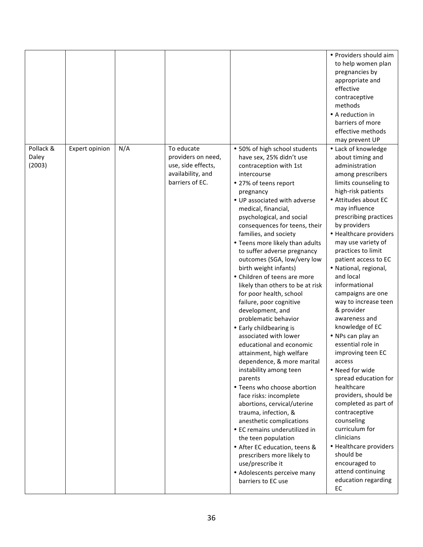|                              |                |     |                                                                                                |                                                                                                                                                                                                                                                                                                                                                                                                                                                                                                                                                                                                                                                                                                                                                                                                                                                                                                                                                                                                                                                                                                                   | • Providers should aim<br>to help women plan<br>pregnancies by<br>appropriate and<br>effective<br>contraceptive<br>methods<br>• A reduction in<br>barriers of more<br>effective methods<br>may prevent UP                                                                                                                                                                                                                                                                                                                                                                                                                                                                                                                                                                                                                     |
|------------------------------|----------------|-----|------------------------------------------------------------------------------------------------|-------------------------------------------------------------------------------------------------------------------------------------------------------------------------------------------------------------------------------------------------------------------------------------------------------------------------------------------------------------------------------------------------------------------------------------------------------------------------------------------------------------------------------------------------------------------------------------------------------------------------------------------------------------------------------------------------------------------------------------------------------------------------------------------------------------------------------------------------------------------------------------------------------------------------------------------------------------------------------------------------------------------------------------------------------------------------------------------------------------------|-------------------------------------------------------------------------------------------------------------------------------------------------------------------------------------------------------------------------------------------------------------------------------------------------------------------------------------------------------------------------------------------------------------------------------------------------------------------------------------------------------------------------------------------------------------------------------------------------------------------------------------------------------------------------------------------------------------------------------------------------------------------------------------------------------------------------------|
| Pollack &<br>Daley<br>(2003) | Expert opinion | N/A | To educate<br>providers on need,<br>use, side effects,<br>availability, and<br>barriers of EC. | • 50% of high school students<br>have sex, 25% didn't use<br>contraception with 1st<br>intercourse<br>• 27% of teens report<br>pregnancy<br>• UP associated with adverse<br>medical, financial,<br>psychological, and social<br>consequences for teens, their<br>families, and society<br>• Teens more likely than adults<br>to suffer adverse pregnancy<br>outcomes (SGA, low/very low<br>birth weight infants)<br>• Children of teens are more<br>likely than others to be at risk<br>for poor health, school<br>failure, poor cognitive<br>development, and<br>problematic behavior<br>• Early childbearing is<br>associated with lower<br>educational and economic<br>attainment, high welfare<br>dependence, & more marital<br>instability among teen<br>parents<br>• Teens who choose abortion<br>face risks: incomplete<br>abortions, cervical/uterine<br>trauma, infection, &<br>anesthetic complications<br>• EC remains underutilized in<br>the teen population<br>• After EC education, teens &<br>prescribers more likely to<br>use/prescribe it<br>• Adolescents perceive many<br>barriers to EC use | • Lack of knowledge<br>about timing and<br>administration<br>among prescribers<br>limits counseling to<br>high-risk patients<br>• Attitudes about EC<br>may influence<br>prescribing practices<br>by providers<br>• Healthcare providers<br>may use variety of<br>practices to limit<br>patient access to EC<br>• National, regional,<br>and local<br>informational<br>campaigns are one<br>way to increase teen<br>& provider<br>awareness and<br>knowledge of EC<br>• NPs can play an<br>essential role in<br>improving teen EC<br>access<br>• Need for wide<br>spread education for<br>healthcare<br>providers, should be<br>completed as part of<br>contraceptive<br>counseling<br>curriculum for<br>clinicians<br>• Healthcare providers<br>should be<br>encouraged to<br>attend continuing<br>education regarding<br>EC |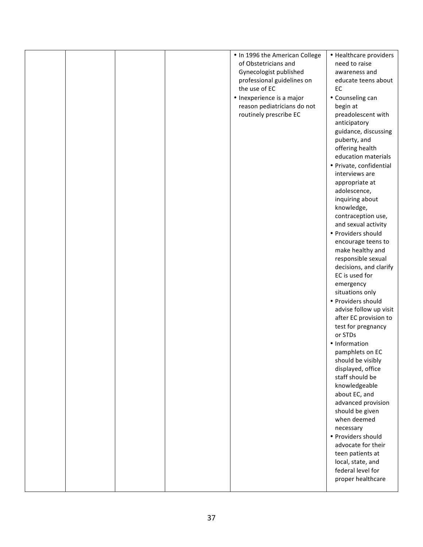|  |  | . In 1996 the American College | • Healthcare providers  |
|--|--|--------------------------------|-------------------------|
|  |  | of Obstetricians and           | need to raise           |
|  |  | Gynecologist published         | awareness and           |
|  |  | professional guidelines on     | educate teens about     |
|  |  | the use of EC                  | EC                      |
|  |  |                                |                         |
|  |  | • Inexperience is a major      | • Counseling can        |
|  |  | reason pediatricians do not    | begin at                |
|  |  | routinely prescribe EC         | preadolescent with      |
|  |  |                                | anticipatory            |
|  |  |                                | guidance, discussing    |
|  |  |                                | puberty, and            |
|  |  |                                | offering health         |
|  |  |                                | education materials     |
|  |  |                                | • Private, confidential |
|  |  |                                | interviews are          |
|  |  |                                | appropriate at          |
|  |  |                                | adolescence,            |
|  |  |                                | inquiring about         |
|  |  |                                | knowledge,              |
|  |  |                                | contraception use,      |
|  |  |                                | and sexual activity     |
|  |  |                                | • Providers should      |
|  |  |                                | encourage teens to      |
|  |  |                                | make healthy and        |
|  |  |                                | responsible sexual      |
|  |  |                                | decisions, and clarify  |
|  |  |                                | EC is used for          |
|  |  |                                | emergency               |
|  |  |                                | situations only         |
|  |  |                                | • Providers should      |
|  |  |                                | advise follow up visit  |
|  |  |                                | after EC provision to   |
|  |  |                                | test for pregnancy      |
|  |  |                                | or STDs                 |
|  |  |                                |                         |
|  |  |                                | • Information           |
|  |  |                                | pamphlets on EC         |
|  |  |                                | should be visibly       |
|  |  |                                | displayed, office       |
|  |  |                                | staff should be         |
|  |  |                                | knowledgeable           |
|  |  |                                | about EC, and           |
|  |  |                                | advanced provision      |
|  |  |                                | should be given         |
|  |  |                                | when deemed             |
|  |  |                                | necessary               |
|  |  |                                | • Providers should      |
|  |  |                                | advocate for their      |
|  |  |                                | teen patients at        |
|  |  |                                | local, state, and       |
|  |  |                                | federal level for       |
|  |  |                                | proper healthcare       |
|  |  |                                |                         |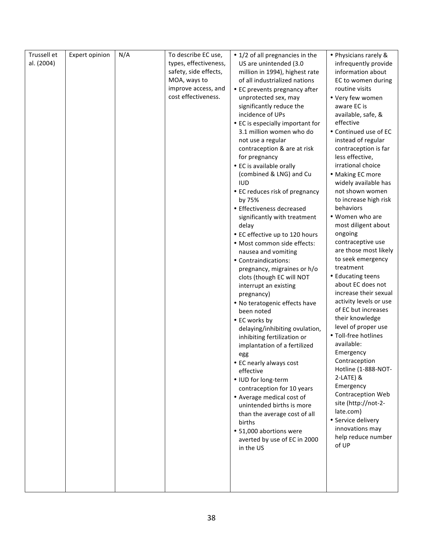| Trussell et<br>al. (2004) | Expert opinion | N/A | To describe EC use,<br>types, effectiveness,<br>safety, side effects,<br>MOA, ways to<br>improve access, and<br>cost effectiveness. | • 1/2 of all pregnancies in the<br>US are unintended (3.0<br>million in 1994), highest rate<br>of all industrialized nations<br>• EC prevents pregnancy after<br>unprotected sex, may<br>significantly reduce the<br>incidence of UPs<br>• EC is especially important for<br>3.1 million women who do<br>not use a regular<br>contraception & are at risk<br>for pregnancy<br>• EC is available orally<br>(combined & LNG) and Cu<br><b>IUD</b><br>• EC reduces risk of pregnancy<br>by 75%<br>• Effectiveness decreased<br>significantly with treatment<br>delay<br>• EC effective up to 120 hours<br>· Most common side effects:<br>nausea and vomiting<br>• Contraindications:<br>pregnancy, migraines or h/o<br>clots (though EC will NOT<br>interrupt an existing<br>pregnancy)<br>. No teratogenic effects have<br>been noted<br>• EC works by<br>delaying/inhibiting ovulation,<br>inhibiting fertilization or<br>implantation of a fertilized | • Physicians rarely &<br>infrequently provide<br>information about<br>EC to women during<br>routine visits<br>• Very few women<br>aware EC is<br>available, safe, &<br>effective<br>• Continued use of EC<br>instead of regular<br>contraception is far<br>less effective,<br>irrational choice<br>• Making EC more<br>widely available has<br>not shown women<br>to increase high risk<br>behaviors<br>• Women who are<br>most diligent about<br>ongoing<br>contraceptive use<br>are those most likely<br>to seek emergency<br>treatment<br>• Educating teens<br>about EC does not<br>increase their sexual<br>activity levels or use<br>of EC but increases<br>their knowledge<br>level of proper use<br>• Toll-free hotlines<br>available: |
|---------------------------|----------------|-----|-------------------------------------------------------------------------------------------------------------------------------------|-------------------------------------------------------------------------------------------------------------------------------------------------------------------------------------------------------------------------------------------------------------------------------------------------------------------------------------------------------------------------------------------------------------------------------------------------------------------------------------------------------------------------------------------------------------------------------------------------------------------------------------------------------------------------------------------------------------------------------------------------------------------------------------------------------------------------------------------------------------------------------------------------------------------------------------------------------|-----------------------------------------------------------------------------------------------------------------------------------------------------------------------------------------------------------------------------------------------------------------------------------------------------------------------------------------------------------------------------------------------------------------------------------------------------------------------------------------------------------------------------------------------------------------------------------------------------------------------------------------------------------------------------------------------------------------------------------------------|
|                           |                |     |                                                                                                                                     | egg<br>• EC nearly always cost<br>effective<br>· IUD for long-term<br>contraception for 10 years<br>• Average medical cost of<br>unintended births is more<br>than the average cost of all<br>births<br>• 51,000 abortions were                                                                                                                                                                                                                                                                                                                                                                                                                                                                                                                                                                                                                                                                                                                       | Emergency<br>Contraception<br>Hotline (1-888-NOT-<br>$2-LATE$ ) &<br>Emergency<br>Contraception Web<br>site (http://not-2-<br>late.com)<br>• Service delivery<br>innovations may                                                                                                                                                                                                                                                                                                                                                                                                                                                                                                                                                              |
|                           |                |     |                                                                                                                                     | averted by use of EC in 2000<br>in the US                                                                                                                                                                                                                                                                                                                                                                                                                                                                                                                                                                                                                                                                                                                                                                                                                                                                                                             | help reduce number<br>of UP                                                                                                                                                                                                                                                                                                                                                                                                                                                                                                                                                                                                                                                                                                                   |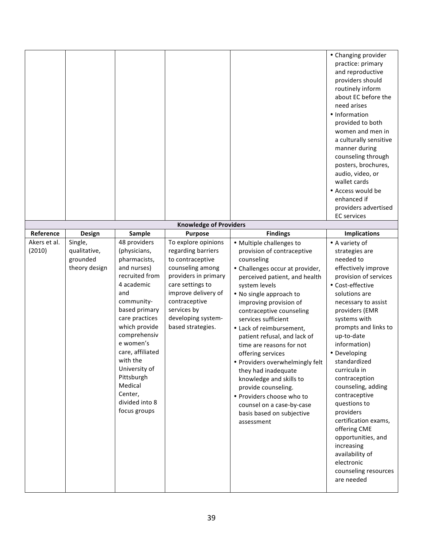|                        |                                                      |                                                                                                                                                                                                                                                                                                                          |                                                                                                                                                                                                                                 |                                                                                                                                                                                                                                                                                                                                                                                                                                                                                                                                                                                                 | • Changing provider<br>practice: primary<br>and reproductive<br>providers should<br>routinely inform<br>about EC before the<br>need arises<br>• Information<br>provided to both<br>women and men in<br>a culturally sensitive<br>manner during<br>counseling through<br>posters, brochures,<br>audio, video, or<br>wallet cards<br>• Access would be<br>enhanced if<br>providers advertised<br><b>EC</b> services                                                                                                                         |
|------------------------|------------------------------------------------------|--------------------------------------------------------------------------------------------------------------------------------------------------------------------------------------------------------------------------------------------------------------------------------------------------------------------------|---------------------------------------------------------------------------------------------------------------------------------------------------------------------------------------------------------------------------------|-------------------------------------------------------------------------------------------------------------------------------------------------------------------------------------------------------------------------------------------------------------------------------------------------------------------------------------------------------------------------------------------------------------------------------------------------------------------------------------------------------------------------------------------------------------------------------------------------|-------------------------------------------------------------------------------------------------------------------------------------------------------------------------------------------------------------------------------------------------------------------------------------------------------------------------------------------------------------------------------------------------------------------------------------------------------------------------------------------------------------------------------------------|
|                        |                                                      |                                                                                                                                                                                                                                                                                                                          | <b>Knowledge of Providers</b>                                                                                                                                                                                                   |                                                                                                                                                                                                                                                                                                                                                                                                                                                                                                                                                                                                 |                                                                                                                                                                                                                                                                                                                                                                                                                                                                                                                                           |
| Reference              | Design                                               | Sample                                                                                                                                                                                                                                                                                                                   | <b>Purpose</b>                                                                                                                                                                                                                  | <b>Findings</b>                                                                                                                                                                                                                                                                                                                                                                                                                                                                                                                                                                                 | <b>Implications</b>                                                                                                                                                                                                                                                                                                                                                                                                                                                                                                                       |
| Akers et al.<br>(2010) | Single,<br>qualitative,<br>grounded<br>theory design | 48 providers<br>(physicians,<br>pharmacists,<br>and nurses)<br>recruited from<br>4 academic<br>and<br>community-<br>based primary<br>care practices<br>which provide<br>comprehensiv<br>e women's<br>care, affiliated<br>with the<br>University of<br>Pittsburgh<br>Medical<br>Center,<br>divided into 8<br>focus groups | To explore opinions<br>regarding barriers<br>to contraceptive<br>counseling among<br>providers in primary<br>care settings to<br>improve delivery of<br>contraceptive<br>services by<br>developing system-<br>based strategies. | • Multiple challenges to<br>provision of contraceptive<br>counseling<br>• Challenges occur at provider,<br>perceived patient, and health<br>system levels<br>• No single approach to<br>improving provision of<br>contraceptive counseling<br>services sufficient<br>• Lack of reimbursement,<br>patient refusal, and lack of<br>time are reasons for not<br>offering services<br>· Providers overwhelmingly felt<br>they had inadequate<br>knowledge and skills to<br>provide counseling.<br>• Providers choose who to<br>counsel on a case-by-case<br>basis based on subjective<br>assessment | • A variety of<br>strategies are<br>needed to<br>effectively improve<br>provision of services<br>• Cost-effective<br>solutions are<br>necessary to assist<br>providers (EMR<br>systems with<br>prompts and links to<br>up-to-date<br>information)<br>• Developing<br>standardized<br>curricula in<br>contraception<br>counseling, adding<br>contraceptive<br>questions to<br>providers<br>certification exams,<br>offering CME<br>opportunities, and<br>increasing<br>availability of<br>electronic<br>counseling resources<br>are needed |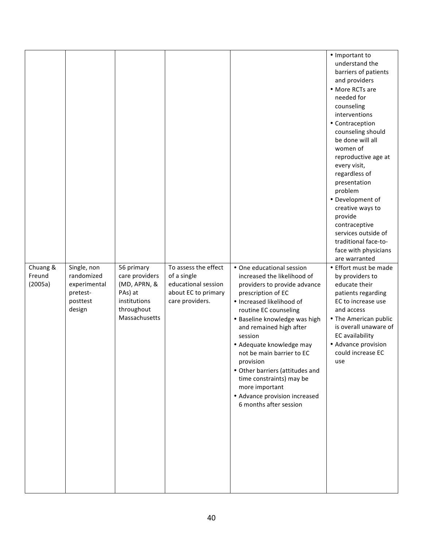| Chuang &<br>Freund<br>(2005a) | Single, non<br>randomized<br>experimental<br>pretest-<br>posttest<br>design | 56 primary<br>care providers<br>(MD, APRN, &<br>PAs) at<br>institutions<br>throughout<br>Massachusetts | To assess the effect<br>of a single<br>educational session<br>about EC to primary<br>care providers. | • One educational session<br>increased the likelihood of<br>providers to provide advance<br>prescription of EC<br>· Increased likelihood of<br>routine EC counseling<br>• Baseline knowledge was high<br>and remained high after<br>session<br>• Adequate knowledge may<br>not be main barrier to EC<br>provision<br>• Other barriers (attitudes and<br>time constraints) may be<br>more important<br>• Advance provision increased<br>6 months after session | • Important to<br>understand the<br>barriers of patients<br>and providers<br>• More RCTs are<br>needed for<br>counseling<br>interventions<br>• Contraception<br>counseling should<br>be done will all<br>women of<br>reproductive age at<br>every visit,<br>regardless of<br>presentation<br>problem<br>• Development of<br>creative ways to<br>provide<br>contraceptive<br>services outside of<br>traditional face-to-<br>face with physicians<br>are warranted<br>• Effort must be made<br>by providers to<br>educate their<br>patients regarding<br>EC to increase use<br>and access<br>• The American public<br>is overall unaware of<br>EC availability<br>• Advance provision<br>could increase EC<br>use |
|-------------------------------|-----------------------------------------------------------------------------|--------------------------------------------------------------------------------------------------------|------------------------------------------------------------------------------------------------------|---------------------------------------------------------------------------------------------------------------------------------------------------------------------------------------------------------------------------------------------------------------------------------------------------------------------------------------------------------------------------------------------------------------------------------------------------------------|-----------------------------------------------------------------------------------------------------------------------------------------------------------------------------------------------------------------------------------------------------------------------------------------------------------------------------------------------------------------------------------------------------------------------------------------------------------------------------------------------------------------------------------------------------------------------------------------------------------------------------------------------------------------------------------------------------------------|
|-------------------------------|-----------------------------------------------------------------------------|--------------------------------------------------------------------------------------------------------|------------------------------------------------------------------------------------------------------|---------------------------------------------------------------------------------------------------------------------------------------------------------------------------------------------------------------------------------------------------------------------------------------------------------------------------------------------------------------------------------------------------------------------------------------------------------------|-----------------------------------------------------------------------------------------------------------------------------------------------------------------------------------------------------------------------------------------------------------------------------------------------------------------------------------------------------------------------------------------------------------------------------------------------------------------------------------------------------------------------------------------------------------------------------------------------------------------------------------------------------------------------------------------------------------------|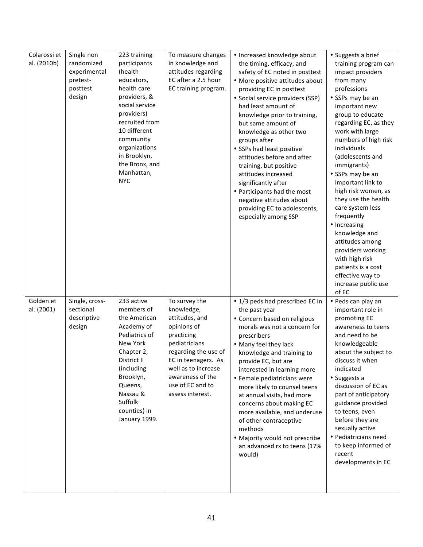| Colarossi et<br>al. (2010b) | Single non<br>randomized<br>experimental<br>pretest-<br>posttest<br>design | 223 training<br>participants<br>(health<br>educators,<br>health care<br>providers, &<br>social service<br>providers)<br>recruited from<br>10 different<br>community<br>organizations<br>in Brooklyn,<br>the Bronx, and<br>Manhattan,<br><b>NYC</b> | To measure changes<br>in knowledge and<br>attitudes regarding<br>EC after a 2.5 hour<br>EC training program.                                                                                                                  | • Increased knowledge about<br>the timing, efficacy, and<br>safety of EC noted in posttest<br>• More positive attitudes about<br>providing EC in posttest<br>• Social service providers (SSP)<br>had least amount of<br>knowledge prior to training,<br>but same amount of<br>knowledge as other two<br>groups after<br>• SSPs had least positive<br>attitudes before and after<br>training, but positive<br>attitudes increased<br>significantly after<br>• Participants had the most<br>negative attitudes about<br>providing EC to adolescents,<br>especially among SSP | • Suggests a brief<br>training program can<br>impact providers<br>from many<br>professions<br>• SSPs may be an<br>important new<br>group to educate<br>regarding EC, as they<br>work with large<br>numbers of high risk<br>individuals<br>(adolescents and<br>immigrants)<br>• SSPs may be an<br>important link to<br>high risk women, as<br>they use the health<br>care system less<br>frequently<br>• Increasing<br>knowledge and<br>attitudes among<br>providers working<br>with high risk<br>patients is a cost<br>effective way to<br>increase public use<br>of EC |
|-----------------------------|----------------------------------------------------------------------------|----------------------------------------------------------------------------------------------------------------------------------------------------------------------------------------------------------------------------------------------------|-------------------------------------------------------------------------------------------------------------------------------------------------------------------------------------------------------------------------------|----------------------------------------------------------------------------------------------------------------------------------------------------------------------------------------------------------------------------------------------------------------------------------------------------------------------------------------------------------------------------------------------------------------------------------------------------------------------------------------------------------------------------------------------------------------------------|-------------------------------------------------------------------------------------------------------------------------------------------------------------------------------------------------------------------------------------------------------------------------------------------------------------------------------------------------------------------------------------------------------------------------------------------------------------------------------------------------------------------------------------------------------------------------|
| Golden et<br>al. (2001)     | Single, cross-<br>sectional<br>descriptive<br>design                       | 233 active<br>members of<br>the American<br>Academy of<br>Pediatrics of<br>New York<br>Chapter 2,<br>District II<br>(including<br>Brooklyn,<br>Queens,<br>Nassau &<br>Suffolk<br>counties) in<br>January 1999.                                     | To survey the<br>knowledge,<br>attitudes, and<br>opinions of<br>practicing<br>pediatricians<br>regarding the use of<br>EC in teenagers. As<br>well as to increase<br>awareness of the<br>use of EC and to<br>assess interest. | • 1/3 peds had prescribed EC in<br>the past year<br>• Concern based on religious<br>morals was not a concern for<br>prescribers<br>• Many feel they lack<br>knowledge and training to<br>provide EC, but are<br>interested in learning more<br>• Female pediatricians were<br>more likely to counsel teens<br>at annual visits, had more<br>concerns about making EC<br>more available, and underuse<br>of other contraceptive<br>methods<br>• Majority would not prescribe<br>an advanced rx to teens (17%<br>would)                                                      | • Peds can play an<br>important role in<br>promoting EC<br>awareness to teens<br>and need to be<br>knowledgeable<br>about the subject to<br>discuss it when<br>indicated<br>• Suggests a<br>discussion of EC as<br>part of anticipatory<br>guidance provided<br>to teens, even<br>before they are<br>sexually active<br>• Pediatricians need<br>to keep informed of<br>recent<br>developments in EC                                                                                                                                                                     |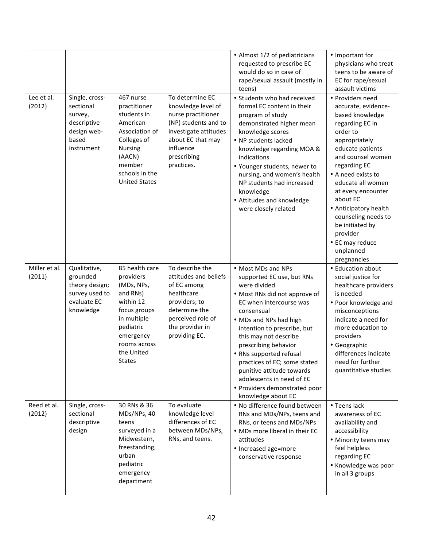|                         |                                                                                             |                                                                                                                                                                            |                                                                                                                                                                             | • Almost 1/2 of pediatricians<br>requested to prescribe EC<br>would do so in case of<br>rape/sexual assault (mostly in<br>teens)                                                                                                                                                                                                                                                                                                | • Important for<br>physicians who treat<br>teens to be aware of<br>EC for rape/sexual<br>assault victims                                                                                                                                                                                                                                                                       |
|-------------------------|---------------------------------------------------------------------------------------------|----------------------------------------------------------------------------------------------------------------------------------------------------------------------------|-----------------------------------------------------------------------------------------------------------------------------------------------------------------------------|---------------------------------------------------------------------------------------------------------------------------------------------------------------------------------------------------------------------------------------------------------------------------------------------------------------------------------------------------------------------------------------------------------------------------------|--------------------------------------------------------------------------------------------------------------------------------------------------------------------------------------------------------------------------------------------------------------------------------------------------------------------------------------------------------------------------------|
| Lee et al.<br>(2012)    | Single, cross-<br>sectional<br>survey,<br>descriptive<br>design web-<br>based<br>instrument | 467 nurse<br>practitioner<br>students in<br>American<br>Association of<br>Colleges of<br><b>Nursing</b><br>(AACN)<br>member<br>schools in the<br><b>United States</b>      | To determine EC<br>knowledge level of<br>nurse practitioner<br>(NP) students and to<br>investigate attitudes<br>about EC that may<br>influence<br>prescribing<br>practices. | • Students who had received<br>formal EC content in their<br>program of study<br>demonstrated higher mean<br>knowledge scores<br>• NP students lacked<br>knowledge regarding MOA &<br>indications<br>• Younger students, newer to<br>nursing, and women's health<br>NP students had increased<br>knowledge<br>• Attitudes and knowledge<br>were closely related                                                                 | • Providers need<br>accurate, evidence-<br>based knowledge<br>regarding EC in<br>order to<br>appropriately<br>educate patients<br>and counsel women<br>regarding EC<br>• A need exists to<br>educate all women<br>at every encounter<br>about EC<br>• Anticipatory health<br>counseling needs to<br>be initiated by<br>provider<br>• EC may reduce<br>unplanned<br>pregnancies |
| Miller et al.<br>(2011) | Qualitative,<br>grounded<br>theory design;<br>survey used to<br>evaluate EC<br>knowledge    | 85 health care<br>providers<br>(MDs, NPs,<br>and RNs)<br>within 12<br>focus groups<br>in multiple<br>pediatric<br>emergency<br>rooms across<br>the United<br><b>States</b> | To describe the<br>attitudes and beliefs<br>of EC among<br>healthcare<br>providers; to<br>determine the<br>perceived role of<br>the provider in<br>providing EC.            | • Most MDs and NPs<br>supported EC use, but RNs<br>were divided<br>• Most RNs did not approve of<br>EC when intercourse was<br>consensual<br>• MDs and NPs had high<br>intention to prescribe, but<br>this may not describe<br>prescribing behavior<br>• RNs supported refusal<br>practices of EC; some stated<br>punitive attitude towards<br>adolescents in need of EC<br>• Providers demonstrated poor<br>knowledge about EC | • Education about<br>social justice for<br>healthcare providers<br>is needed<br>• Poor knowledge and<br>misconceptions<br>indicate a need for<br>more education to<br>providers<br>• Geographic<br>differences indicate<br>need for further<br>quantitative studies                                                                                                            |
| Reed et al.<br>(2012)   | Single, cross-<br>sectional<br>descriptive<br>design                                        | 30 RNs & 36<br>MDs/NPs, 40<br>teens<br>surveyed in a<br>Midwestern,<br>freestanding,<br>urban<br>pediatric<br>emergency<br>department                                      | To evaluate<br>knowledge level<br>differences of EC<br>between MDs/NPs,<br>RNs, and teens.                                                                                  | . No difference found between<br>RNs and MDs/NPs, teens and<br>RNs, or teens and MDs/NPs<br>. MDs more liberal in their EC<br>attitudes<br>• Increased age=more<br>conservative response                                                                                                                                                                                                                                        | • Teens lack<br>awareness of EC<br>availability and<br>accessibility<br>• Minority teens may<br>feel helpless<br>regarding EC<br>• Knowledge was poor<br>in all 3 groups                                                                                                                                                                                                       |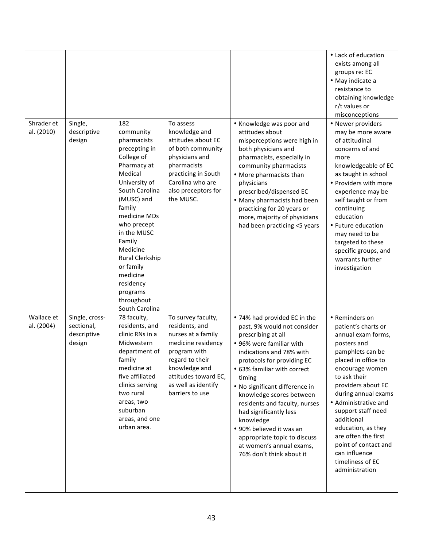|                          |                                                       |                                                                                                                                                                                                                                                                                                                              |                                                                                                                                                                                                        |                                                                                                                                                                                                                                                                                                                                                                                                                                                                            | • Lack of education<br>exists among all<br>groups re: EC<br>• May indicate a<br>resistance to<br>obtaining knowledge<br>r/t values or<br>misconceptions                                                                                                                                                                                                                                       |
|--------------------------|-------------------------------------------------------|------------------------------------------------------------------------------------------------------------------------------------------------------------------------------------------------------------------------------------------------------------------------------------------------------------------------------|--------------------------------------------------------------------------------------------------------------------------------------------------------------------------------------------------------|----------------------------------------------------------------------------------------------------------------------------------------------------------------------------------------------------------------------------------------------------------------------------------------------------------------------------------------------------------------------------------------------------------------------------------------------------------------------------|-----------------------------------------------------------------------------------------------------------------------------------------------------------------------------------------------------------------------------------------------------------------------------------------------------------------------------------------------------------------------------------------------|
| Shrader et<br>al. (2010) | Single,<br>descriptive<br>design                      | 182<br>community<br>pharmacists<br>precepting in<br>College of<br>Pharmacy at<br>Medical<br>University of<br>South Carolina<br>(MUSC) and<br>family<br>medicine MDs<br>who precept<br>in the MUSC<br>Family<br>Medicine<br>Rural Clerkship<br>or family<br>medicine<br>residency<br>programs<br>throughout<br>South Carolina | To assess<br>knowledge and<br>attitudes about EC<br>of both community<br>physicians and<br>pharmacists<br>practicing in South<br>Carolina who are<br>also preceptors for<br>the MUSC.                  | • Knowledge was poor and<br>attitudes about<br>misperceptions were high in<br>both physicians and<br>pharmacists, especially in<br>community pharmacists<br>• More pharmacists than<br>physicians<br>prescribed/dispensed EC<br>• Many pharmacists had been<br>practicing for 20 years or<br>more, majority of physicians<br>had been practicing <5 years                                                                                                                  | • Newer providers<br>may be more aware<br>of attitudinal<br>concerns of and<br>more<br>knowledgeable of EC<br>as taught in school<br>• Providers with more<br>experience may be<br>self taught or from<br>continuing<br>education<br>• Future education<br>may need to be<br>targeted to these<br>specific groups, and<br>warrants further<br>investigation                                   |
| Wallace et<br>al. (2004) | Single, cross-<br>sectional,<br>descriptive<br>design | 78 faculty,<br>residents, and<br>clinic RNs in a<br>Midwestern<br>department of<br>family<br>medicine at<br>five affiliated<br>clinics serving<br>two rural<br>areas, two<br>suburban<br>areas, and one<br>urban area.                                                                                                       | To survey faculty,<br>residents, and<br>nurses at a family<br>medicine residency<br>program with<br>regard to their<br>knowledge and<br>attitudes toward EC,<br>as well as identify<br>barriers to use | • 74% had provided EC in the<br>past, 9% would not consider<br>prescribing at all<br>• 96% were familiar with<br>indications and 78% with<br>protocols for providing EC<br>• 63% familiar with correct<br>timing<br>• No significant difference in<br>knowledge scores between<br>residents and faculty, nurses<br>had significantly less<br>knowledge<br>• 90% believed it was an<br>appropriate topic to discuss<br>at women's annual exams,<br>76% don't think about it | • Reminders on<br>patient's charts or<br>annual exam forms,<br>posters and<br>pamphlets can be<br>placed in office to<br>encourage women<br>to ask their<br>providers about EC<br>during annual exams<br>• Administrative and<br>support staff need<br>additional<br>education, as they<br>are often the first<br>point of contact and<br>can influence<br>timeliness of EC<br>administration |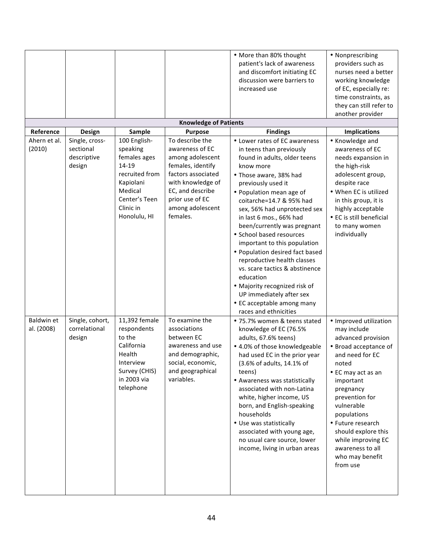|                          |                                                      |                                                                                                                                           | <b>Knowledge of Patients</b>                                                                                                                                                                  | • More than 80% thought<br>patient's lack of awareness<br>and discomfort initiating EC<br>discussion were barriers to<br>increased use                                                                                                                                                                                                                                                                                                                                                                                                                                                                    | • Nonprescribing<br>providers such as<br>nurses need a better<br>working knowledge<br>of EC, especially re:<br>time constraints, as<br>they can still refer to<br>another provider                                                                                                                                                   |
|--------------------------|------------------------------------------------------|-------------------------------------------------------------------------------------------------------------------------------------------|-----------------------------------------------------------------------------------------------------------------------------------------------------------------------------------------------|-----------------------------------------------------------------------------------------------------------------------------------------------------------------------------------------------------------------------------------------------------------------------------------------------------------------------------------------------------------------------------------------------------------------------------------------------------------------------------------------------------------------------------------------------------------------------------------------------------------|--------------------------------------------------------------------------------------------------------------------------------------------------------------------------------------------------------------------------------------------------------------------------------------------------------------------------------------|
| Reference                | Design                                               | Sample                                                                                                                                    | <b>Purpose</b>                                                                                                                                                                                | <b>Findings</b>                                                                                                                                                                                                                                                                                                                                                                                                                                                                                                                                                                                           | <b>Implications</b>                                                                                                                                                                                                                                                                                                                  |
| Ahern et al.<br>(2010)   | Single, cross-<br>sectional<br>descriptive<br>design | 100 English-<br>speaking<br>females ages<br>14-19<br>recruited from<br>Kapiolani<br>Medical<br>Center's Teen<br>Clinic in<br>Honolulu, HI | To describe the<br>awareness of EC<br>among adolescent<br>females, identify<br>factors associated<br>with knowledge of<br>EC, and describe<br>prior use of EC<br>among adolescent<br>females. | • Lower rates of EC awareness<br>in teens than previously<br>found in adults, older teens<br>know more<br>• Those aware, 38% had<br>previously used it<br>• Population mean age of<br>coitarche=14.7 & 95% had<br>sex, 56% had unprotected sex<br>in last 6 mos., 66% had<br>been/currently was pregnant<br>· School based resources<br>important to this population<br>• Population desired fact based<br>reproductive health classes<br>vs. scare tactics & abstinence<br>education<br>. Majority recognized risk of<br>UP immediately after sex<br>• EC acceptable among many<br>races and ethnicities | • Knowledge and<br>awareness of EC<br>needs expansion in<br>the high-risk<br>adolescent group,<br>despite race<br>• When EC is utilized<br>in this group, it is<br>highly acceptable<br>• EC is still beneficial<br>to many women<br>individually                                                                                    |
| Baldwin et<br>al. (2008) | Single, cohort,<br>correlational<br>design           | 11,392 female<br>respondents<br>to the<br>California<br>Health<br>Interview<br>Survey (CHIS)<br>in 2003 via<br>telephone                  | To examine the<br>associations<br>between EC<br>awareness and use<br>and demographic,<br>social, economic,<br>and geographical<br>variables.                                                  | • 75.7% women & teens stated<br>knowledge of EC (76.5%<br>adults, 67.6% teens)<br>• 4.0% of those knowledgeable<br>had used EC in the prior year<br>(3.6% of adults, 14.1% of<br>teens)<br>• Awareness was statistically<br>associated with non-Latina<br>white, higher income, US<br>born, and English-speaking<br>households<br>• Use was statistically<br>associated with young age,<br>no usual care source, lower<br>income, living in urban areas                                                                                                                                                   | · Improved utilization<br>may include<br>advanced provision<br>• Broad acceptance of<br>and need for EC<br>noted<br>• EC may act as an<br>important<br>pregnancy<br>prevention for<br>vulnerable<br>populations<br>• Future research<br>should explore this<br>while improving EC<br>awareness to all<br>who may benefit<br>from use |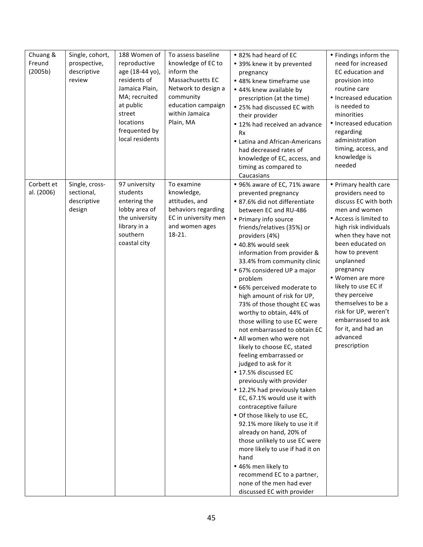| Chuang &<br>Freund<br>(2005b) | Single, cohort,<br>prospective,<br>descriptive<br>review | 188 Women of<br>reproductive<br>age (18-44 yo),<br>residents of<br>Jamaica Plain,<br>MA; recruited<br>at public<br>street<br>locations<br>frequented by<br>local residents | To assess baseline<br>knowledge of EC to<br>inform the<br>Massachusetts EC<br>Network to design a<br>community<br>education campaign<br>within Jamaica<br>Plain, MA | • 82% had heard of EC<br>• 39% knew it by prevented<br>pregnancy<br>• 48% knew timeframe use<br>• 44% knew available by<br>prescription (at the time)<br>• 25% had discussed EC with<br>their provider<br>• 12% had received an advance<br><b>Rx</b><br>• Latina and African-Americans<br>had decreased rates of<br>knowledge of EC, access, and<br>timing as compared to<br>Caucasians                                                                                                                                                                                                                                                                                                                                                                                                                                                                                                                                                                                                                                                                        | • Findings inform the<br>need for increased<br>EC education and<br>provision into<br>routine care<br>• Increased education<br>is needed to<br>minorities<br>• Increased education<br>regarding<br>administration<br>timing, access, and<br>knowledge is<br>needed                                                                                                                                              |
|-------------------------------|----------------------------------------------------------|----------------------------------------------------------------------------------------------------------------------------------------------------------------------------|---------------------------------------------------------------------------------------------------------------------------------------------------------------------|----------------------------------------------------------------------------------------------------------------------------------------------------------------------------------------------------------------------------------------------------------------------------------------------------------------------------------------------------------------------------------------------------------------------------------------------------------------------------------------------------------------------------------------------------------------------------------------------------------------------------------------------------------------------------------------------------------------------------------------------------------------------------------------------------------------------------------------------------------------------------------------------------------------------------------------------------------------------------------------------------------------------------------------------------------------|----------------------------------------------------------------------------------------------------------------------------------------------------------------------------------------------------------------------------------------------------------------------------------------------------------------------------------------------------------------------------------------------------------------|
| Corbett et<br>al. (2006)      | Single, cross-<br>sectional,<br>descriptive<br>design    | 97 university<br>students<br>entering the<br>lobby area of<br>the university<br>library in a<br>southern<br>coastal city                                                   | To examine<br>knowledge,<br>attitudes, and<br>behaviors regarding<br>EC in university men<br>and women ages<br>$18-21.$                                             | • 96% aware of EC, 71% aware<br>prevented pregnancy<br>• 87.6% did not differentiate<br>between EC and RU-486<br>• Primary info source<br>friends/relatives (35%) or<br>providers (4%)<br>• 40.8% would seek<br>information from provider &<br>33.4% from community clinic<br>• 67% considered UP a major<br>problem<br>• 66% perceived moderate to<br>high amount of risk for UP,<br>73% of those thought EC was<br>worthy to obtain, 44% of<br>those willing to use EC were<br>not embarrassed to obtain EC<br>• All women who were not<br>likely to choose EC, stated<br>feeling embarrassed or<br>judged to ask for it<br>• 17.5% discussed EC<br>previously with provider<br>• 12.2% had previously taken<br>EC, 67.1% would use it with<br>contraceptive failure<br>. Of those likely to use EC,<br>92.1% more likely to use it if<br>already on hand, 20% of<br>those unlikely to use EC were<br>more likely to use if had it on<br>hand<br>• 46% men likely to<br>recommend EC to a partner,<br>none of the men had ever<br>discussed EC with provider | • Primary health care<br>providers need to<br>discuss EC with both<br>men and women<br>• Access is limited to<br>high risk individuals<br>when they have not<br>been educated on<br>how to prevent<br>unplanned<br>pregnancy<br>• Women are more<br>likely to use EC if<br>they perceive<br>themselves to be a<br>risk for UP, weren't<br>embarrassed to ask<br>for it, and had an<br>advanced<br>prescription |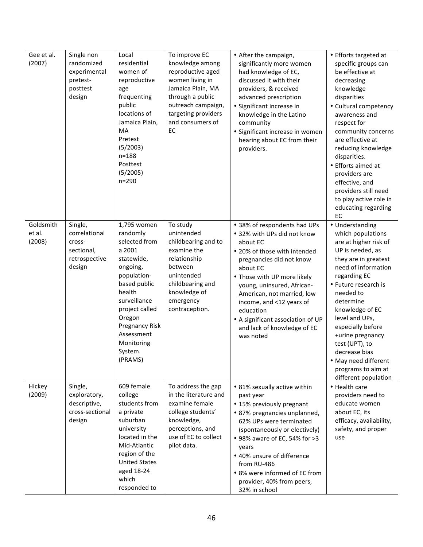| Gee et al.<br>(2007)          | Single non<br>randomized<br>experimental<br>pretest-<br>posttest<br>design  | Local<br>residential<br>women of<br>reproductive<br>age<br>frequenting<br>public<br>locations of<br>Jamaica Plain,<br>MA<br>Pretest<br>(5/2003)<br>$n = 188$<br>Posttest<br>(5/2005)<br>$n = 290$                                    | To improve EC<br>knowledge among<br>reproductive aged<br>women living in<br>Jamaica Plain, MA<br>through a public<br>outreach campaign,<br>targeting providers<br>and consumers of<br>EC | • After the campaign,<br>significantly more women<br>had knowledge of EC,<br>discussed it with their<br>providers, & received<br>advanced prescription<br>· Significant increase in<br>knowledge in the Latino<br>community<br>· Significant increase in women<br>hearing about EC from their<br>providers.                                                          | • Efforts targeted at<br>specific groups can<br>be effective at<br>decreasing<br>knowledge<br>disparities<br>• Cultural competency<br>awareness and<br>respect for<br>community concerns<br>are effective at<br>reducing knowledge<br>disparities.<br>• Efforts aimed at<br>providers are<br>effective, and<br>providers still need<br>to play active role in<br>educating regarding<br>EC |
|-------------------------------|-----------------------------------------------------------------------------|--------------------------------------------------------------------------------------------------------------------------------------------------------------------------------------------------------------------------------------|------------------------------------------------------------------------------------------------------------------------------------------------------------------------------------------|----------------------------------------------------------------------------------------------------------------------------------------------------------------------------------------------------------------------------------------------------------------------------------------------------------------------------------------------------------------------|--------------------------------------------------------------------------------------------------------------------------------------------------------------------------------------------------------------------------------------------------------------------------------------------------------------------------------------------------------------------------------------------|
| Goldsmith<br>et al.<br>(2008) | Single,<br>correlational<br>cross-<br>sectional,<br>retrospective<br>design | 1,795 women<br>randomly<br>selected from<br>a 2001<br>statewide,<br>ongoing,<br>population-<br>based public<br>health<br>surveillance<br>project called<br>Oregon<br>Pregnancy Risk<br>Assessment<br>Monitoring<br>System<br>(PRAMS) | To study<br>unintended<br>childbearing and to<br>examine the<br>relationship<br>between<br>unintended<br>childbearing and<br>knowledge of<br>emergency<br>contraception.                 | • 38% of respondents had UPs<br>. 32% with UPs did not know<br>about EC<br>• 20% of those with intended<br>pregnancies did not know<br>about EC<br>• Those with UP more likely<br>young, uninsured, African-<br>American, not married, low<br>income, and <12 years of<br>education<br>• A significant association of UP<br>and lack of knowledge of EC<br>was noted | • Understanding<br>which populations<br>are at higher risk of<br>UP is needed, as<br>they are in greatest<br>need of information<br>regarding EC<br>• Future research is<br>needed to<br>determine<br>knowledge of EC<br>level and UPs,<br>especially before<br>+urine pregnancy<br>test (UPT), to<br>decrease bias<br>• May need different<br>programs to aim at<br>different population  |
| Hickey<br>(2009)              | Single,<br>exploratory,<br>descriptive,<br>cross-sectional<br>design        | 609 female<br>college<br>students from<br>a private<br>suburban<br>university<br>located in the<br>Mid-Atlantic<br>region of the<br><b>United States</b><br>aged 18-24<br>which<br>responded to                                      | To address the gap<br>in the literature and<br>examine female<br>college students'<br>knowledge,<br>perceptions, and<br>use of EC to collect<br>pilot data.                              | • 81% sexually active within<br>past year<br>• 15% previously pregnant<br>• 87% pregnancies unplanned,<br>62% UPs were terminated<br>(spontaneously or electively)<br>• 98% aware of EC, 54% for >3<br>years<br>• 40% unsure of difference<br>from RU-486<br>• 8% were informed of EC from<br>provider, 40% from peers,<br>32% in school                             | • Health care<br>providers need to<br>educate women<br>about EC, its<br>efficacy, availability,<br>safety, and proper<br>use                                                                                                                                                                                                                                                               |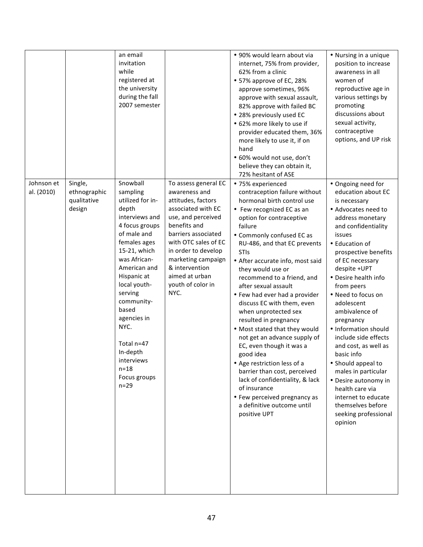|                          |                                                  | an email<br>invitation<br>while<br>registered at<br>the university<br>during the fall<br>2007 semester                                                                                                                                                                                                                                     |                                                                                                                                                                                                                                                                                      | · 90% would learn about via<br>internet, 75% from provider,<br>62% from a clinic<br>• 57% approve of EC, 28%<br>approve sometimes, 96%<br>approve with sexual assault,<br>82% approve with failed BC<br>• 28% previously used EC<br>• 62% more likely to use if<br>provider educated them, 36%<br>more likely to use it, if on<br>hand<br>· 60% would not use, don't<br>believe they can obtain it,<br>72% hesitant of ASE                                                                                                                                                                                                                                                                                                                                         | • Nursing in a unique<br>position to increase<br>awareness in all<br>women of<br>reproductive age in<br>various settings by<br>promoting<br>discussions about<br>sexual activity,<br>contraceptive<br>options, and UP risk                                                                                                                                                                                                                                                                                                                                                              |
|--------------------------|--------------------------------------------------|--------------------------------------------------------------------------------------------------------------------------------------------------------------------------------------------------------------------------------------------------------------------------------------------------------------------------------------------|--------------------------------------------------------------------------------------------------------------------------------------------------------------------------------------------------------------------------------------------------------------------------------------|--------------------------------------------------------------------------------------------------------------------------------------------------------------------------------------------------------------------------------------------------------------------------------------------------------------------------------------------------------------------------------------------------------------------------------------------------------------------------------------------------------------------------------------------------------------------------------------------------------------------------------------------------------------------------------------------------------------------------------------------------------------------|-----------------------------------------------------------------------------------------------------------------------------------------------------------------------------------------------------------------------------------------------------------------------------------------------------------------------------------------------------------------------------------------------------------------------------------------------------------------------------------------------------------------------------------------------------------------------------------------|
| Johnson et<br>al. (2010) | Single,<br>ethnographic<br>qualitative<br>design | Snowball<br>sampling<br>utilized for in-<br>depth<br>interviews and<br>4 focus groups<br>of male and<br>females ages<br>15-21, which<br>was African-<br>American and<br>Hispanic at<br>local youth-<br>serving<br>community-<br>based<br>agencies in<br>NYC.<br>Total n=47<br>In-depth<br>interviews<br>$n = 18$<br>Focus groups<br>$n=29$ | To assess general EC<br>awareness and<br>attitudes, factors<br>associated with EC<br>use, and perceived<br>benefits and<br>barriers associated<br>with OTC sales of EC<br>in order to develop<br>marketing campaign<br>& intervention<br>aimed at urban<br>youth of color in<br>NYC. | • 75% experienced<br>contraception failure without<br>hormonal birth control use<br>• Few recognized EC as an<br>option for contraceptive<br>failure<br>• Commonly confused EC as<br>RU-486, and that EC prevents<br>STIs<br>• After accurate info, most said<br>they would use or<br>recommend to a friend, and<br>after sexual assault<br>• Few had ever had a provider<br>discuss EC with them, even<br>when unprotected sex<br>resulted in pregnancy<br>. Most stated that they would<br>not get an advance supply of<br>EC, even though it was a<br>good idea<br>• Age restriction less of a<br>barrier than cost, perceived<br>lack of confidentiality, & lack<br>of insurance<br>• Few perceived pregnancy as<br>a definitive outcome until<br>positive UPT | • Ongoing need for<br>education about EC<br>is necessary<br>• Advocates need to<br>address monetary<br>and confidentiality<br>issues<br>• Education of<br>prospective benefits<br>of EC necessary<br>despite +UPT<br>• Desire health info<br>from peers<br>• Need to focus on<br>adolescent<br>ambivalence of<br>pregnancy<br>• Information should<br>include side effects<br>and cost, as well as<br>basic info<br>• Should appeal to<br>males in particular<br>• Desire autonomy in<br>health care via<br>internet to educate<br>themselves before<br>seeking professional<br>opinion |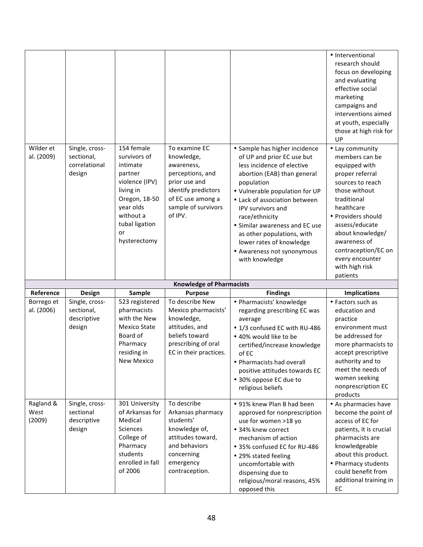|                             |                                                         |                                                                                                                                                                     |                                                                                                                                                              |                                                                                                                                                                                                                                                                                                                                                                                              | • Interventional<br>research should<br>focus on developing<br>and evaluating<br>effective social<br>marketing<br>campaigns and<br>interventions aimed<br>at youth, especially<br>those at high risk for<br>UP                                                                               |
|-----------------------------|---------------------------------------------------------|---------------------------------------------------------------------------------------------------------------------------------------------------------------------|--------------------------------------------------------------------------------------------------------------------------------------------------------------|----------------------------------------------------------------------------------------------------------------------------------------------------------------------------------------------------------------------------------------------------------------------------------------------------------------------------------------------------------------------------------------------|---------------------------------------------------------------------------------------------------------------------------------------------------------------------------------------------------------------------------------------------------------------------------------------------|
| Wilder et<br>al. (2009)     | Single, cross-<br>sectional,<br>correlational<br>design | 154 female<br>survivors of<br>intimate<br>partner<br>violence (IPV)<br>living in<br>Oregon, 18-50<br>year olds<br>without a<br>tubal ligation<br>or<br>hysterectomy | To examine EC<br>knowledge,<br>awareness,<br>perceptions, and<br>prior use and<br>identify predictors<br>of EC use among a<br>sample of survivors<br>of IPV. | • Sample has higher incidence<br>of UP and prior EC use but<br>less incidence of elective<br>abortion (EAB) than general<br>population<br>• Vulnerable population for UP<br>• Lack of association between<br>IPV survivors and<br>race/ethnicity<br>• Similar awareness and EC use<br>as other populations, with<br>lower rates of knowledge<br>• Awareness not synonymous<br>with knowledge | • Lay community<br>members can be<br>equipped with<br>proper referral<br>sources to reach<br>those without<br>traditional<br>healthcare<br>• Providers should<br>assess/educate<br>about knowledge/<br>awareness of<br>contraception/EC on<br>every encounter<br>with high risk<br>patients |
|                             |                                                         |                                                                                                                                                                     | <b>Knowledge of Pharmacists</b>                                                                                                                              |                                                                                                                                                                                                                                                                                                                                                                                              |                                                                                                                                                                                                                                                                                             |
| Reference                   | Design                                                  | Sample                                                                                                                                                              | <b>Purpose</b>                                                                                                                                               | <b>Findings</b>                                                                                                                                                                                                                                                                                                                                                                              | <b>Implications</b>                                                                                                                                                                                                                                                                         |
| Borrego et<br>al. (2006)    | Single, cross-<br>sectional,<br>descriptive<br>design   | 523 registered<br>pharmacists<br>with the New<br><b>Mexico State</b><br>Board of<br>Pharmacy<br>residing in<br>New Mexico                                           | To describe New<br>Mexico pharmacists'<br>knowledge,<br>attitudes, and<br>beliefs toward<br>prescribing of oral<br>EC in their practices.                    | · Pharmacists' knowledge<br>regarding prescribing EC was<br>average<br>• 1/3 confused EC with RU-486<br>• 40% would like to be<br>certified/increase knowledge<br>of EC<br>• Pharmacists had overall<br>positive attitudes towards EC<br>• 30% oppose EC due to<br>religious beliefs                                                                                                         | • Factors such as<br>education and<br>practice<br>environment must<br>be addressed for<br>more pharmacists to<br>accept prescriptive<br>authority and to<br>meet the needs of<br>women seeking<br>nonprescription EC<br>products                                                            |
| Ragland &<br>West<br>(2009) | Single, cross-<br>sectional<br>descriptive<br>design    | 301 University<br>of Arkansas for<br>Medical<br>Sciences<br>College of<br>Pharmacy<br>students<br>enrolled in fall<br>of 2006                                       | To describe<br>Arkansas pharmacy<br>students'<br>knowledge of,<br>attitudes toward,<br>and behaviors<br>concerning<br>emergency<br>contraception.            | • 91% knew Plan B had been<br>approved for nonprescription<br>use for women >18 yo<br>• 34% knew correct<br>mechanism of action<br>• 35% confused EC for RU-486<br>• 29% stated feeling<br>uncomfortable with<br>dispensing due to<br>religious/moral reasons, 45%<br>opposed this                                                                                                           | • As pharmacies have<br>become the point of<br>access of EC for<br>patients, it is crucial<br>pharmacists are<br>knowledgeable<br>about this product.<br>• Pharmacy students<br>could benefit from<br>additional training in<br>EC                                                          |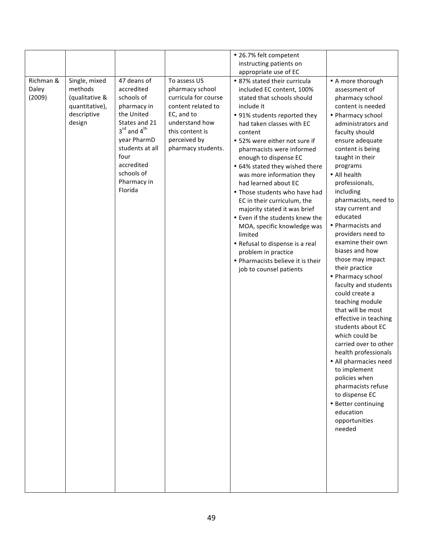|                              |                                                                                       |                                                                                                                                                                                                                              |                                                                                                                                                                        | • 26.7% felt competent<br>instructing patients on                                                                                                                                                                                                                                                                                                                                                                                                                                                                                                                                                                                                                  |                                                                                                                                                                                                                                                                                                                                                                                                                                                                                                                                                                                                                                                                                                                                                                                                                                      |
|------------------------------|---------------------------------------------------------------------------------------|------------------------------------------------------------------------------------------------------------------------------------------------------------------------------------------------------------------------------|------------------------------------------------------------------------------------------------------------------------------------------------------------------------|--------------------------------------------------------------------------------------------------------------------------------------------------------------------------------------------------------------------------------------------------------------------------------------------------------------------------------------------------------------------------------------------------------------------------------------------------------------------------------------------------------------------------------------------------------------------------------------------------------------------------------------------------------------------|--------------------------------------------------------------------------------------------------------------------------------------------------------------------------------------------------------------------------------------------------------------------------------------------------------------------------------------------------------------------------------------------------------------------------------------------------------------------------------------------------------------------------------------------------------------------------------------------------------------------------------------------------------------------------------------------------------------------------------------------------------------------------------------------------------------------------------------|
|                              |                                                                                       |                                                                                                                                                                                                                              |                                                                                                                                                                        | appropriate use of EC                                                                                                                                                                                                                                                                                                                                                                                                                                                                                                                                                                                                                                              |                                                                                                                                                                                                                                                                                                                                                                                                                                                                                                                                                                                                                                                                                                                                                                                                                                      |
| Richman &<br>Daley<br>(2009) | Single, mixed<br>methods<br>(qualitative &<br>quantitative),<br>descriptive<br>design | 47 deans of<br>accredited<br>schools of<br>pharmacy in<br>the United<br>States and 21<br>$3^{\text{rd}}$ and $4^{\text{th}}$<br>year PharmD<br>students at all<br>four<br>accredited<br>schools of<br>Pharmacy in<br>Florida | To assess US<br>pharmacy school<br>curricula for course<br>content related to<br>EC, and to<br>understand how<br>this content is<br>perceived by<br>pharmacy students. | • 87% stated their curricula<br>included EC content, 100%<br>stated that schools should<br>include it<br>• 91% students reported they<br>had taken classes with EC<br>content<br>• 52% were either not sure if<br>pharmacists were informed<br>enough to dispense EC<br>• 64% stated they wished there<br>was more information they<br>had learned about EC<br>• Those students who have had<br>EC in their curriculum, the<br>majority stated it was brief<br>• Even if the students knew the<br>MOA, specific knowledge was<br>limited<br>• Refusal to dispense is a real<br>problem in practice<br>• Pharmacists believe it is their<br>job to counsel patients | • A more thorough<br>assessment of<br>pharmacy school<br>content is needed<br>• Pharmacy school<br>administrators and<br>faculty should<br>ensure adequate<br>content is being<br>taught in their<br>programs<br>• All health<br>professionals,<br>including<br>pharmacists, need to<br>stay current and<br>educated<br>• Pharmacists and<br>providers need to<br>examine their own<br>biases and how<br>those may impact<br>their practice<br>• Pharmacy school<br>faculty and students<br>could create a<br>teaching module<br>that will be most<br>effective in teaching<br>students about EC<br>which could be<br>carried over to other<br>health professionals<br>• All pharmacies need<br>to implement<br>policies when<br>pharmacists refuse<br>to dispense EC<br>• Better continuing<br>education<br>opportunities<br>needed |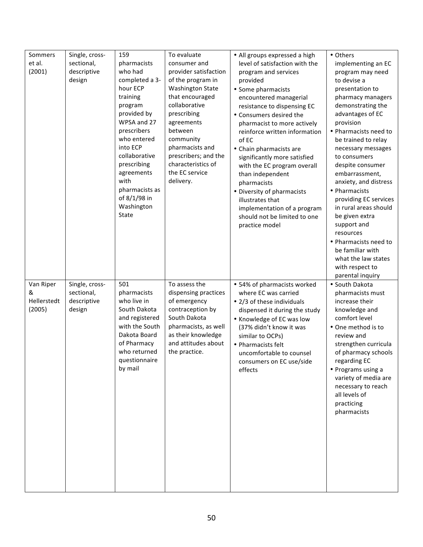| Sommers<br>et al.<br>(2001)             | Single, cross-<br>sectional,<br>descriptive<br>design | 159<br>pharmacists<br>who had<br>completed a 3-<br>hour ECP<br>training<br>program<br>provided by<br>WPSA and 27<br>prescribers<br>who entered<br>into ECP<br>collaborative<br>prescribing<br>agreements<br>with<br>pharmacists as<br>of 8/1/98 in<br>Washington<br>State | To evaluate<br>consumer and<br>provider satisfaction<br>of the program in<br><b>Washington State</b><br>that encouraged<br>collaborative<br>prescribing<br>agreements<br>between<br>community<br>pharmacists and<br>prescribers; and the<br>characteristics of<br>the EC service<br>delivery. | • All groups expressed a high<br>level of satisfaction with the<br>program and services<br>provided<br>• Some pharmacists<br>encountered managerial<br>resistance to dispensing EC<br>• Consumers desired the<br>pharmacist to more actively<br>reinforce written information<br>of EC<br>• Chain pharmacists are<br>significantly more satisfied<br>with the EC program overall<br>than independent<br>pharmacists<br>• Diversity of pharmacists<br>illustrates that<br>implementation of a program<br>should not be limited to one<br>practice model | • Others<br>implementing an EC<br>program may need<br>to devise a<br>presentation to<br>pharmacy managers<br>demonstrating the<br>advantages of EC<br>provision<br>• Pharmacists need to<br>be trained to relay<br>necessary messages<br>to consumers<br>despite consumer<br>embarrassment,<br>anxiety, and distress<br>• Pharmacists<br>providing EC services<br>in rural areas should<br>be given extra<br>support and<br>resources<br>• Pharmacists need to<br>be familiar with<br>what the law states<br>with respect to |
|-----------------------------------------|-------------------------------------------------------|---------------------------------------------------------------------------------------------------------------------------------------------------------------------------------------------------------------------------------------------------------------------------|-----------------------------------------------------------------------------------------------------------------------------------------------------------------------------------------------------------------------------------------------------------------------------------------------|--------------------------------------------------------------------------------------------------------------------------------------------------------------------------------------------------------------------------------------------------------------------------------------------------------------------------------------------------------------------------------------------------------------------------------------------------------------------------------------------------------------------------------------------------------|------------------------------------------------------------------------------------------------------------------------------------------------------------------------------------------------------------------------------------------------------------------------------------------------------------------------------------------------------------------------------------------------------------------------------------------------------------------------------------------------------------------------------|
| Van Riper<br>&<br>Hellerstedt<br>(2005) | Single, cross-<br>sectional,<br>descriptive<br>design | 501<br>pharmacists<br>who live in<br>South Dakota<br>and registered<br>with the South<br>Dakota Board<br>of Pharmacy<br>who returned<br>questionnaire<br>by mail                                                                                                          | To assess the<br>dispensing practices<br>of emergency<br>contraception by<br>South Dakota<br>pharmacists, as well<br>as their knowledge<br>and attitudes about<br>the practice.                                                                                                               | • 54% of pharmacists worked<br>where EC was carried<br>• 2/3 of these individuals<br>dispensed it during the study<br>• Knowledge of EC was low<br>(37% didn't know it was<br>similar to OCPs)<br>• Pharmacists felt<br>uncomfortable to counsel<br>consumers on EC use/side<br>effects                                                                                                                                                                                                                                                                | parental inquiry<br>• South Dakota<br>pharmacists must<br>increase their<br>knowledge and<br>comfort level<br>• One method is to<br>review and<br>strengthen curricula<br>of pharmacy schools<br>regarding EC<br>• Programs using a<br>variety of media are<br>necessary to reach<br>all levels of<br>practicing<br>pharmacists                                                                                                                                                                                              |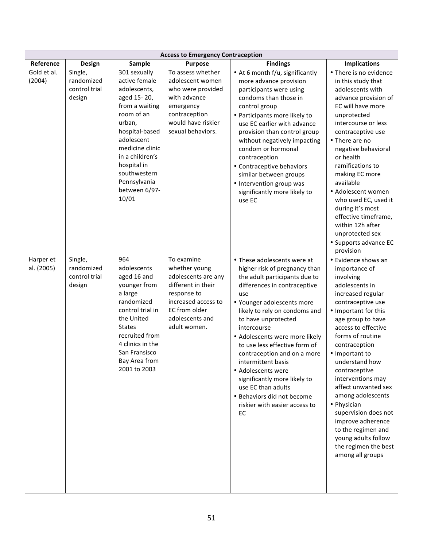| <b>Access to Emergency Contraception</b> |                                                  |                                                                                                                                                                                                                                                       |                                                                                                                                                                    |                                                                                                                                                                                                                                                                                                                                                                                                                                                                                                                    |                                                                                                                                                                                                                                                                                                                                                                                                                                                                                                   |
|------------------------------------------|--------------------------------------------------|-------------------------------------------------------------------------------------------------------------------------------------------------------------------------------------------------------------------------------------------------------|--------------------------------------------------------------------------------------------------------------------------------------------------------------------|--------------------------------------------------------------------------------------------------------------------------------------------------------------------------------------------------------------------------------------------------------------------------------------------------------------------------------------------------------------------------------------------------------------------------------------------------------------------------------------------------------------------|---------------------------------------------------------------------------------------------------------------------------------------------------------------------------------------------------------------------------------------------------------------------------------------------------------------------------------------------------------------------------------------------------------------------------------------------------------------------------------------------------|
| Reference                                | Design                                           | Sample                                                                                                                                                                                                                                                | <b>Purpose</b>                                                                                                                                                     | <b>Findings</b>                                                                                                                                                                                                                                                                                                                                                                                                                                                                                                    | <b>Implications</b>                                                                                                                                                                                                                                                                                                                                                                                                                                                                               |
| Gold et al.<br>(2004)                    | Single,<br>randomized<br>control trial<br>design | 301 sexually<br>active female<br>adolescents,<br>aged 15-20,<br>from a waiting<br>room of an<br>urban,<br>hospital-based<br>adolescent<br>medicine clinic<br>in a children's<br>hospital in<br>southwestern<br>Pennsylvania<br>between 6/97-<br>10/01 | To assess whether<br>adolescent women<br>who were provided<br>with advance<br>emergency<br>contraception<br>would have riskier<br>sexual behaviors.                | • At 6 month f/u, significantly<br>more advance provision<br>participants were using<br>condoms than those in<br>control group<br>• Participants more likely to<br>use EC earlier with advance<br>provision than control group<br>without negatively impacting<br>condom or hormonal<br>contraception<br>• Contraceptive behaviors<br>similar between groups<br>• Intervention group was<br>significantly more likely to<br>use EC                                                                                 | • There is no evidence<br>in this study that<br>adolescents with<br>advance provision of<br>EC will have more<br>unprotected<br>intercourse or less<br>contraceptive use<br>• There are no<br>negative behavioral<br>or health<br>ramifications to<br>making EC more<br>available<br>• Adolescent women<br>who used EC, used it<br>during it's most<br>effective timeframe,<br>within 12h after<br>unprotected sex<br>• Supports advance EC<br>provision                                          |
| Harper et<br>al. (2005)                  | Single,<br>randomized<br>control trial<br>design | 964<br>adolescents<br>aged 16 and<br>younger from<br>a large<br>randomized<br>control trial in<br>the United<br><b>States</b><br>recruited from<br>4 clinics in the<br>San Fransisco<br>Bay Area from<br>2001 to 2003                                 | To examine<br>whether young<br>adolescents are any<br>different in their<br>response to<br>increased access to<br>EC from older<br>adolescents and<br>adult women. | • These adolescents were at<br>higher risk of pregnancy than<br>the adult participants due to<br>differences in contraceptive<br>use<br>• Younger adolescents more<br>likely to rely on condoms and<br>to have unprotected<br>intercourse<br>• Adolescents were more likely<br>to use less effective form of<br>contraception and on a more<br>intermittent basis<br>• Adolescents were<br>significantly more likely to<br>use EC than adults<br>• Behaviors did not become<br>riskier with easier access to<br>EC | • Evidence shows an<br>importance of<br>involving<br>adolescents in<br>increased regular<br>contraceptive use<br>• Important for this<br>age group to have<br>access to effective<br>forms of routine<br>contraception<br>• Important to<br>understand how<br>contraceptive<br>interventions may<br>affect unwanted sex<br>among adolescents<br>• Physician<br>supervision does not<br>improve adherence<br>to the regimen and<br>young adults follow<br>the regimen the best<br>among all groups |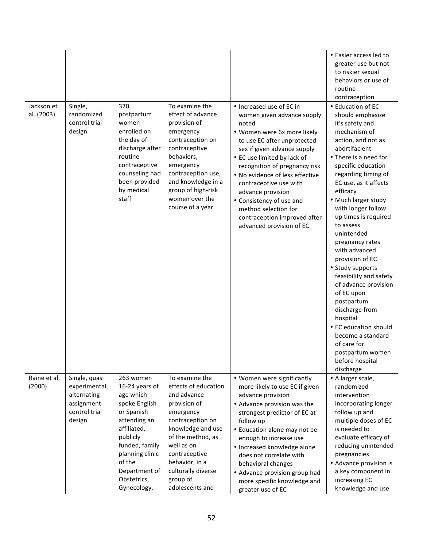|                          |                                                                                        |                                                                                                                                                                                                                  |                                                                                                                                                                                                                                                        |                                                                                                                                                                                                                                                                                                                                                                                                                                | • Easier access led to<br>greater use but not<br>to riskier sexual<br>behaviors or use of<br>routine<br>contraception                                                                                                                                                                                                                                                                                                                                                                                                                                                                                                              |
|--------------------------|----------------------------------------------------------------------------------------|------------------------------------------------------------------------------------------------------------------------------------------------------------------------------------------------------------------|--------------------------------------------------------------------------------------------------------------------------------------------------------------------------------------------------------------------------------------------------------|--------------------------------------------------------------------------------------------------------------------------------------------------------------------------------------------------------------------------------------------------------------------------------------------------------------------------------------------------------------------------------------------------------------------------------|------------------------------------------------------------------------------------------------------------------------------------------------------------------------------------------------------------------------------------------------------------------------------------------------------------------------------------------------------------------------------------------------------------------------------------------------------------------------------------------------------------------------------------------------------------------------------------------------------------------------------------|
| Jackson et<br>al. (2003) | Single,<br>randomized<br>control trial<br>design                                       | 370<br>postpartum<br>women<br>enrolled on<br>the day of<br>discharge after<br>routine<br>contraceptive<br>counseling had<br>been provided<br>by medical<br>staff                                                 | To examine the<br>effect of advance<br>provision of<br>emergency<br>contraception on<br>contraceptive<br>behaviors,<br>emergency<br>contraception use,<br>and knowledge in a<br>group of high-risk<br>women over the<br>course of a year.              | • Increased use of EC in<br>women given advance supply<br>noted<br>• Women were 6x more likely<br>to use EC after unprotected<br>sex if given advance supply<br>• EC use limited by lack of<br>recognition of pregnancy risk<br>. No evidence of less effective<br>contraceptive use with<br>advance provision<br>• Consistency of use and<br>method selection for<br>contraception improved after<br>advanced provision of EC | • Education of EC<br>should emphasize<br>it's safety and<br>mechanism of<br>action, and not as<br>abortifacient<br>• There is a need for<br>specific education<br>regarding timing of<br>EC use, as it affects<br>efficacy<br>• Much larger study<br>with longer follow<br>up times is required<br>to assess<br>unintended<br>pregnancy rates<br>with advanced<br>provision of EC<br>• Study supports<br>feasibility and safety<br>of advance provision<br>of EC upon<br>postpartum<br>discharge from<br>hospital<br>• EC education should<br>become a standard<br>of care for<br>postpartum women<br>before hospital<br>discharge |
| Raine et al.<br>(2000)   | Single, quasi<br>experimental,<br>alternating<br>assignment<br>control trial<br>design | 263 women<br>16-24 years of<br>age which<br>spoke English<br>or Spanish<br>attending an<br>affiliated,<br>publicly<br>funded, family<br>planning clinic<br>of the<br>Department of<br>Obstetrics,<br>Gynecology, | To examine the<br>effects of education<br>and advance<br>provision of<br>emergency<br>contraception on<br>knowledge and use<br>of the method, as<br>well as on<br>contraceptive<br>behavior, in a<br>culturally diverse<br>group of<br>adolescents and | • Women were significantly<br>more likely to use EC if given<br>advance provision<br>• Advance provision was the<br>strongest predictor of EC at<br>follow up<br>• Education alone may not be<br>enough to increase use<br>· Increased knowledge alone<br>does not correlate with<br>behavioral changes<br>• Advance provision group had<br>more specific knowledge and<br>greater use of EC                                   | • A larger scale,<br>randomized<br>intervention<br>incorporating longer<br>follow up and<br>multiple doses of EC<br>is needed to<br>evaluate efficacy of<br>reducing unintended<br>pregnancies<br>• Advance provision is<br>a key component in<br>increasing EC<br>knowledge and use                                                                                                                                                                                                                                                                                                                                               |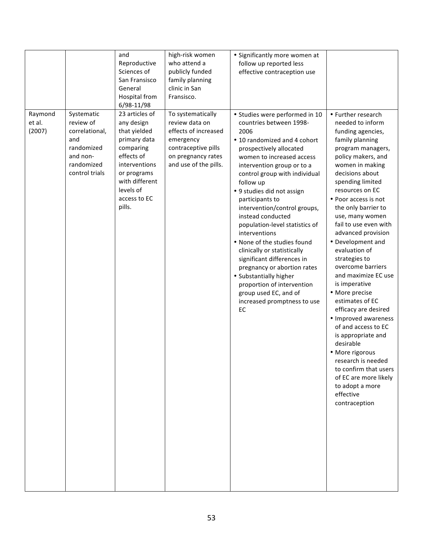|                             |                                                                                                            | and<br>Reproductive<br>Sciences of<br>San Fransisco<br>General<br>Hospital from<br>6/98-11/98                                                                                    | high-risk women<br>who attend a<br>publicly funded<br>family planning<br>clinic in San<br>Fransisco.                                           | • Significantly more women at<br>follow up reported less<br>effective contraception use                                                                                                                                                                                                                                                                                                                                                                                                                                                                                                                                                         |                                                                                                                                                                                                                                                                                                                                                                                                                                                                                                                                                                                                                                                                                                                                        |
|-----------------------------|------------------------------------------------------------------------------------------------------------|----------------------------------------------------------------------------------------------------------------------------------------------------------------------------------|------------------------------------------------------------------------------------------------------------------------------------------------|-------------------------------------------------------------------------------------------------------------------------------------------------------------------------------------------------------------------------------------------------------------------------------------------------------------------------------------------------------------------------------------------------------------------------------------------------------------------------------------------------------------------------------------------------------------------------------------------------------------------------------------------------|----------------------------------------------------------------------------------------------------------------------------------------------------------------------------------------------------------------------------------------------------------------------------------------------------------------------------------------------------------------------------------------------------------------------------------------------------------------------------------------------------------------------------------------------------------------------------------------------------------------------------------------------------------------------------------------------------------------------------------------|
| Raymond<br>et al.<br>(2007) | Systematic<br>review of<br>correlational,<br>and<br>randomized<br>and non-<br>randomized<br>control trials | 23 articles of<br>any design<br>that yielded<br>primary data<br>comparing<br>effects of<br>interventions<br>or programs<br>with different<br>levels of<br>access to EC<br>pills. | To systematically<br>review data on<br>effects of increased<br>emergency<br>contraceptive pills<br>on pregnancy rates<br>and use of the pills. | • Studies were performed in 10<br>countries between 1998-<br>2006<br>• 10 randomized and 4 cohort<br>prospectively allocated<br>women to increased access<br>intervention group or to a<br>control group with individual<br>follow up<br>• 9 studies did not assign<br>participants to<br>intervention/control groups,<br>instead conducted<br>population-level statistics of<br>interventions<br>. None of the studies found<br>clinically or statistically<br>significant differences in<br>pregnancy or abortion rates<br>• Substantially higher<br>proportion of intervention<br>group used EC, and of<br>increased promptness to use<br>EC | • Further research<br>needed to inform<br>funding agencies,<br>family planning<br>program managers,<br>policy makers, and<br>women in making<br>decisions about<br>spending limited<br>resources on EC<br>• Poor access is not<br>the only barrier to<br>use, many women<br>fail to use even with<br>advanced provision<br>• Development and<br>evaluation of<br>strategies to<br>overcome barriers<br>and maximize EC use<br>is imperative<br>• More precise<br>estimates of EC<br>efficacy are desired<br>• Improved awareness<br>of and access to EC<br>is appropriate and<br>desirable<br>• More rigorous<br>research is needed<br>to confirm that users<br>of EC are more likely<br>to adopt a more<br>effective<br>contraception |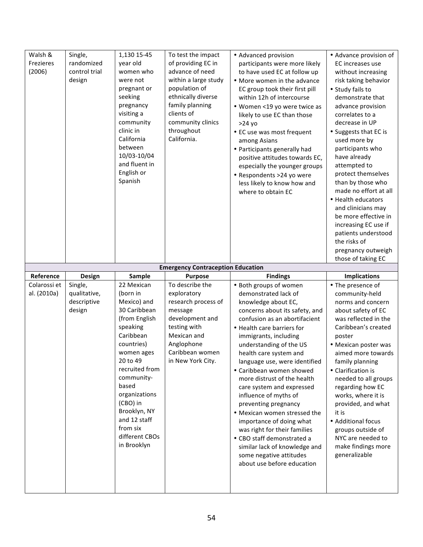| <b>Emergency Contraception Education</b><br>Reference<br>Sample<br><b>Implications</b><br>Design<br><b>Purpose</b><br><b>Findings</b><br>To describe the<br>Colarossi et<br>Single,<br>22 Mexican<br>• Both groups of women<br>• The presence of<br>al. (2010a)<br>qualitative,<br>exploratory<br>(born in<br>demonstrated lack of<br>community-held<br>descriptive<br>research process of<br>Mexico) and<br>knowledge about EC,<br>norms and concern<br>design<br>30 Caribbean<br>message<br>concerns about its safety, and<br>about safety of EC<br>(from English<br>development and<br>confusion as an abortifacient<br>was reflected in the<br>speaking<br>testing with<br>Caribbean's created<br>• Health care barriers for<br>Caribbean<br>Mexican and<br>immigrants, including<br>poster<br>Anglophone<br>countries)<br>understanding of the US<br>• Mexican poster was<br>Caribbean women<br>women ages<br>health care system and<br>aimed more towards<br>20 to 49<br>in New York City.<br>language use, were identified<br>family planning<br>recruited from<br>• Caribbean women showed<br>• Clarification is<br>community-<br>more distrust of the health<br>needed to all groups<br>based<br>care system and expressed<br>regarding how EC<br>organizations<br>works, where it is<br>influence of myths of<br>(CBO) in<br>provided, and what<br>preventing pregnancy<br>Brooklyn, NY<br>it is<br>• Mexican women stressed the<br>and 12 staff<br>• Additional focus<br>importance of doing what | Walsh &<br>Frezieres<br>(2006) | Single,<br>randomized<br>control trial<br>design | 1,130 15-45<br>year old<br>women who<br>were not<br>pregnant or<br>seeking<br>pregnancy<br>visiting a<br>community<br>clinic in<br>California<br>between<br>10/03-10/04<br>and fluent in<br>English or<br>Spanish | To test the impact<br>of providing EC in<br>advance of need<br>within a large study<br>population of<br>ethnically diverse<br>family planning<br>clients of<br>community clinics<br>throughout<br>California. | • Advanced provision<br>participants were more likely<br>to have used EC at follow up<br>• More women in the advance<br>EC group took their first pill<br>within 12h of intercourse<br>. Women <19 yo were twice as<br>likely to use EC than those<br>$>24$ yo<br>• EC use was most frequent<br>among Asians<br>• Participants generally had<br>positive attitudes towards EC,<br>especially the younger groups<br>• Respondents >24 yo were<br>less likely to know how and<br>where to obtain EC | • Advance provision of<br>EC increases use<br>without increasing<br>risk taking behavior<br>• Study fails to<br>demonstrate that<br>advance provision<br>correlates to a<br>decrease in UP<br>• Suggests that EC is<br>used more by<br>participants who<br>have already<br>attempted to<br>protect themselves<br>than by those who<br>made no effort at all<br>• Health educators<br>and clinicians may<br>be more effective in<br>increasing EC use if<br>patients understood<br>the risks of<br>pregnancy outweigh<br>those of taking EC |
|--------------------------------------------------------------------------------------------------------------------------------------------------------------------------------------------------------------------------------------------------------------------------------------------------------------------------------------------------------------------------------------------------------------------------------------------------------------------------------------------------------------------------------------------------------------------------------------------------------------------------------------------------------------------------------------------------------------------------------------------------------------------------------------------------------------------------------------------------------------------------------------------------------------------------------------------------------------------------------------------------------------------------------------------------------------------------------------------------------------------------------------------------------------------------------------------------------------------------------------------------------------------------------------------------------------------------------------------------------------------------------------------------------------------------------------------------------------------------------------------------------------|--------------------------------|--------------------------------------------------|-------------------------------------------------------------------------------------------------------------------------------------------------------------------------------------------------------------------|---------------------------------------------------------------------------------------------------------------------------------------------------------------------------------------------------------------|---------------------------------------------------------------------------------------------------------------------------------------------------------------------------------------------------------------------------------------------------------------------------------------------------------------------------------------------------------------------------------------------------------------------------------------------------------------------------------------------------|--------------------------------------------------------------------------------------------------------------------------------------------------------------------------------------------------------------------------------------------------------------------------------------------------------------------------------------------------------------------------------------------------------------------------------------------------------------------------------------------------------------------------------------------|
|                                                                                                                                                                                                                                                                                                                                                                                                                                                                                                                                                                                                                                                                                                                                                                                                                                                                                                                                                                                                                                                                                                                                                                                                                                                                                                                                                                                                                                                                                                              |                                |                                                  |                                                                                                                                                                                                                   |                                                                                                                                                                                                               |                                                                                                                                                                                                                                                                                                                                                                                                                                                                                                   |                                                                                                                                                                                                                                                                                                                                                                                                                                                                                                                                            |
|                                                                                                                                                                                                                                                                                                                                                                                                                                                                                                                                                                                                                                                                                                                                                                                                                                                                                                                                                                                                                                                                                                                                                                                                                                                                                                                                                                                                                                                                                                              |                                |                                                  |                                                                                                                                                                                                                   |                                                                                                                                                                                                               |                                                                                                                                                                                                                                                                                                                                                                                                                                                                                                   |                                                                                                                                                                                                                                                                                                                                                                                                                                                                                                                                            |
|                                                                                                                                                                                                                                                                                                                                                                                                                                                                                                                                                                                                                                                                                                                                                                                                                                                                                                                                                                                                                                                                                                                                                                                                                                                                                                                                                                                                                                                                                                              |                                |                                                  |                                                                                                                                                                                                                   |                                                                                                                                                                                                               |                                                                                                                                                                                                                                                                                                                                                                                                                                                                                                   |                                                                                                                                                                                                                                                                                                                                                                                                                                                                                                                                            |
|                                                                                                                                                                                                                                                                                                                                                                                                                                                                                                                                                                                                                                                                                                                                                                                                                                                                                                                                                                                                                                                                                                                                                                                                                                                                                                                                                                                                                                                                                                              |                                |                                                  |                                                                                                                                                                                                                   |                                                                                                                                                                                                               |                                                                                                                                                                                                                                                                                                                                                                                                                                                                                                   |                                                                                                                                                                                                                                                                                                                                                                                                                                                                                                                                            |
|                                                                                                                                                                                                                                                                                                                                                                                                                                                                                                                                                                                                                                                                                                                                                                                                                                                                                                                                                                                                                                                                                                                                                                                                                                                                                                                                                                                                                                                                                                              |                                |                                                  |                                                                                                                                                                                                                   |                                                                                                                                                                                                               |                                                                                                                                                                                                                                                                                                                                                                                                                                                                                                   |                                                                                                                                                                                                                                                                                                                                                                                                                                                                                                                                            |
|                                                                                                                                                                                                                                                                                                                                                                                                                                                                                                                                                                                                                                                                                                                                                                                                                                                                                                                                                                                                                                                                                                                                                                                                                                                                                                                                                                                                                                                                                                              |                                |                                                  |                                                                                                                                                                                                                   |                                                                                                                                                                                                               |                                                                                                                                                                                                                                                                                                                                                                                                                                                                                                   |                                                                                                                                                                                                                                                                                                                                                                                                                                                                                                                                            |
|                                                                                                                                                                                                                                                                                                                                                                                                                                                                                                                                                                                                                                                                                                                                                                                                                                                                                                                                                                                                                                                                                                                                                                                                                                                                                                                                                                                                                                                                                                              |                                |                                                  |                                                                                                                                                                                                                   |                                                                                                                                                                                                               |                                                                                                                                                                                                                                                                                                                                                                                                                                                                                                   |                                                                                                                                                                                                                                                                                                                                                                                                                                                                                                                                            |
|                                                                                                                                                                                                                                                                                                                                                                                                                                                                                                                                                                                                                                                                                                                                                                                                                                                                                                                                                                                                                                                                                                                                                                                                                                                                                                                                                                                                                                                                                                              |                                |                                                  |                                                                                                                                                                                                                   |                                                                                                                                                                                                               |                                                                                                                                                                                                                                                                                                                                                                                                                                                                                                   |                                                                                                                                                                                                                                                                                                                                                                                                                                                                                                                                            |
|                                                                                                                                                                                                                                                                                                                                                                                                                                                                                                                                                                                                                                                                                                                                                                                                                                                                                                                                                                                                                                                                                                                                                                                                                                                                                                                                                                                                                                                                                                              |                                |                                                  |                                                                                                                                                                                                                   |                                                                                                                                                                                                               |                                                                                                                                                                                                                                                                                                                                                                                                                                                                                                   |                                                                                                                                                                                                                                                                                                                                                                                                                                                                                                                                            |
|                                                                                                                                                                                                                                                                                                                                                                                                                                                                                                                                                                                                                                                                                                                                                                                                                                                                                                                                                                                                                                                                                                                                                                                                                                                                                                                                                                                                                                                                                                              |                                |                                                  |                                                                                                                                                                                                                   |                                                                                                                                                                                                               |                                                                                                                                                                                                                                                                                                                                                                                                                                                                                                   |                                                                                                                                                                                                                                                                                                                                                                                                                                                                                                                                            |
|                                                                                                                                                                                                                                                                                                                                                                                                                                                                                                                                                                                                                                                                                                                                                                                                                                                                                                                                                                                                                                                                                                                                                                                                                                                                                                                                                                                                                                                                                                              |                                |                                                  |                                                                                                                                                                                                                   |                                                                                                                                                                                                               |                                                                                                                                                                                                                                                                                                                                                                                                                                                                                                   |                                                                                                                                                                                                                                                                                                                                                                                                                                                                                                                                            |
|                                                                                                                                                                                                                                                                                                                                                                                                                                                                                                                                                                                                                                                                                                                                                                                                                                                                                                                                                                                                                                                                                                                                                                                                                                                                                                                                                                                                                                                                                                              |                                |                                                  |                                                                                                                                                                                                                   |                                                                                                                                                                                                               |                                                                                                                                                                                                                                                                                                                                                                                                                                                                                                   |                                                                                                                                                                                                                                                                                                                                                                                                                                                                                                                                            |
|                                                                                                                                                                                                                                                                                                                                                                                                                                                                                                                                                                                                                                                                                                                                                                                                                                                                                                                                                                                                                                                                                                                                                                                                                                                                                                                                                                                                                                                                                                              |                                |                                                  |                                                                                                                                                                                                                   |                                                                                                                                                                                                               |                                                                                                                                                                                                                                                                                                                                                                                                                                                                                                   |                                                                                                                                                                                                                                                                                                                                                                                                                                                                                                                                            |
|                                                                                                                                                                                                                                                                                                                                                                                                                                                                                                                                                                                                                                                                                                                                                                                                                                                                                                                                                                                                                                                                                                                                                                                                                                                                                                                                                                                                                                                                                                              |                                |                                                  |                                                                                                                                                                                                                   |                                                                                                                                                                                                               |                                                                                                                                                                                                                                                                                                                                                                                                                                                                                                   |                                                                                                                                                                                                                                                                                                                                                                                                                                                                                                                                            |
|                                                                                                                                                                                                                                                                                                                                                                                                                                                                                                                                                                                                                                                                                                                                                                                                                                                                                                                                                                                                                                                                                                                                                                                                                                                                                                                                                                                                                                                                                                              |                                |                                                  |                                                                                                                                                                                                                   |                                                                                                                                                                                                               |                                                                                                                                                                                                                                                                                                                                                                                                                                                                                                   |                                                                                                                                                                                                                                                                                                                                                                                                                                                                                                                                            |
|                                                                                                                                                                                                                                                                                                                                                                                                                                                                                                                                                                                                                                                                                                                                                                                                                                                                                                                                                                                                                                                                                                                                                                                                                                                                                                                                                                                                                                                                                                              |                                |                                                  |                                                                                                                                                                                                                   |                                                                                                                                                                                                               |                                                                                                                                                                                                                                                                                                                                                                                                                                                                                                   |                                                                                                                                                                                                                                                                                                                                                                                                                                                                                                                                            |
|                                                                                                                                                                                                                                                                                                                                                                                                                                                                                                                                                                                                                                                                                                                                                                                                                                                                                                                                                                                                                                                                                                                                                                                                                                                                                                                                                                                                                                                                                                              |                                |                                                  |                                                                                                                                                                                                                   |                                                                                                                                                                                                               |                                                                                                                                                                                                                                                                                                                                                                                                                                                                                                   |                                                                                                                                                                                                                                                                                                                                                                                                                                                                                                                                            |
|                                                                                                                                                                                                                                                                                                                                                                                                                                                                                                                                                                                                                                                                                                                                                                                                                                                                                                                                                                                                                                                                                                                                                                                                                                                                                                                                                                                                                                                                                                              |                                |                                                  |                                                                                                                                                                                                                   |                                                                                                                                                                                                               |                                                                                                                                                                                                                                                                                                                                                                                                                                                                                                   |                                                                                                                                                                                                                                                                                                                                                                                                                                                                                                                                            |
| from six<br>was right for their families<br>groups outside of                                                                                                                                                                                                                                                                                                                                                                                                                                                                                                                                                                                                                                                                                                                                                                                                                                                                                                                                                                                                                                                                                                                                                                                                                                                                                                                                                                                                                                                |                                |                                                  |                                                                                                                                                                                                                   |                                                                                                                                                                                                               |                                                                                                                                                                                                                                                                                                                                                                                                                                                                                                   |                                                                                                                                                                                                                                                                                                                                                                                                                                                                                                                                            |
| different CBOs<br>• CBO staff demonstrated a<br>NYC are needed to                                                                                                                                                                                                                                                                                                                                                                                                                                                                                                                                                                                                                                                                                                                                                                                                                                                                                                                                                                                                                                                                                                                                                                                                                                                                                                                                                                                                                                            |                                |                                                  |                                                                                                                                                                                                                   |                                                                                                                                                                                                               |                                                                                                                                                                                                                                                                                                                                                                                                                                                                                                   |                                                                                                                                                                                                                                                                                                                                                                                                                                                                                                                                            |
| in Brooklyn<br>make findings more<br>similar lack of knowledge and                                                                                                                                                                                                                                                                                                                                                                                                                                                                                                                                                                                                                                                                                                                                                                                                                                                                                                                                                                                                                                                                                                                                                                                                                                                                                                                                                                                                                                           |                                |                                                  |                                                                                                                                                                                                                   |                                                                                                                                                                                                               |                                                                                                                                                                                                                                                                                                                                                                                                                                                                                                   |                                                                                                                                                                                                                                                                                                                                                                                                                                                                                                                                            |
| generalizable<br>some negative attitudes                                                                                                                                                                                                                                                                                                                                                                                                                                                                                                                                                                                                                                                                                                                                                                                                                                                                                                                                                                                                                                                                                                                                                                                                                                                                                                                                                                                                                                                                     |                                |                                                  |                                                                                                                                                                                                                   |                                                                                                                                                                                                               |                                                                                                                                                                                                                                                                                                                                                                                                                                                                                                   |                                                                                                                                                                                                                                                                                                                                                                                                                                                                                                                                            |
|                                                                                                                                                                                                                                                                                                                                                                                                                                                                                                                                                                                                                                                                                                                                                                                                                                                                                                                                                                                                                                                                                                                                                                                                                                                                                                                                                                                                                                                                                                              |                                |                                                  |                                                                                                                                                                                                                   |                                                                                                                                                                                                               | about use before education                                                                                                                                                                                                                                                                                                                                                                                                                                                                        |                                                                                                                                                                                                                                                                                                                                                                                                                                                                                                                                            |
|                                                                                                                                                                                                                                                                                                                                                                                                                                                                                                                                                                                                                                                                                                                                                                                                                                                                                                                                                                                                                                                                                                                                                                                                                                                                                                                                                                                                                                                                                                              |                                |                                                  |                                                                                                                                                                                                                   |                                                                                                                                                                                                               |                                                                                                                                                                                                                                                                                                                                                                                                                                                                                                   |                                                                                                                                                                                                                                                                                                                                                                                                                                                                                                                                            |
|                                                                                                                                                                                                                                                                                                                                                                                                                                                                                                                                                                                                                                                                                                                                                                                                                                                                                                                                                                                                                                                                                                                                                                                                                                                                                                                                                                                                                                                                                                              |                                |                                                  |                                                                                                                                                                                                                   |                                                                                                                                                                                                               |                                                                                                                                                                                                                                                                                                                                                                                                                                                                                                   |                                                                                                                                                                                                                                                                                                                                                                                                                                                                                                                                            |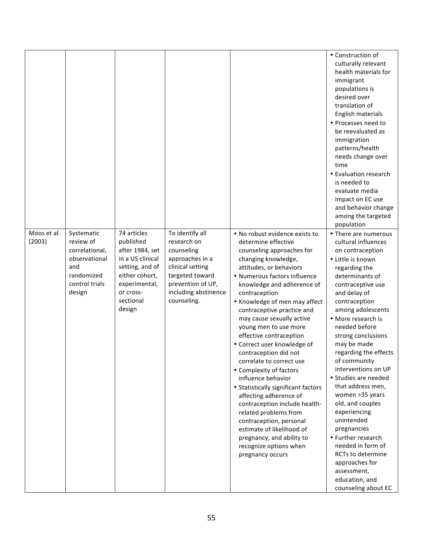|                       |                                                                                                             |                                                                                                                                                           |                                                                                                                                                                    |                                                                                                                                                                                                                                                                                                                                                                                                                                                                                                                                                                                                                                                                                                                                                                        | • Construction of<br>culturally relevant<br>health materials for<br>immigrant<br>populations is<br>desired over<br>translation of<br>English materials<br>• Processes need to<br>be reevaluated as<br>immigration<br>patterns/health<br>needs change over<br>time<br>• Evaluation research<br>is needed to<br>evaluate media<br>impact on EC use<br>and behavior change<br>among the targeted<br>population                                                                                                                                                                                                                       |
|-----------------------|-------------------------------------------------------------------------------------------------------------|-----------------------------------------------------------------------------------------------------------------------------------------------------------|--------------------------------------------------------------------------------------------------------------------------------------------------------------------|------------------------------------------------------------------------------------------------------------------------------------------------------------------------------------------------------------------------------------------------------------------------------------------------------------------------------------------------------------------------------------------------------------------------------------------------------------------------------------------------------------------------------------------------------------------------------------------------------------------------------------------------------------------------------------------------------------------------------------------------------------------------|-----------------------------------------------------------------------------------------------------------------------------------------------------------------------------------------------------------------------------------------------------------------------------------------------------------------------------------------------------------------------------------------------------------------------------------------------------------------------------------------------------------------------------------------------------------------------------------------------------------------------------------|
| Moos et al.<br>(2003) | Systematic<br>review of<br>correlational,<br>observational<br>and<br>randomized<br>control trials<br>design | 74 articles<br>published<br>after 1984, set<br>in a US clinical<br>setting, and of<br>either cohort,<br>experimental,<br>or cross-<br>sectional<br>design | To identify all<br>research on<br>counseling<br>approaches in a<br>clinical setting<br>targeted toward<br>prevention of UP,<br>including abstinence<br>counseling. | . No robust evidence exists to<br>determine effective<br>counseling approaches for<br>changing knowledge,<br>attitudes, or behaviors<br>• Numerous factors influence<br>knowledge and adherence of<br>contraception<br>• Knowledge of men may affect<br>contraceptive practice and<br>may cause sexually active<br>young men to use more<br>effective contraception<br>• Correct user knowledge of<br>contraception did not<br>correlate to correct use<br>• Complexity of factors<br>influence behavior<br>• Statistically significant factors<br>affecting adherence of<br>contraception include health-<br>related problems from<br>contraception, personal<br>estimate of likelihood of<br>pregnancy, and ability to<br>recognize options when<br>pregnancy occurs | • There are numerous<br>cultural influences<br>on contraception<br>• Little is known<br>regarding the<br>determinants of<br>contraceptive use<br>and delay of<br>contraception<br>among adolescents<br>• More research is<br>needed before<br>strong conclusions<br>may be made<br>regarding the effects<br>of community<br>interventions on UP<br>• Studies are needed<br>that address men,<br>women >35 years<br>old, and couples<br>experiencing<br>unintended<br>pregnancies<br>• Further research<br>needed in form of<br><b>RCTs to determine</b><br>approaches for<br>assessment,<br>education, and<br>counseling about EC |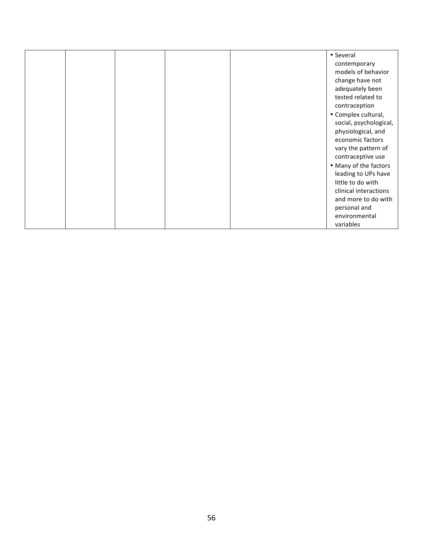|  |  | • Several              |
|--|--|------------------------|
|  |  | contemporary           |
|  |  | models of behavior     |
|  |  | change have not        |
|  |  | adequately been        |
|  |  | tested related to      |
|  |  | contraception          |
|  |  | • Complex cultural,    |
|  |  | social, psychological, |
|  |  | physiological, and     |
|  |  | economic factors       |
|  |  | vary the pattern of    |
|  |  | contraceptive use      |
|  |  | • Many of the factors  |
|  |  | leading to UPs have    |
|  |  | little to do with      |
|  |  | clinical interactions  |
|  |  | and more to do with    |
|  |  | personal and           |
|  |  | environmental          |
|  |  | variables              |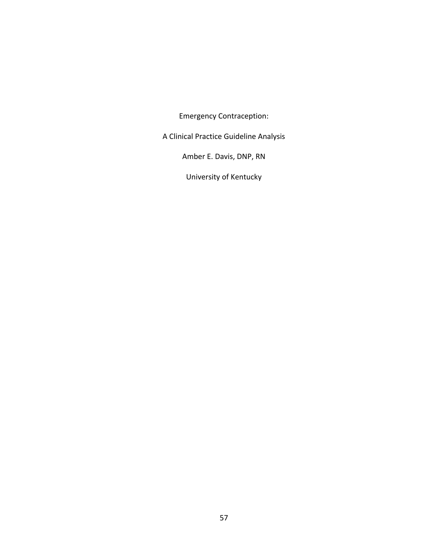**Emergency Contraception:** 

A Clinical Practice Guideline Analysis

Amber E. Davis, DNP, RN

University of Kentucky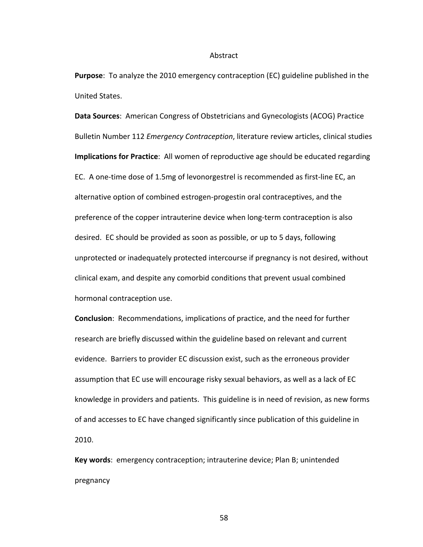#### Abstract

Purpose: To analyze the 2010 emergency contraception (EC) guideline published in the **United States.** 

Data Sources: American Congress of Obstetricians and Gynecologists (ACOG) Practice Bulletin Number 112 Emergency Contraception, literature review articles, clinical studies Implications for Practice: All women of reproductive age should be educated regarding EC. A one-time dose of 1.5mg of levonorgestrel is recommended as first-line EC, an alternative option of combined estrogen-progestin oral contraceptives, and the preference of the copper intrauterine device when long-term contraception is also desired. EC should be provided as soon as possible, or up to 5 days, following unprotected or inadequately protected intercourse if pregnancy is not desired, without clinical exam, and despite any comorbid conditions that prevent usual combined hormonal contraception use.

Conclusion: Recommendations, implications of practice, and the need for further research are briefly discussed within the guideline based on relevant and current evidence. Barriers to provider EC discussion exist, such as the erroneous provider assumption that EC use will encourage risky sexual behaviors, as well as a lack of EC knowledge in providers and patients. This guideline is in need of revision, as new forms of and accesses to EC have changed significantly since publication of this guideline in 2010.

Key words: emergency contraception; intrauterine device; Plan B; unintended pregnancy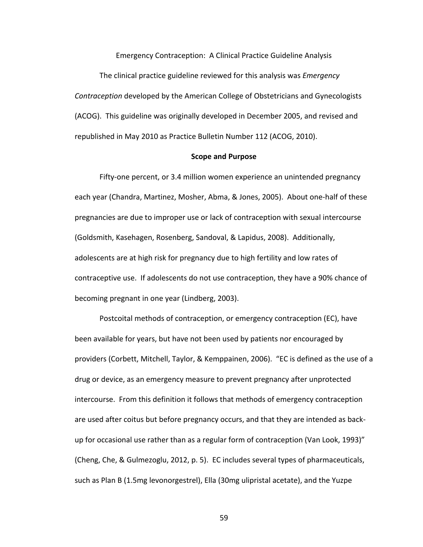Emergency Contraception: A Clinical Practice Guideline Analysis

The clinical practice guideline reviewed for this analysis was Emergency Contraception developed by the American College of Obstetricians and Gynecologists (ACOG). This guideline was originally developed in December 2005, and revised and republished in May 2010 as Practice Bulletin Number 112 (ACOG, 2010).

#### **Scope and Purpose**

Fifty-one percent, or 3.4 million women experience an unintended pregnancy each year (Chandra, Martinez, Mosher, Abma, & Jones, 2005). About one-half of these pregnancies are due to improper use or lack of contraception with sexual intercourse (Goldsmith, Kasehagen, Rosenberg, Sandoval, & Lapidus, 2008). Additionally, adolescents are at high risk for pregnancy due to high fertility and low rates of contraceptive use. If adolescents do not use contraception, they have a 90% chance of becoming pregnant in one year (Lindberg, 2003).

Postcoital methods of contraception, or emergency contraception (EC), have been available for years, but have not been used by patients nor encouraged by providers (Corbett, Mitchell, Taylor, & Kemppainen, 2006). "EC is defined as the use of a drug or device, as an emergency measure to prevent pregnancy after unprotected intercourse. From this definition it follows that methods of emergency contraception are used after coitus but before pregnancy occurs, and that they are intended as backup for occasional use rather than as a regular form of contraception (Van Look, 1993)" (Cheng, Che, & Gulmezoglu, 2012, p. 5). EC includes several types of pharmaceuticals, such as Plan B (1.5mg levonorgestrel), Ella (30mg ulipristal acetate), and the Yuzpe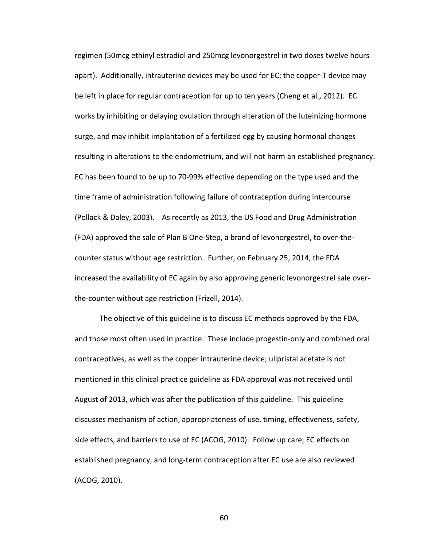regimen (50mcg ethinyl estradiol and 250mcg levonorgestrel in two doses twelve hours apart). Additionally, intrauterine devices may be used for EC; the copper-T device may be left in place for regular contraception for up to ten years (Cheng et al., 2012). EC works by inhibiting or delaying ovulation through alteration of the luteinizing hormone surge, and may inhibit implantation of a fertilized egg by causing hormonal changes resulting in alterations to the endometrium, and will not harm an established pregnancy. EC has been found to be up to 70-99% effective depending on the type used and the time frame of administration following failure of contraception during intercourse (Pollack & Daley, 2003). As recently as 2013, the US Food and Drug Administration (FDA) approved the sale of Plan B One-Step, a brand of levonorgestrel, to over-thecounter status without age restriction. Further, on February 25, 2014, the FDA increased the availability of EC again by also approving generic levonorgestrel sale overthe-counter without age restriction (Frizell, 2014).

The objective of this guideline is to discuss EC methods approved by the FDA, and those most often used in practice. These include progestin-only and combined oral contraceptives, as well as the copper intrauterine device; ulipristal acetate is not mentioned in this clinical practice guideline as FDA approval was not received until August of 2013, which was after the publication of this guideline. This guideline discusses mechanism of action, appropriateness of use, timing, effectiveness, safety, side effects, and barriers to use of EC (ACOG, 2010). Follow up care, EC effects on established pregnancy, and long-term contraception after EC use are also reviewed (ACOG, 2010).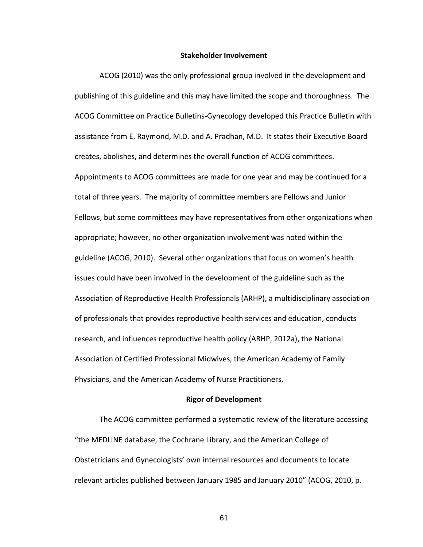#### Stakeholder Involvement

ACOG (2010) was the only professional group involved in the development and publishing of this guideline and this may have limited the scope and thoroughness. The ACOG Committee on Practice Bulletins-Gynecology developed this Practice Bulletin with assistance from E. Raymond, M.D. and A. Pradhan, M.D. It states their Executive Board creates, abolishes, and determines the overall function of ACOG committees. Appointments to ACOG committees are made for one year and may be continued for a total of three years. The majority of committee members are Fellows and Junior Fellows, but some committees may have representatives from other organizations when appropriate; however, no other organization involvement was noted within the guideline (ACOG, 2010). Several other organizations that focus on women's health issues could have been involved in the development of the guideline such as the Association of Reproductive Health Professionals (ARHP), a multidisciplinary association of professionals that provides reproductive health services and education, conducts research, and influences reproductive health policy (ARHP, 2012a), the National Association of Certified Professional Midwives, the American Academy of Family Physicians, and the American Academy of Nurse Practitioners.

### **Rigor of Development**

The ACOG committee performed a systematic review of the literature accessing "the MEDLINE database, the Cochrane Library, and the American College of Obstetricians and Gynecologists' own internal resources and documents to locate relevant articles published between January 1985 and January 2010" (ACOG, 2010, p.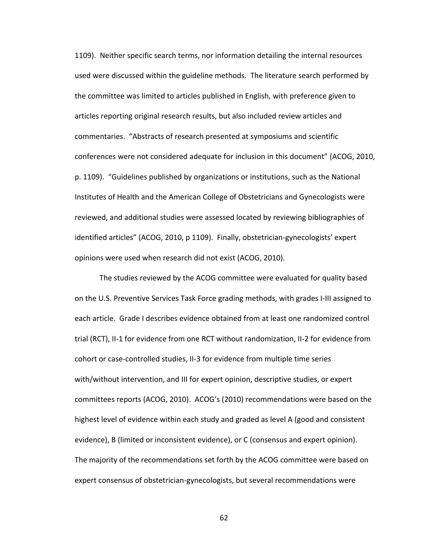1109). Neither specific search terms, nor information detailing the internal resources used were discussed within the guideline methods. The literature search performed by the committee was limited to articles published in English, with preference given to articles reporting original research results, but also included review articles and commentaries. "Abstracts of research presented at symposiums and scientific conferences were not considered adequate for inclusion in this document" (ACOG, 2010, p. 1109). "Guidelines published by organizations or institutions, such as the National Institutes of Health and the American College of Obstetricians and Gynecologists were reviewed, and additional studies were assessed located by reviewing bibliographies of identified articles" (ACOG, 2010, p 1109). Finally, obstetrician-gynecologists' expert opinions were used when research did not exist (ACOG, 2010).

The studies reviewed by the ACOG committee were evaluated for quality based on the U.S. Preventive Services Task Force grading methods, with grades I-III assigned to each article. Grade I describes evidence obtained from at least one randomized control trial (RCT), II-1 for evidence from one RCT without randomization, II-2 for evidence from cohort or case-controlled studies, II-3 for evidence from multiple time series with/without intervention, and III for expert opinion, descriptive studies, or expert committees reports (ACOG, 2010). ACOG's (2010) recommendations were based on the highest level of evidence within each study and graded as level A (good and consistent evidence), B (limited or inconsistent evidence), or C (consensus and expert opinion). The majority of the recommendations set forth by the ACOG committee were based on expert consensus of obstetrician-gynecologists, but several recommendations were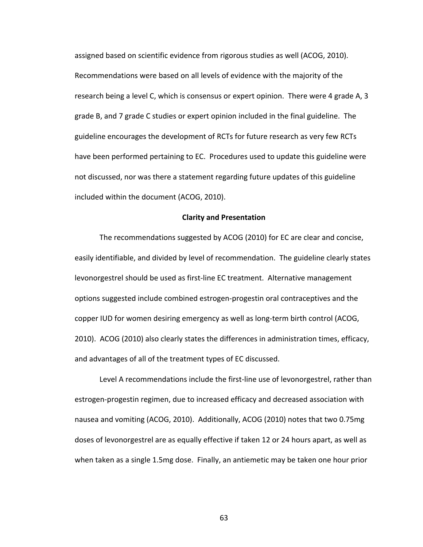assigned based on scientific evidence from rigorous studies as well (ACOG, 2010). Recommendations were based on all levels of evidence with the majority of the research being a level C, which is consensus or expert opinion. There were 4 grade A, 3 grade B, and 7 grade C studies or expert opinion included in the final guideline. The guideline encourages the development of RCTs for future research as very few RCTs have been performed pertaining to EC. Procedures used to update this guideline were not discussed, nor was there a statement regarding future updates of this guideline included within the document (ACOG, 2010).

### **Clarity and Presentation**

The recommendations suggested by ACOG (2010) for EC are clear and concise, easily identifiable, and divided by level of recommendation. The guideline clearly states levonorgestrel should be used as first-line EC treatment. Alternative management options suggested include combined estrogen-progestin oral contraceptives and the copper IUD for women desiring emergency as well as long-term birth control (ACOG, 2010). ACOG (2010) also clearly states the differences in administration times, efficacy, and advantages of all of the treatment types of EC discussed.

Level A recommendations include the first-line use of levonorgestrel, rather than estrogen-progestin regimen, due to increased efficacy and decreased association with nausea and vomiting (ACOG, 2010). Additionally, ACOG (2010) notes that two 0.75mg doses of levonorgestrel are as equally effective if taken 12 or 24 hours apart, as well as when taken as a single 1.5mg dose. Finally, an antiemetic may be taken one hour prior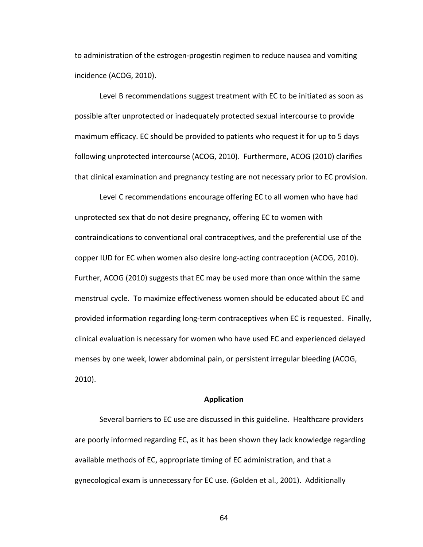to administration of the estrogen-progestin regimen to reduce nausea and vomiting incidence (ACOG, 2010).

Level B recommendations suggest treatment with EC to be initiated as soon as possible after unprotected or inadequately protected sexual intercourse to provide maximum efficacy. EC should be provided to patients who request it for up to 5 days following unprotected intercourse (ACOG, 2010). Furthermore, ACOG (2010) clarifies that clinical examination and pregnancy testing are not necessary prior to EC provision.

Level C recommendations encourage offering EC to all women who have had unprotected sex that do not desire pregnancy, offering EC to women with contraindications to conventional oral contraceptives, and the preferential use of the copper IUD for EC when women also desire long-acting contraception (ACOG, 2010). Further, ACOG (2010) suggests that EC may be used more than once within the same menstrual cycle. To maximize effectiveness women should be educated about EC and provided information regarding long-term contraceptives when EC is requested. Finally, clinical evaluation is necessary for women who have used EC and experienced delayed menses by one week, lower abdominal pain, or persistent irregular bleeding (ACOG,  $2010$ ).

## **Application**

Several barriers to EC use are discussed in this guideline. Healthcare providers are poorly informed regarding EC, as it has been shown they lack knowledge regarding available methods of EC, appropriate timing of EC administration, and that a gynecological exam is unnecessary for EC use. (Golden et al., 2001). Additionally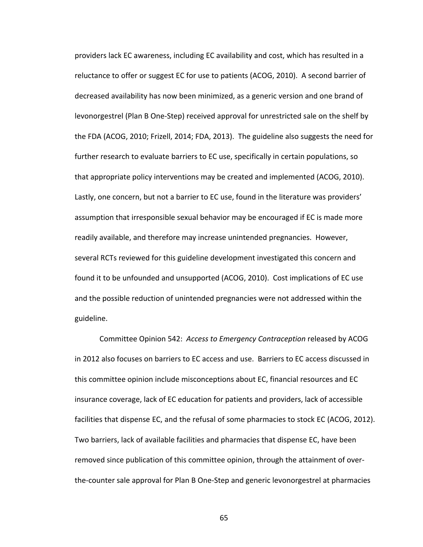providers lack EC awareness, including EC availability and cost, which has resulted in a reluctance to offer or suggest EC for use to patients (ACOG, 2010). A second barrier of decreased availability has now been minimized, as a generic version and one brand of levonorgestrel (Plan B One-Step) received approval for unrestricted sale on the shelf by the FDA (ACOG, 2010; Frizell, 2014; FDA, 2013). The guideline also suggests the need for further research to evaluate barriers to EC use, specifically in certain populations, so that appropriate policy interventions may be created and implemented (ACOG, 2010). Lastly, one concern, but not a barrier to EC use, found in the literature was providers' assumption that irresponsible sexual behavior may be encouraged if EC is made more readily available, and therefore may increase unintended pregnancies. However, several RCTs reviewed for this guideline development investigated this concern and found it to be unfounded and unsupported (ACOG, 2010). Cost implications of EC use and the possible reduction of unintended pregnancies were not addressed within the guideline.

Committee Opinion 542: Access to Emergency Contraception released by ACOG in 2012 also focuses on barriers to EC access and use. Barriers to EC access discussed in this committee opinion include misconceptions about EC, financial resources and EC insurance coverage, lack of EC education for patients and providers, lack of accessible facilities that dispense EC, and the refusal of some pharmacies to stock EC (ACOG, 2012). Two barriers, lack of available facilities and pharmacies that dispense EC, have been removed since publication of this committee opinion, through the attainment of overthe-counter sale approval for Plan B One-Step and generic levonorgestrel at pharmacies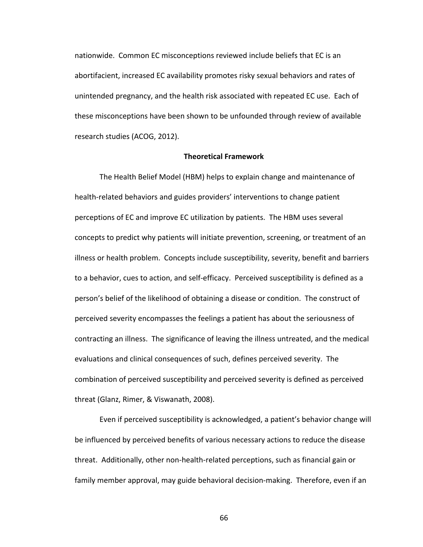nationwide. Common EC misconceptions reviewed include beliefs that EC is an abortifacient, increased EC availability promotes risky sexual behaviors and rates of unintended pregnancy, and the health risk associated with repeated EC use. Each of these misconceptions have been shown to be unfounded through review of available research studies (ACOG, 2012).

#### **Theoretical Framework**

The Health Belief Model (HBM) helps to explain change and maintenance of health-related behaviors and guides providers' interventions to change patient perceptions of EC and improve EC utilization by patients. The HBM uses several concepts to predict why patients will initiate prevention, screening, or treatment of an illness or health problem. Concepts include susceptibility, severity, benefit and barriers to a behavior, cues to action, and self-efficacy. Perceived susceptibility is defined as a person's belief of the likelihood of obtaining a disease or condition. The construct of perceived severity encompasses the feelings a patient has about the seriousness of contracting an illness. The significance of leaving the illness untreated, and the medical evaluations and clinical consequences of such, defines perceived severity. The combination of perceived susceptibility and perceived severity is defined as perceived threat (Glanz, Rimer, & Viswanath, 2008).

Even if perceived susceptibility is acknowledged, a patient's behavior change will be influenced by perceived benefits of various necessary actions to reduce the disease threat. Additionally, other non-health-related perceptions, such as financial gain or family member approval, may guide behavioral decision-making. Therefore, even if an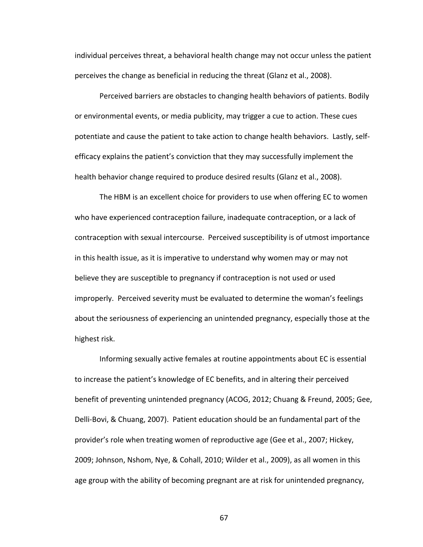individual perceives threat, a behavioral health change may not occur unless the patient perceives the change as beneficial in reducing the threat (Glanz et al., 2008).

Perceived barriers are obstacles to changing health behaviors of patients. Bodily or environmental events, or media publicity, may trigger a cue to action. These cues potentiate and cause the patient to take action to change health behaviors. Lastly, selfefficacy explains the patient's conviction that they may successfully implement the health behavior change required to produce desired results (Glanz et al., 2008).

The HBM is an excellent choice for providers to use when offering EC to women who have experienced contraception failure, inadequate contraception, or a lack of contraception with sexual intercourse. Perceived susceptibility is of utmost importance in this health issue, as it is imperative to understand why women may or may not believe they are susceptible to pregnancy if contraception is not used or used improperly. Perceived severity must be evaluated to determine the woman's feelings about the seriousness of experiencing an unintended pregnancy, especially those at the highest risk.

Informing sexually active females at routine appointments about EC is essential to increase the patient's knowledge of EC benefits, and in altering their perceived benefit of preventing unintended pregnancy (ACOG, 2012; Chuang & Freund, 2005; Gee, Delli-Bovi, & Chuang, 2007). Patient education should be an fundamental part of the provider's role when treating women of reproductive age (Gee et al., 2007; Hickey, 2009; Johnson, Nshom, Nye, & Cohall, 2010; Wilder et al., 2009), as all women in this age group with the ability of becoming pregnant are at risk for unintended pregnancy,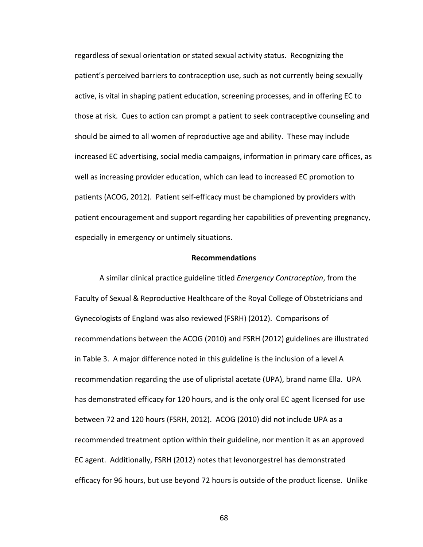regardless of sexual orientation or stated sexual activity status. Recognizing the patient's perceived barriers to contraception use, such as not currently being sexually active, is vital in shaping patient education, screening processes, and in offering EC to those at risk. Cues to action can prompt a patient to seek contraceptive counseling and should be aimed to all women of reproductive age and ability. These may include increased EC advertising, social media campaigns, information in primary care offices, as well as increasing provider education, which can lead to increased EC promotion to patients (ACOG, 2012). Patient self-efficacy must be championed by providers with patient encouragement and support regarding her capabilities of preventing pregnancy, especially in emergency or untimely situations.

### **Recommendations**

A similar clinical practice guideline titled Emergency Contraception, from the Faculty of Sexual & Reproductive Healthcare of the Royal College of Obstetricians and Gynecologists of England was also reviewed (FSRH) (2012). Comparisons of recommendations between the ACOG (2010) and FSRH (2012) guidelines are illustrated in Table 3. A major difference noted in this guideline is the inclusion of a level A recommendation regarding the use of ulipristal acetate (UPA), brand name Ella. UPA has demonstrated efficacy for 120 hours, and is the only oral EC agent licensed for use between 72 and 120 hours (FSRH, 2012). ACOG (2010) did not include UPA as a recommended treatment option within their guideline, nor mention it as an approved EC agent. Additionally, FSRH (2012) notes that levonorgestrel has demonstrated efficacy for 96 hours, but use beyond 72 hours is outside of the product license. Unlike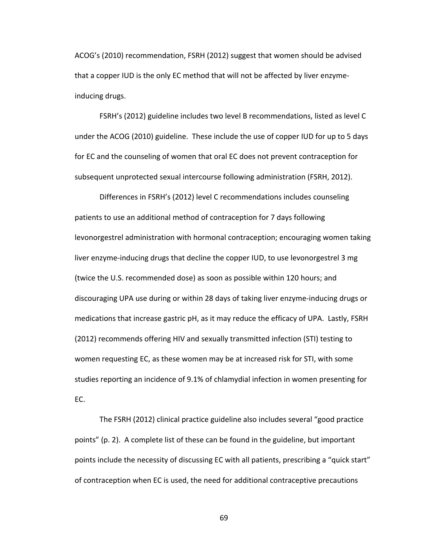ACOG's (2010) recommendation, FSRH (2012) suggest that women should be advised that a copper IUD is the only EC method that will not be affected by liver enzymeinducing drugs.

FSRH's (2012) guideline includes two level B recommendations, listed as level C under the ACOG (2010) guideline. These include the use of copper IUD for up to 5 days for EC and the counseling of women that oral EC does not prevent contraception for subsequent unprotected sexual intercourse following administration (FSRH, 2012).

Differences in FSRH's (2012) level C recommendations includes counseling patients to use an additional method of contraception for 7 days following levonorgestrel administration with hormonal contraception; encouraging women taking liver enzyme-inducing drugs that decline the copper IUD, to use levonorgestrel 3 mg (twice the U.S. recommended dose) as soon as possible within 120 hours; and discouraging UPA use during or within 28 days of taking liver enzyme-inducing drugs or medications that increase gastric pH, as it may reduce the efficacy of UPA. Lastly, FSRH (2012) recommends offering HIV and sexually transmitted infection (STI) testing to women requesting EC, as these women may be at increased risk for STI, with some studies reporting an incidence of 9.1% of chlamydial infection in women presenting for EC.

The FSRH (2012) clinical practice guideline also includes several "good practice points" (p. 2). A complete list of these can be found in the guideline, but important points include the necessity of discussing EC with all patients, prescribing a "quick start" of contraception when EC is used, the need for additional contraceptive precautions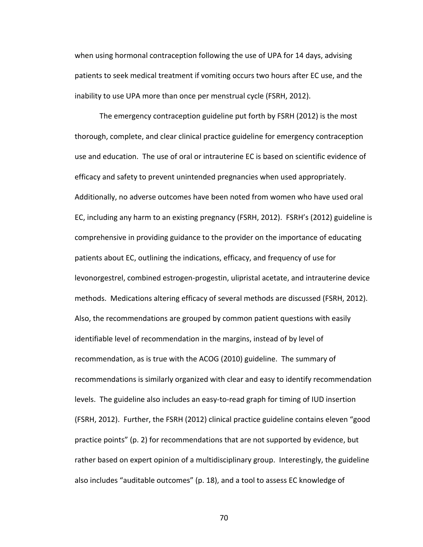when using hormonal contraception following the use of UPA for 14 days, advising patients to seek medical treatment if vomiting occurs two hours after EC use, and the inability to use UPA more than once per menstrual cycle (FSRH, 2012).

The emergency contraception guideline put forth by FSRH (2012) is the most thorough, complete, and clear clinical practice guideline for emergency contraception use and education. The use of oral or intrauterine EC is based on scientific evidence of efficacy and safety to prevent unintended pregnancies when used appropriately. Additionally, no adverse outcomes have been noted from women who have used oral EC, including any harm to an existing pregnancy (FSRH, 2012). FSRH's (2012) guideline is comprehensive in providing guidance to the provider on the importance of educating patients about EC, outlining the indications, efficacy, and frequency of use for levonorgestrel, combined estrogen-progestin, ulipristal acetate, and intrauterine device methods. Medications altering efficacy of several methods are discussed (FSRH, 2012). Also, the recommendations are grouped by common patient questions with easily identifiable level of recommendation in the margins, instead of by level of recommendation, as is true with the ACOG (2010) guideline. The summary of recommendations is similarly organized with clear and easy to identify recommendation levels. The guideline also includes an easy-to-read graph for timing of IUD insertion (FSRH, 2012). Further, the FSRH (2012) clinical practice guideline contains eleven "good practice points" (p. 2) for recommendations that are not supported by evidence, but rather based on expert opinion of a multidisciplinary group. Interestingly, the guideline also includes "auditable outcomes" (p. 18), and a tool to assess EC knowledge of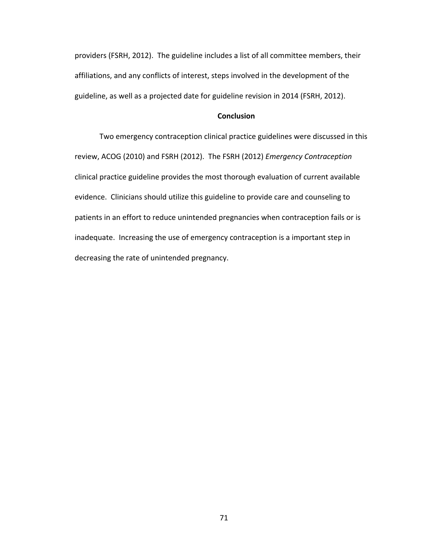providers (FSRH, 2012). The guideline includes a list of all committee members, their affiliations, and any conflicts of interest, steps involved in the development of the guideline, as well as a projected date for guideline revision in 2014 (FSRH, 2012).

# **Conclusion**

Two emergency contraception clinical practice guidelines were discussed in this review, ACOG (2010) and FSRH (2012). The FSRH (2012) Emergency Contraception clinical practice guideline provides the most thorough evaluation of current available evidence. Clinicians should utilize this guideline to provide care and counseling to patients in an effort to reduce unintended pregnancies when contraception fails or is inadequate. Increasing the use of emergency contraception is a important step in decreasing the rate of unintended pregnancy.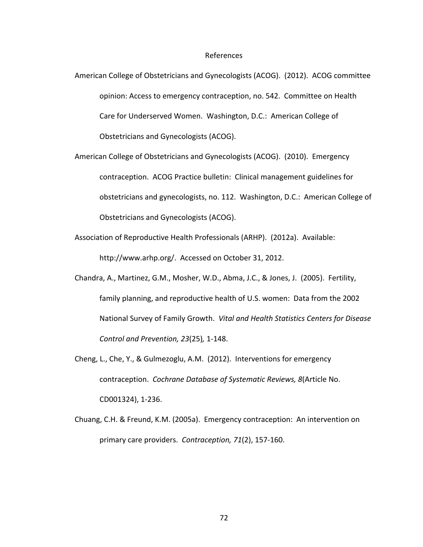#### References

- American College of Obstetricians and Gynecologists (ACOG). (2012). ACOG committee opinion: Access to emergency contraception, no. 542. Committee on Health Care for Underserved Women. Washington, D.C.: American College of Obstetricians and Gynecologists (ACOG).
- American College of Obstetricians and Gynecologists (ACOG). (2010). Emergency contraception. ACOG Practice bulletin: Clinical management guidelines for obstetricians and gynecologists, no. 112. Washington, D.C.: American College of Obstetricians and Gynecologists (ACOG).
- Association of Reproductive Health Professionals (ARHP). (2012a). Available: http://www.arhp.org/. Accessed on October 31, 2012.
- Chandra, A., Martinez, G.M., Mosher, W.D., Abma, J.C., & Jones, J. (2005). Fertility, family planning, and reproductive health of U.S. women: Data from the 2002 National Survey of Family Growth. Vital and Health Statistics Centers for Disease Control and Prevention, 23(25), 1-148.
- Cheng, L., Che, Y., & Gulmezoglu, A.M. (2012). Interventions for emergency contraception. Cochrane Database of Systematic Reviews, 8(Article No. CD001324), 1-236.
- Chuang, C.H. & Freund, K.M. (2005a). Emergency contraception: An intervention on primary care providers. Contraception, 71(2), 157-160.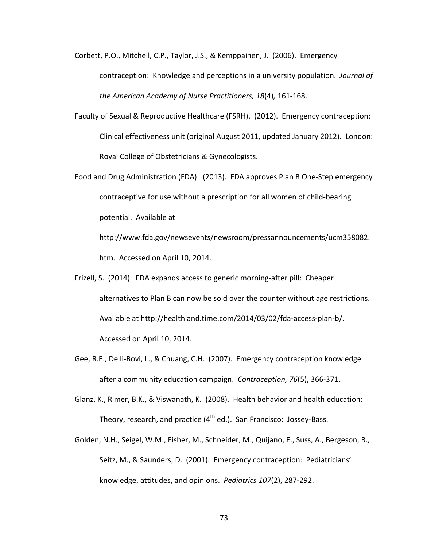Corbett, P.O., Mitchell, C.P., Taylor, J.S., & Kemppainen, J. (2006). Emergency

contraception: Knowledge and perceptions in a university population. Journal of the American Academy of Nurse Practitioners, 18(4), 161-168.

- Faculty of Sexual & Reproductive Healthcare (FSRH). (2012). Emergency contraception: Clinical effectiveness unit (original August 2011, updated January 2012). London: Roval College of Obstetricians & Gynecologists.
- Food and Drug Administration (FDA). (2013). FDA approves Plan B One-Step emergency contraceptive for use without a prescription for all women of child-bearing potential. Available at http://www.fda.gov/newsevents/newsroom/pressannouncements/ucm358082.

htm. Accessed on April 10, 2014.

- Frizell, S. (2014). FDA expands access to generic morning-after pill: Cheaper alternatives to Plan B can now be sold over the counter without age restrictions. Available at http://healthland.time.com/2014/03/02/fda-access-plan-b/. Accessed on April 10, 2014.
- Gee, R.E., Delli-Bovi, L., & Chuang, C.H. (2007). Emergency contraception knowledge after a community education campaign. Contraception, 76(5), 366-371.
- Glanz, K., Rimer, B.K., & Viswanath, K. (2008). Health behavior and health education: Theory, research, and practice (4<sup>th</sup> ed.). San Francisco: Jossey-Bass.
- Golden, N.H., Seigel, W.M., Fisher, M., Schneider, M., Quijano, E., Suss, A., Bergeson, R., Seitz, M., & Saunders, D. (2001). Emergency contraception: Pediatricians' knowledge, attitudes, and opinions. Pediatrics 107(2), 287-292.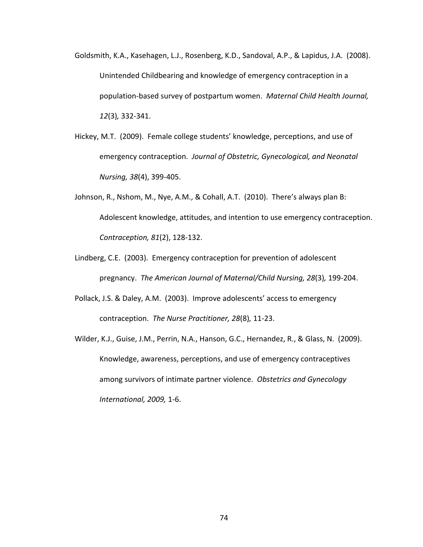- Goldsmith, K.A., Kasehagen, L.J., Rosenberg, K.D., Sandoval, A.P., & Lapidus, J.A. (2008). Unintended Childbearing and knowledge of emergency contraception in a population-based survey of postpartum women. Maternal Child Health Journal, 12(3), 332-341.
- Hickey, M.T. (2009). Female college students' knowledge, perceptions, and use of emergency contraception. Journal of Obstetric, Gynecological, and Neonatal Nursing, 38(4), 399-405.
- Johnson, R., Nshom, M., Nye, A.M., & Cohall, A.T. (2010). There's always plan B: Adolescent knowledge, attitudes, and intention to use emergency contraception. Contraception, 81(2), 128-132.
- Lindberg, C.E. (2003). Emergency contraception for prevention of adolescent pregnancy. The American Journal of Maternal/Child Nursing, 28(3), 199-204.
- Pollack, J.S. & Daley, A.M. (2003). Improve adolescents' access to emergency contraception. The Nurse Practitioner, 28(8), 11-23.
- Wilder, K.J., Guise, J.M., Perrin, N.A., Hanson, G.C., Hernandez, R., & Glass, N. (2009). Knowledge, awareness, perceptions, and use of emergency contraceptives among survivors of intimate partner violence. Obstetrics and Gynecology International, 2009, 1-6.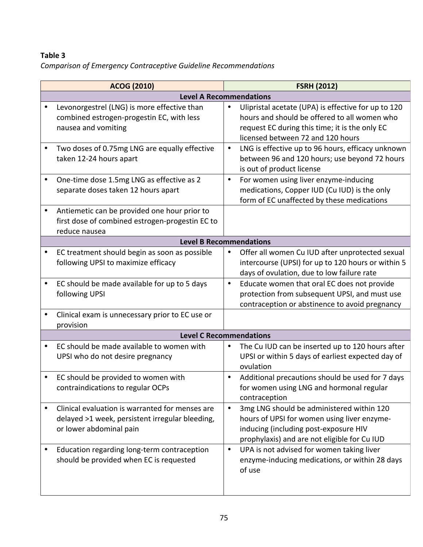# Table 3

Comparison of Emergency Contraceptive Guideline Recommendations

| <b>ACOG (2010)</b> |                                                                                                                               | <b>FSRH (2012)</b> |                                                                                                                                                                                            |  |
|--------------------|-------------------------------------------------------------------------------------------------------------------------------|--------------------|--------------------------------------------------------------------------------------------------------------------------------------------------------------------------------------------|--|
|                    | <b>Level A Recommendations</b>                                                                                                |                    |                                                                                                                                                                                            |  |
|                    | Levonorgestrel (LNG) is more effective than<br>combined estrogen-progestin EC, with less<br>nausea and vomiting               | $\bullet$          | Ulipristal acetate (UPA) is effective for up to 120<br>hours and should be offered to all women who<br>request EC during this time; it is the only EC<br>licensed between 72 and 120 hours |  |
|                    | Two doses of 0.75mg LNG are equally effective<br>taken 12-24 hours apart                                                      | $\bullet$          | LNG is effective up to 96 hours, efficacy unknown<br>between 96 and 120 hours; use beyond 72 hours<br>is out of product license                                                            |  |
|                    | One-time dose 1.5mg LNG as effective as 2<br>separate doses taken 12 hours apart                                              | $\bullet$          | For women using liver enzyme-inducing<br>medications, Copper IUD (Cu IUD) is the only<br>form of EC unaffected by these medications                                                        |  |
| $\bullet$          | Antiemetic can be provided one hour prior to<br>first dose of combined estrogen-progestin EC to<br>reduce nausea              |                    |                                                                                                                                                                                            |  |
|                    | <b>Level B Recommendations</b>                                                                                                |                    |                                                                                                                                                                                            |  |
| $\bullet$          | EC treatment should begin as soon as possible<br>following UPSI to maximize efficacy                                          | $\bullet$          | Offer all women Cu IUD after unprotected sexual<br>intercourse (UPSI) for up to 120 hours or within 5<br>days of ovulation, due to low failure rate                                        |  |
| $\bullet$          | EC should be made available for up to 5 days<br>following UPSI                                                                | $\bullet$          | Educate women that oral EC does not provide<br>protection from subsequent UPSI, and must use<br>contraception or abstinence to avoid pregnancy                                             |  |
|                    | Clinical exam is unnecessary prior to EC use or<br>provision                                                                  |                    |                                                                                                                                                                                            |  |
|                    | <b>Level C Recommendations</b>                                                                                                |                    |                                                                                                                                                                                            |  |
| $\bullet$          | EC should be made available to women with<br>UPSI who do not desire pregnancy                                                 | $\bullet$          | The Cu IUD can be inserted up to 120 hours after<br>UPSI or within 5 days of earliest expected day of<br>ovulation                                                                         |  |
|                    | EC should be provided to women with<br>contraindications to regular OCPs                                                      | $\bullet$          | Additional precautions should be used for 7 days<br>for women using LNG and hormonal regular<br>contraception                                                                              |  |
|                    | Clinical evaluation is warranted for menses are<br>delayed >1 week, persistent irregular bleeding,<br>or lower abdominal pain | $\bullet$          | 3mg LNG should be administered within 120<br>hours of UPSI for women using liver enzyme-<br>inducing (including post-exposure HIV<br>prophylaxis) and are not eligible for Cu IUD          |  |
|                    | Education regarding long-term contraception<br>should be provided when EC is requested                                        | $\bullet$          | UPA is not advised for women taking liver<br>enzyme-inducing medications, or within 28 days<br>of use                                                                                      |  |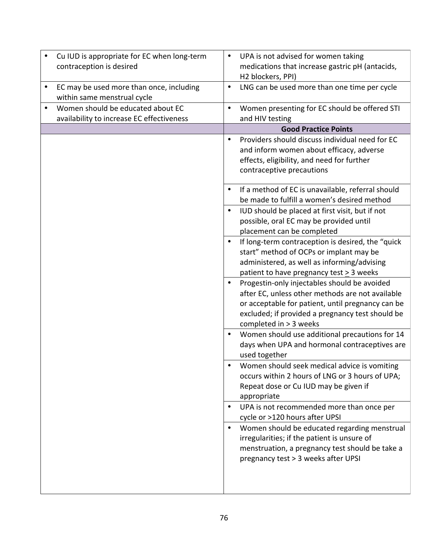| Cu IUD is appropriate for EC when long-term<br>contraception is desired              | UPA is not advised for women taking<br>$\bullet$<br>medications that increase gastric pH (antacids,<br>H2 blockers, PPI)                                                                                                                         |  |  |  |
|--------------------------------------------------------------------------------------|--------------------------------------------------------------------------------------------------------------------------------------------------------------------------------------------------------------------------------------------------|--|--|--|
| EC may be used more than once, including<br>$\bullet$<br>within same menstrual cycle | LNG can be used more than one time per cycle<br>$\bullet$                                                                                                                                                                                        |  |  |  |
| Women should be educated about EC<br>availability to increase EC effectiveness       | Women presenting for EC should be offered STI<br>٠<br>and HIV testing                                                                                                                                                                            |  |  |  |
|                                                                                      | <b>Good Practice Points</b>                                                                                                                                                                                                                      |  |  |  |
|                                                                                      | Providers should discuss individual need for EC<br>$\bullet$<br>and inform women about efficacy, adverse<br>effects, eligibility, and need for further<br>contraceptive precautions                                                              |  |  |  |
|                                                                                      | If a method of EC is unavailable, referral should<br>be made to fulfill a women's desired method                                                                                                                                                 |  |  |  |
|                                                                                      | IUD should be placed at first visit, but if not<br>$\bullet$<br>possible, oral EC may be provided until<br>placement can be completed                                                                                                            |  |  |  |
|                                                                                      | If long-term contraception is desired, the "quick"<br>$\bullet$<br>start" method of OCPs or implant may be<br>administered, as well as informing/advising<br>patient to have pregnancy test > 3 weeks                                            |  |  |  |
|                                                                                      | Progestin-only injectables should be avoided<br>$\bullet$<br>after EC, unless other methods are not available<br>or acceptable for patient, until pregnancy can be<br>excluded; if provided a pregnancy test should be<br>completed in > 3 weeks |  |  |  |
|                                                                                      | Women should use additional precautions for 14<br>$\bullet$<br>days when UPA and hormonal contraceptives are<br>used together                                                                                                                    |  |  |  |
|                                                                                      | Women should seek medical advice is vomiting<br>occurs within 2 hours of LNG or 3 hours of UPA;<br>Repeat dose or Cu IUD may be given if<br>appropriate                                                                                          |  |  |  |
|                                                                                      | UPA is not recommended more than once per<br>$\bullet$<br>cycle or >120 hours after UPSI                                                                                                                                                         |  |  |  |
|                                                                                      | Women should be educated regarding menstrual<br>irregularities; if the patient is unsure of<br>menstruation, a pregnancy test should be take a<br>pregnancy test > 3 weeks after UPSI                                                            |  |  |  |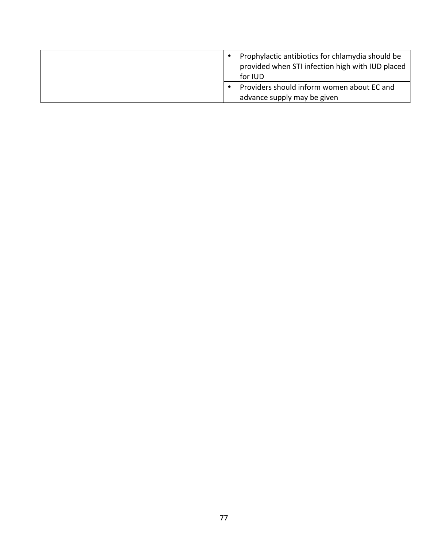|  | Prophylactic antibiotics for chlamydia should be<br>provided when STI infection high with IUD placed<br>for IUD |
|--|-----------------------------------------------------------------------------------------------------------------|
|  | Providers should inform women about EC and                                                                      |
|  | advance supply may be given                                                                                     |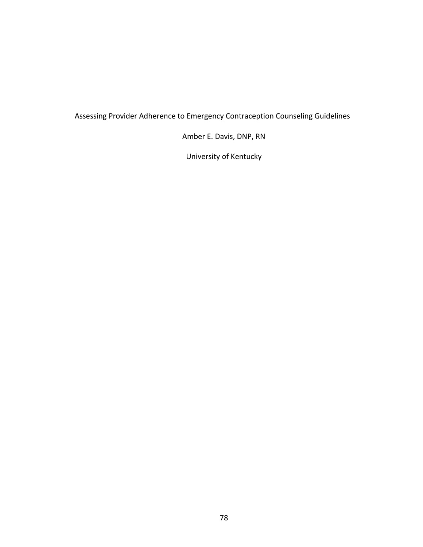# Assessing Provider Adherence to Emergency Contraception Counseling Guidelines

Amber E. Davis, DNP, RN

University of Kentucky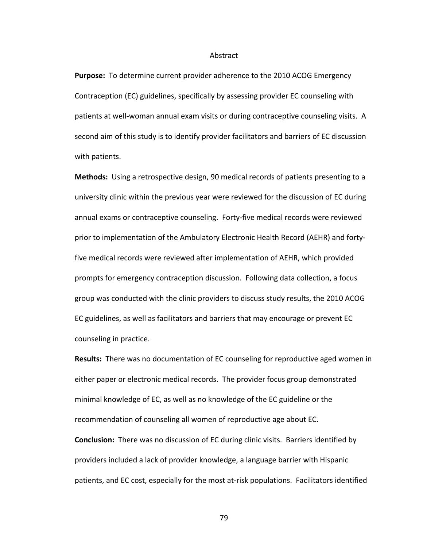#### Abstract

Purpose: To determine current provider adherence to the 2010 ACOG Emergency Contraception (EC) guidelines, specifically by assessing provider EC counseling with patients at well-woman annual exam visits or during contraceptive counseling visits. A second aim of this study is to identify provider facilitators and barriers of EC discussion with patients.

Methods: Using a retrospective design, 90 medical records of patients presenting to a university clinic within the previous year were reviewed for the discussion of EC during annual exams or contraceptive counseling. Forty-five medical records were reviewed prior to implementation of the Ambulatory Electronic Health Record (AEHR) and fortyfive medical records were reviewed after implementation of AEHR, which provided prompts for emergency contraception discussion. Following data collection, a focus group was conducted with the clinic providers to discuss study results, the 2010 ACOG EC guidelines, as well as facilitators and barriers that may encourage or prevent EC counseling in practice.

**Results:** There was no documentation of EC counseling for reproductive aged women in either paper or electronic medical records. The provider focus group demonstrated minimal knowledge of EC, as well as no knowledge of the EC guideline or the recommendation of counseling all women of reproductive age about EC. **Conclusion:** There was no discussion of EC during clinic visits. Barriers identified by providers included a lack of provider knowledge, a language barrier with Hispanic patients, and EC cost, especially for the most at-risk populations. Facilitators identified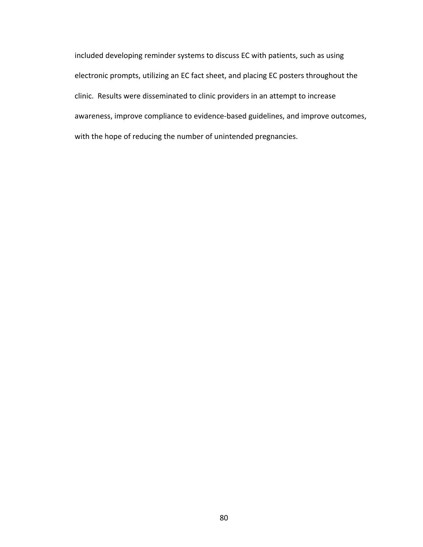included developing reminder systems to discuss EC with patients, such as using electronic prompts, utilizing an EC fact sheet, and placing EC posters throughout the clinic. Results were disseminated to clinic providers in an attempt to increase awareness, improve compliance to evidence-based guidelines, and improve outcomes, with the hope of reducing the number of unintended pregnancies.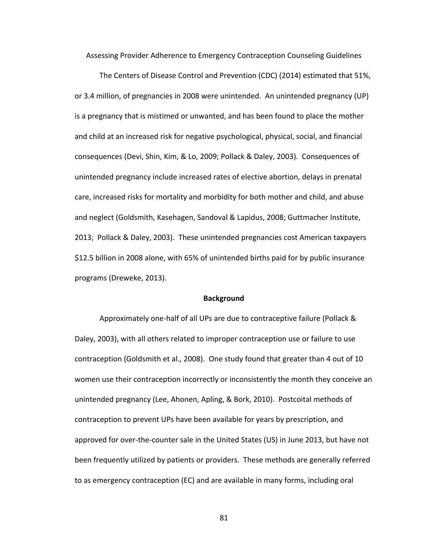Assessing Provider Adherence to Emergency Contraception Counseling Guidelines

The Centers of Disease Control and Prevention (CDC) (2014) estimated that 51%, or 3.4 million, of pregnancies in 2008 were unintended. An unintended pregnancy (UP) is a pregnancy that is mistimed or unwanted, and has been found to place the mother and child at an increased risk for negative psychological, physical, social, and financial consequences (Devi, Shin, Kim, & Lo, 2009; Pollack & Daley, 2003). Consequences of unintended pregnancy include increased rates of elective abortion, delays in prenatal care, increased risks for mortality and morbidity for both mother and child, and abuse and neglect (Goldsmith, Kasehagen, Sandoval & Lapidus, 2008; Guttmacher Institute, 2013; Pollack & Daley, 2003). These unintended pregnancies cost American taxpayers \$12.5 billion in 2008 alone, with 65% of unintended births paid for by public insurance programs (Dreweke, 2013).

### **Background**

Approximately one-half of all UPs are due to contraceptive failure (Pollack & Daley, 2003), with all others related to improper contraception use or failure to use contraception (Goldsmith et al., 2008). One study found that greater than 4 out of 10 women use their contraception incorrectly or inconsistently the month they conceive an unintended pregnancy (Lee, Ahonen, Apling, & Bork, 2010). Postcoital methods of contraception to prevent UPs have been available for years by prescription, and approved for over-the-counter sale in the United States (US) in June 2013, but have not been frequently utilized by patients or providers. These methods are generally referred to as emergency contraception (EC) and are available in many forms, including oral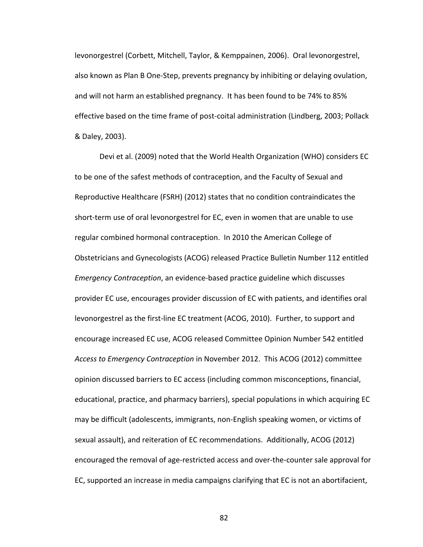levonorgestrel (Corbett, Mitchell, Taylor, & Kemppainen, 2006). Oral levonorgestrel, also known as Plan B One-Step, prevents pregnancy by inhibiting or delaying ovulation, and will not harm an established pregnancy. It has been found to be 74% to 85% effective based on the time frame of post-coital administration (Lindberg, 2003; Pollack & Daley, 2003).

Devi et al. (2009) noted that the World Health Organization (WHO) considers EC to be one of the safest methods of contraception, and the Faculty of Sexual and Reproductive Healthcare (FSRH) (2012) states that no condition contraindicates the short-term use of oral levonorgestrel for EC, even in women that are unable to use regular combined hormonal contraception. In 2010 the American College of Obstetricians and Gynecologists (ACOG) released Practice Bulletin Number 112 entitled Emergency Contraception, an evidence-based practice guideline which discusses provider EC use, encourages provider discussion of EC with patients, and identifies oral levonorgestrel as the first-line EC treatment (ACOG, 2010). Further, to support and encourage increased EC use, ACOG released Committee Opinion Number 542 entitled Access to Emergency Contraception in November 2012. This ACOG (2012) committee opinion discussed barriers to EC access (including common misconceptions, financial, educational, practice, and pharmacy barriers), special populations in which acquiring EC may be difficult (adolescents, immigrants, non-English speaking women, or victims of sexual assault), and reiteration of EC recommendations. Additionally, ACOG (2012) encouraged the removal of age-restricted access and over-the-counter sale approval for EC, supported an increase in media campaigns clarifying that EC is not an abortifacient,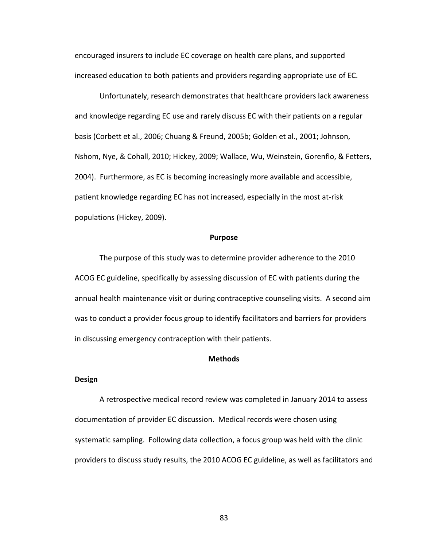encouraged insurers to include EC coverage on health care plans, and supported increased education to both patients and providers regarding appropriate use of EC.

Unfortunately, research demonstrates that healthcare providers lack awareness and knowledge regarding EC use and rarely discuss EC with their patients on a regular basis (Corbett et al., 2006; Chuang & Freund, 2005b; Golden et al., 2001; Johnson, Nshom, Nye, & Cohall, 2010; Hickey, 2009; Wallace, Wu, Weinstein, Gorenflo, & Fetters, 2004). Furthermore, as EC is becoming increasingly more available and accessible, patient knowledge regarding EC has not increased, especially in the most at-risk populations (Hickey, 2009).

#### **Purpose**

The purpose of this study was to determine provider adherence to the 2010 ACOG EC guideline, specifically by assessing discussion of EC with patients during the annual health maintenance visit or during contraceptive counseling visits. A second aim was to conduct a provider focus group to identify facilitators and barriers for providers in discussing emergency contraception with their patients.

### **Methods**

#### **Design**

A retrospective medical record review was completed in January 2014 to assess documentation of provider EC discussion. Medical records were chosen using systematic sampling. Following data collection, a focus group was held with the clinic providers to discuss study results, the 2010 ACOG EC guideline, as well as facilitators and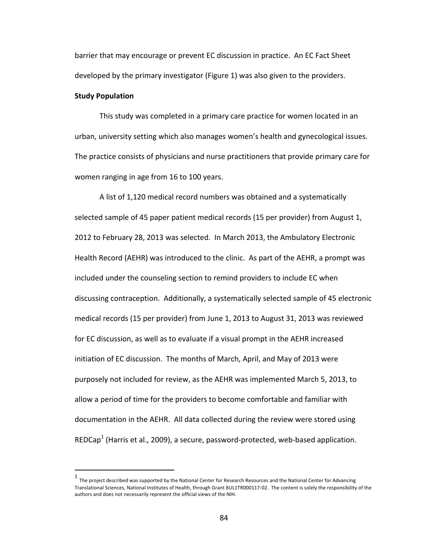barrier that may encourage or prevent EC discussion in practice. An EC Fact Sheet developed by the primary investigator (Figure 1) was also given to the providers.

## **Study Population**

This study was completed in a primary care practice for women located in an urban, university setting which also manages women's health and gynecological issues. The practice consists of physicians and nurse practitioners that provide primary care for women ranging in age from 16 to 100 years.

A list of 1,120 medical record numbers was obtained and a systematically selected sample of 45 paper patient medical records (15 per provider) from August 1, 2012 to February 28, 2013 was selected. In March 2013, the Ambulatory Electronic Health Record (AEHR) was introduced to the clinic. As part of the AEHR, a prompt was included under the counseling section to remind providers to include EC when discussing contraception. Additionally, a systematically selected sample of 45 electronic medical records (15 per provider) from June 1, 2013 to August 31, 2013 was reviewed for EC discussion, as well as to evaluate if a visual prompt in the AEHR increased initiation of EC discussion. The months of March, April, and May of 2013 were purposely not included for review, as the AEHR was implemented March 5, 2013, to allow a period of time for the providers to become comfortable and familiar with documentation in the AEHR. All data collected during the review were stored using REDCap<sup>1</sup> (Harris et al., 2009), a secure, password-protected, web-based application.

The project described was supported by the National Center for Research Resources and the National Center for Advancing Translational Sciences, National Institutes of Health, through Grant 8UL1TR000117-02. The content is solely the responsibility of the authors and does not necessarily represent the official views of the NIH.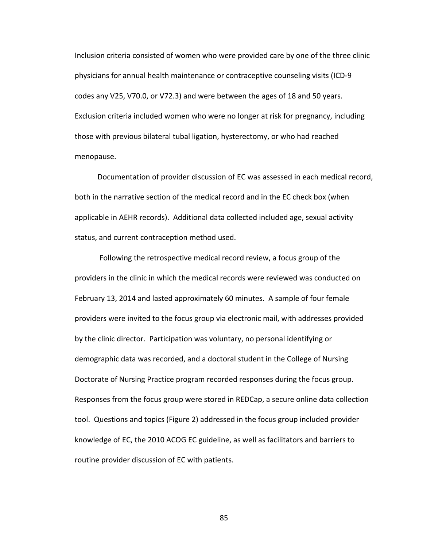Inclusion criteria consisted of women who were provided care by one of the three clinic physicians for annual health maintenance or contraceptive counseling visits (ICD-9 codes any V25, V70.0, or V72.3) and were between the ages of 18 and 50 years. Exclusion criteria included women who were no longer at risk for pregnancy, including those with previous bilateral tubal ligation, hysterectomy, or who had reached menopause.

Documentation of provider discussion of EC was assessed in each medical record, both in the narrative section of the medical record and in the EC check box (when applicable in AEHR records). Additional data collected included age, sexual activity status, and current contraception method used.

Following the retrospective medical record review, a focus group of the providers in the clinic in which the medical records were reviewed was conducted on February 13, 2014 and lasted approximately 60 minutes. A sample of four female providers were invited to the focus group via electronic mail, with addresses provided by the clinic director. Participation was voluntary, no personal identifying or demographic data was recorded, and a doctoral student in the College of Nursing Doctorate of Nursing Practice program recorded responses during the focus group. Responses from the focus group were stored in REDCap, a secure online data collection tool. Questions and topics (Figure 2) addressed in the focus group included provider knowledge of EC, the 2010 ACOG EC guideline, as well as facilitators and barriers to routine provider discussion of EC with patients.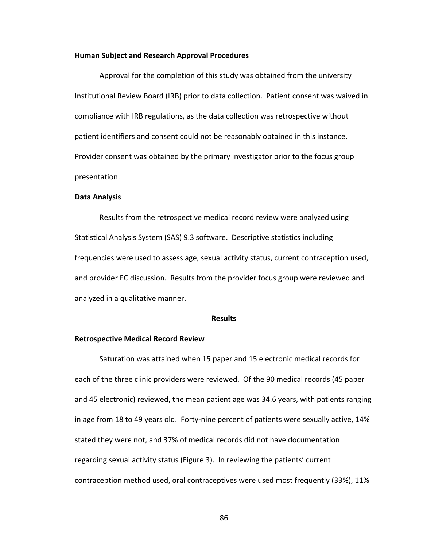## **Human Subject and Research Approval Procedures**

Approval for the completion of this study was obtained from the university Institutional Review Board (IRB) prior to data collection. Patient consent was waived in compliance with IRB regulations, as the data collection was retrospective without patient identifiers and consent could not be reasonably obtained in this instance. Provider consent was obtained by the primary investigator prior to the focus group presentation.

#### **Data Analysis**

Results from the retrospective medical record review were analyzed using Statistical Analysis System (SAS) 9.3 software. Descriptive statistics including frequencies were used to assess age, sexual activity status, current contraception used, and provider EC discussion. Results from the provider focus group were reviewed and analyzed in a qualitative manner.

#### **Results**

## **Retrospective Medical Record Review**

Saturation was attained when 15 paper and 15 electronic medical records for each of the three clinic providers were reviewed. Of the 90 medical records (45 paper and 45 electronic) reviewed, the mean patient age was 34.6 years, with patients ranging in age from 18 to 49 years old. Forty-nine percent of patients were sexually active, 14% stated they were not, and 37% of medical records did not have documentation regarding sexual activity status (Figure 3). In reviewing the patients' current contraception method used, oral contraceptives were used most frequently (33%), 11%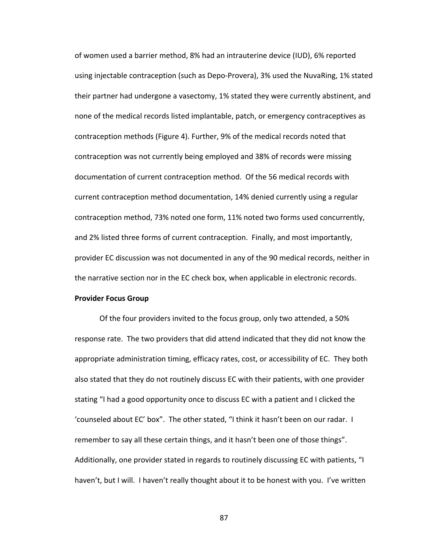of women used a barrier method, 8% had an intrauterine device (IUD), 6% reported using injectable contraception (such as Depo-Provera), 3% used the NuvaRing, 1% stated their partner had undergone a vasectomy, 1% stated they were currently abstinent, and none of the medical records listed implantable, patch, or emergency contraceptives as contraception methods (Figure 4). Further, 9% of the medical records noted that contraception was not currently being employed and 38% of records were missing documentation of current contraception method. Of the 56 medical records with current contraception method documentation, 14% denied currently using a regular contraception method, 73% noted one form, 11% noted two forms used concurrently, and 2% listed three forms of current contraception. Finally, and most importantly, provider EC discussion was not documented in any of the 90 medical records, neither in the narrative section nor in the EC check box, when applicable in electronic records.

## **Provider Focus Group**

Of the four providers invited to the focus group, only two attended, a 50% response rate. The two providers that did attend indicated that they did not know the appropriate administration timing, efficacy rates, cost, or accessibility of EC. They both also stated that they do not routinely discuss EC with their patients, with one provider stating "I had a good opportunity once to discuss EC with a patient and I clicked the 'counseled about EC' box". The other stated, "I think it hasn't been on our radar. I remember to say all these certain things, and it hasn't been one of those things". Additionally, one provider stated in regards to routinely discussing EC with patients, "I haven't, but I will. I haven't really thought about it to be honest with you. I've written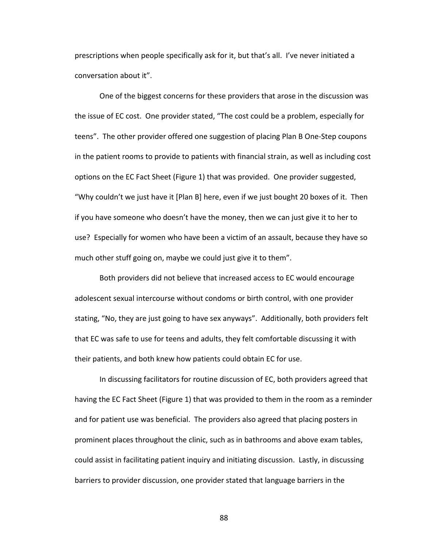prescriptions when people specifically ask for it, but that's all. I've never initiated a conversation about it".

One of the biggest concerns for these providers that arose in the discussion was the issue of EC cost. One provider stated, "The cost could be a problem, especially for teens". The other provider offered one suggestion of placing Plan B One-Step coupons in the patient rooms to provide to patients with financial strain, as well as including cost options on the EC Fact Sheet (Figure 1) that was provided. One provider suggested, "Why couldn't we just have it [Plan B] here, even if we just bought 20 boxes of it. Then if you have someone who doesn't have the money, then we can just give it to her to use? Especially for women who have been a victim of an assault, because they have so much other stuff going on, maybe we could just give it to them".

Both providers did not believe that increased access to EC would encourage adolescent sexual intercourse without condoms or birth control, with one provider stating, "No, they are just going to have sex anyways". Additionally, both providers felt that EC was safe to use for teens and adults, they felt comfortable discussing it with their patients, and both knew how patients could obtain EC for use.

In discussing facilitators for routine discussion of EC, both providers agreed that having the EC Fact Sheet (Figure 1) that was provided to them in the room as a reminder and for patient use was beneficial. The providers also agreed that placing posters in prominent places throughout the clinic, such as in bathrooms and above exam tables, could assist in facilitating patient inguiry and initiating discussion. Lastly, in discussing barriers to provider discussion, one provider stated that language barriers in the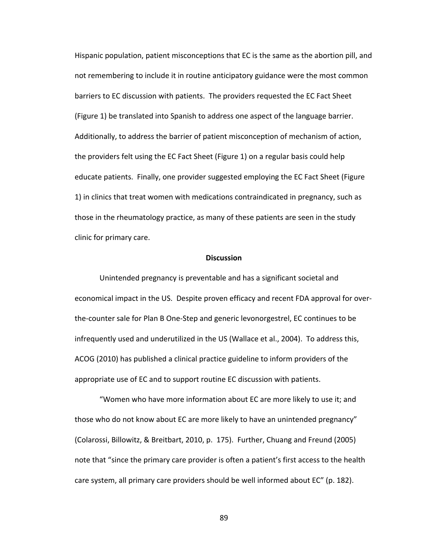Hispanic population, patient misconceptions that EC is the same as the abortion pill, and not remembering to include it in routine anticipatory guidance were the most common barriers to EC discussion with patients. The providers requested the EC Fact Sheet (Figure 1) be translated into Spanish to address one aspect of the language barrier. Additionally, to address the barrier of patient misconception of mechanism of action, the providers felt using the EC Fact Sheet (Figure 1) on a regular basis could help educate patients. Finally, one provider suggested employing the EC Fact Sheet (Figure 1) in clinics that treat women with medications contraindicated in pregnancy, such as those in the rheumatology practice, as many of these patients are seen in the study clinic for primary care.

## **Discussion**

Unintended pregnancy is preventable and has a significant societal and economical impact in the US. Despite proven efficacy and recent FDA approval for overthe-counter sale for Plan B One-Step and generic levonorgestrel, EC continues to be infrequently used and underutilized in the US (Wallace et al., 2004). To address this, ACOG (2010) has published a clinical practice guideline to inform providers of the appropriate use of EC and to support routine EC discussion with patients.

"Women who have more information about EC are more likely to use it; and those who do not know about EC are more likely to have an unintended pregnancy" (Colarossi, Billowitz, & Breitbart, 2010, p. 175). Further, Chuang and Freund (2005) note that "since the primary care provider is often a patient's first access to the health care system, all primary care providers should be well informed about EC" (p. 182).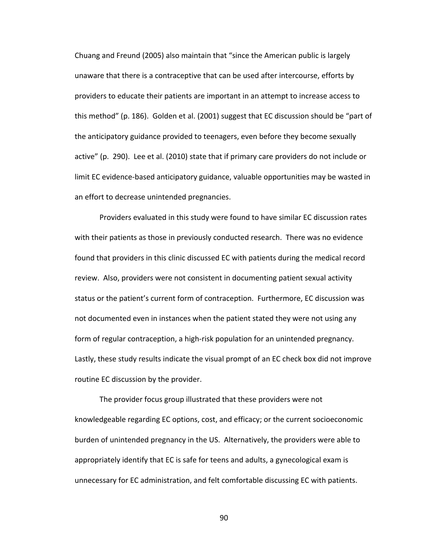Chuang and Freund (2005) also maintain that "since the American public is largely unaware that there is a contraceptive that can be used after intercourse, efforts by providers to educate their patients are important in an attempt to increase access to this method" (p. 186). Golden et al. (2001) suggest that EC discussion should be "part of the anticipatory guidance provided to teenagers, even before they become sexually active" (p. 290). Lee et al. (2010) state that if primary care providers do not include or limit EC evidence-based anticipatory guidance, valuable opportunities may be wasted in an effort to decrease unintended pregnancies.

Providers evaluated in this study were found to have similar EC discussion rates with their patients as those in previously conducted research. There was no evidence found that providers in this clinic discussed EC with patients during the medical record review. Also, providers were not consistent in documenting patient sexual activity status or the patient's current form of contraception. Furthermore, EC discussion was not documented even in instances when the patient stated they were not using any form of regular contraception, a high-risk population for an unintended pregnancy. Lastly, these study results indicate the visual prompt of an EC check box did not improve routine EC discussion by the provider.

The provider focus group illustrated that these providers were not knowledgeable regarding EC options, cost, and efficacy; or the current socioeconomic burden of unintended pregnancy in the US. Alternatively, the providers were able to appropriately identify that EC is safe for teens and adults, a gynecological exam is unnecessary for EC administration, and felt comfortable discussing EC with patients.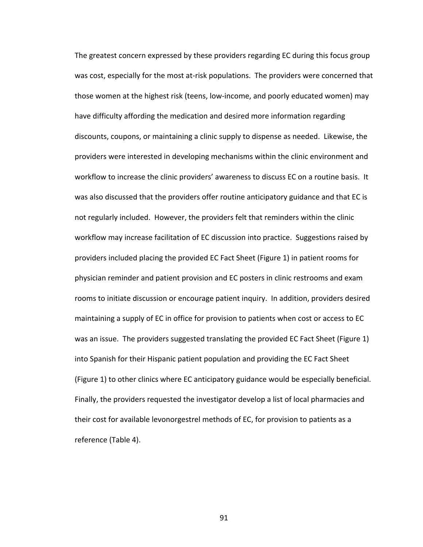The greatest concern expressed by these providers regarding EC during this focus group was cost, especially for the most at-risk populations. The providers were concerned that those women at the highest risk (teens, low-income, and poorly educated women) may have difficulty affording the medication and desired more information regarding discounts, coupons, or maintaining a clinic supply to dispense as needed. Likewise, the providers were interested in developing mechanisms within the clinic environment and workflow to increase the clinic providers' awareness to discuss EC on a routine basis. It was also discussed that the providers offer routine anticipatory guidance and that EC is not regularly included. However, the providers felt that reminders within the clinic workflow may increase facilitation of EC discussion into practice. Suggestions raised by providers included placing the provided EC Fact Sheet (Figure 1) in patient rooms for physician reminder and patient provision and EC posters in clinic restrooms and exam rooms to initiate discussion or encourage patient inquiry. In addition, providers desired maintaining a supply of EC in office for provision to patients when cost or access to EC was an issue. The providers suggested translating the provided EC Fact Sheet (Figure 1) into Spanish for their Hispanic patient population and providing the EC Fact Sheet (Figure 1) to other clinics where EC anticipatory guidance would be especially beneficial. Finally, the providers requested the investigator develop a list of local pharmacies and their cost for available levonorgestrel methods of EC, for provision to patients as a reference (Table 4).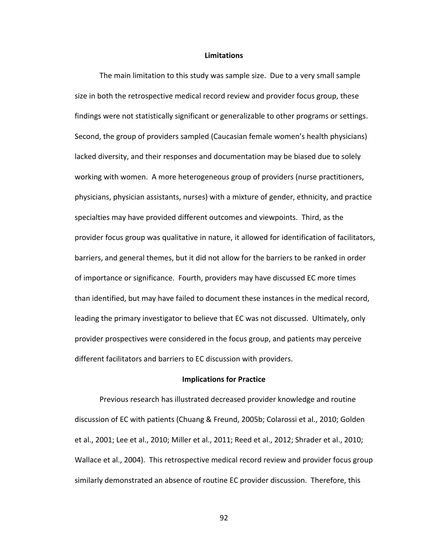#### **Limitations**

The main limitation to this study was sample size. Due to a very small sample size in both the retrospective medical record review and provider focus group, these findings were not statistically significant or generalizable to other programs or settings. Second, the group of providers sampled (Caucasian female women's health physicians) lacked diversity, and their responses and documentation may be biased due to solely working with women. A more heterogeneous group of providers (nurse practitioners, physicians, physician assistants, nurses) with a mixture of gender, ethnicity, and practice specialties may have provided different outcomes and viewpoints. Third, as the provider focus group was qualitative in nature, it allowed for identification of facilitators, barriers, and general themes, but it did not allow for the barriers to be ranked in order of importance or significance. Fourth, providers may have discussed EC more times than identified, but may have failed to document these instances in the medical record, leading the primary investigator to believe that EC was not discussed. Ultimately, only provider prospectives were considered in the focus group, and patients may perceive different facilitators and barriers to EC discussion with providers.

#### **Implications for Practice**

Previous research has illustrated decreased provider knowledge and routine discussion of EC with patients (Chuang & Freund, 2005b; Colarossi et al., 2010; Golden et al., 2001; Lee et al., 2010; Miller et al., 2011; Reed et al., 2012; Shrader et al., 2010; Wallace et al., 2004). This retrospective medical record review and provider focus group similarly demonstrated an absence of routine EC provider discussion. Therefore, this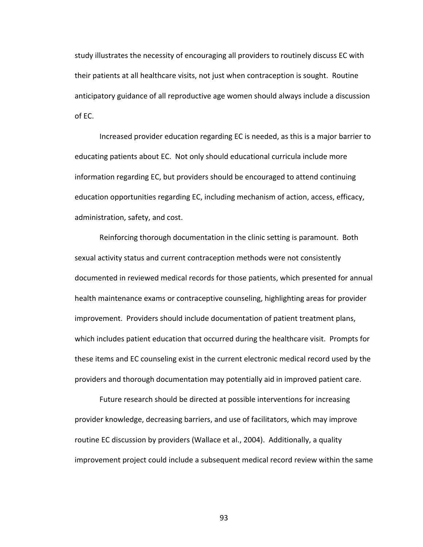study illustrates the necessity of encouraging all providers to routinely discuss EC with their patients at all healthcare visits, not just when contraception is sought. Routine anticipatory guidance of all reproductive age women should always include a discussion of EC.

Increased provider education regarding EC is needed, as this is a major barrier to educating patients about EC. Not only should educational curricula include more information regarding EC, but providers should be encouraged to attend continuing education opportunities regarding EC, including mechanism of action, access, efficacy, administration, safety, and cost.

Reinforcing thorough documentation in the clinic setting is paramount. Both sexual activity status and current contraception methods were not consistently documented in reviewed medical records for those patients, which presented for annual health maintenance exams or contraceptive counseling, highlighting areas for provider improvement. Providers should include documentation of patient treatment plans, which includes patient education that occurred during the healthcare visit. Prompts for these items and EC counseling exist in the current electronic medical record used by the providers and thorough documentation may potentially aid in improved patient care.

Future research should be directed at possible interventions for increasing provider knowledge, decreasing barriers, and use of facilitators, which may improve routine EC discussion by providers (Wallace et al., 2004). Additionally, a quality improvement project could include a subsequent medical record review within the same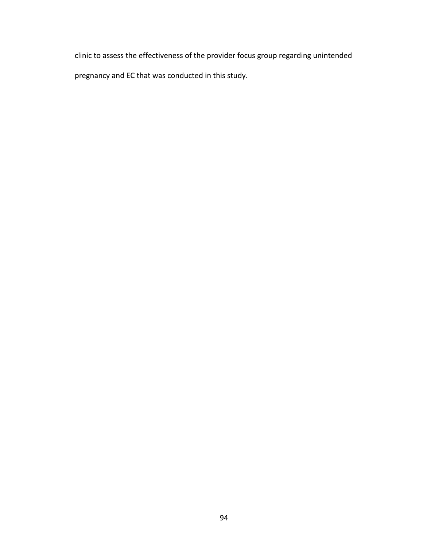clinic to assess the effectiveness of the provider focus group regarding unintended pregnancy and EC that was conducted in this study.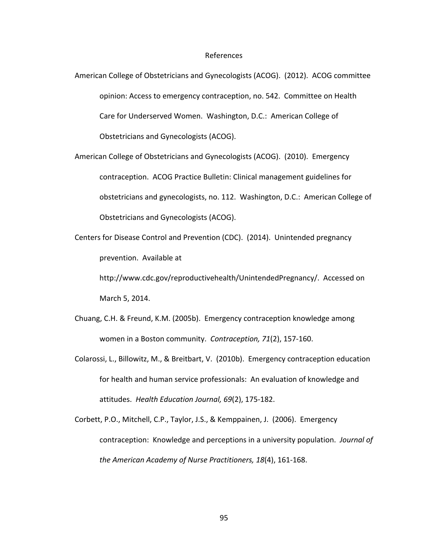#### References

- American College of Obstetricians and Gynecologists (ACOG). (2012). ACOG committee opinion: Access to emergency contraception, no. 542. Committee on Health Care for Underserved Women. Washington, D.C.: American College of Obstetricians and Gynecologists (ACOG).
- American College of Obstetricians and Gynecologists (ACOG). (2010). Emergency contraception. ACOG Practice Bulletin: Clinical management guidelines for obstetricians and gynecologists, no. 112. Washington, D.C.: American College of Obstetricians and Gynecologists (ACOG).
- Centers for Disease Control and Prevention (CDC). (2014). Unintended pregnancy prevention. Available at

http://www.cdc.gov/reproductivehealth/UnintendedPregnancy/. Accessed on March 5, 2014.

- Chuang, C.H. & Freund, K.M. (2005b). Emergency contraception knowledge among women in a Boston community. Contraception, 71(2), 157-160.
- Colarossi, L., Billowitz, M., & Breitbart, V. (2010b). Emergency contraception education for health and human service professionals: An evaluation of knowledge and attitudes. Health Education Journal, 69(2), 175-182.
- Corbett, P.O., Mitchell, C.P., Taylor, J.S., & Kemppainen, J. (2006). Emergency contraception: Knowledge and perceptions in a university population. Journal of the American Academy of Nurse Practitioners, 18(4), 161-168.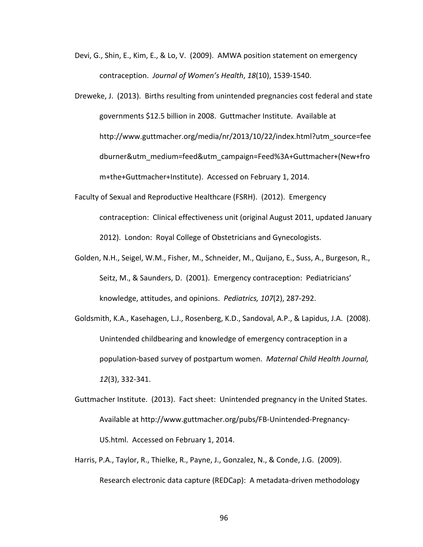- Devi, G., Shin, E., Kim, E., & Lo, V. (2009). AMWA position statement on emergency contraception. Journal of Women's Health, 18(10), 1539-1540.
- Dreweke, J. (2013). Births resulting from unintended pregnancies cost federal and state governments \$12.5 billion in 2008. Guttmacher Institute. Available at http://www.guttmacher.org/media/nr/2013/10/22/index.html?utm source=fee dburner&utm\_medium=feed&utm\_campaign=Feed%3A+Guttmacher+(New+fro m+the+Guttmacher+Institute). Accessed on February 1, 2014.
- Faculty of Sexual and Reproductive Healthcare (FSRH). (2012). Emergency contraception: Clinical effectiveness unit (original August 2011, updated January 2012). London: Royal College of Obstetricians and Gynecologists.
- Golden, N.H., Seigel, W.M., Fisher, M., Schneider, M., Quijano, E., Suss, A., Burgeson, R., Seitz, M., & Saunders, D. (2001). Emergency contraception: Pediatricians' knowledge, attitudes, and opinions. Pediatrics, 107(2), 287-292.
- Goldsmith, K.A., Kasehagen, L.J., Rosenberg, K.D., Sandoval, A.P., & Lapidus, J.A. (2008). Unintended childbearing and knowledge of emergency contraception in a population-based survey of postpartum women. Maternal Child Health Journal, 12(3), 332-341.
- Guttmacher Institute. (2013). Fact sheet: Unintended pregnancy in the United States. Available at http://www.guttmacher.org/pubs/FB-Unintended-Pregnancy-US.html. Accessed on February 1, 2014.
- Harris, P.A., Taylor, R., Thielke, R., Payne, J., Gonzalez, N., & Conde, J.G. (2009). Research electronic data capture (REDCap): A metadata-driven methodology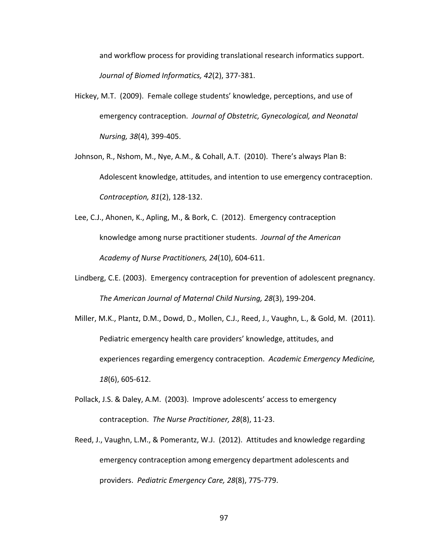and workflow process for providing translational research informatics support. Journal of Biomed Informatics, 42(2), 377-381.

- Hickey, M.T. (2009). Female college students' knowledge, perceptions, and use of emergency contraception. Journal of Obstetric, Gynecological, and Neonatal Nursing, 38(4), 399-405.
- Johnson, R., Nshom, M., Nye, A.M., & Cohall, A.T. (2010). There's always Plan B: Adolescent knowledge, attitudes, and intention to use emergency contraception. Contraception, 81(2), 128-132.
- Lee, C.J., Ahonen, K., Apling, M., & Bork, C. (2012). Emergency contraception knowledge among nurse practitioner students. Journal of the American Academy of Nurse Practitioners, 24(10), 604-611.
- Lindberg, C.E. (2003). Emergency contraception for prevention of adolescent pregnancy. The American Journal of Maternal Child Nursing, 28(3), 199-204.
- Miller, M.K., Plantz, D.M., Dowd, D., Mollen, C.J., Reed, J., Vaughn, L., & Gold, M. (2011). Pediatric emergency health care providers' knowledge, attitudes, and experiences regarding emergency contraception. Academic Emergency Medicine, 18(6), 605-612.
- Pollack, J.S. & Daley, A.M. (2003). Improve adolescents' access to emergency contraception. The Nurse Practitioner, 28(8), 11-23.
- Reed, J., Vaughn, L.M., & Pomerantz, W.J. (2012). Attitudes and knowledge regarding emergency contraception among emergency department adolescents and providers. Pediatric Emergency Care, 28(8), 775-779.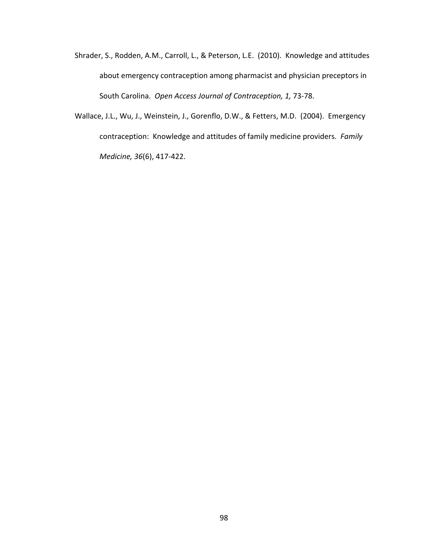- Shrader, S., Rodden, A.M., Carroll, L., & Peterson, L.E. (2010). Knowledge and attitudes about emergency contraception among pharmacist and physician preceptors in South Carolina. Open Access Journal of Contraception, 1, 73-78.
- Wallace, J.L., Wu, J., Weinstein, J., Gorenflo, D.W., & Fetters, M.D. (2004). Emergency contraception: Knowledge and attitudes of family medicine providers. Family Medicine, 36(6), 417-422.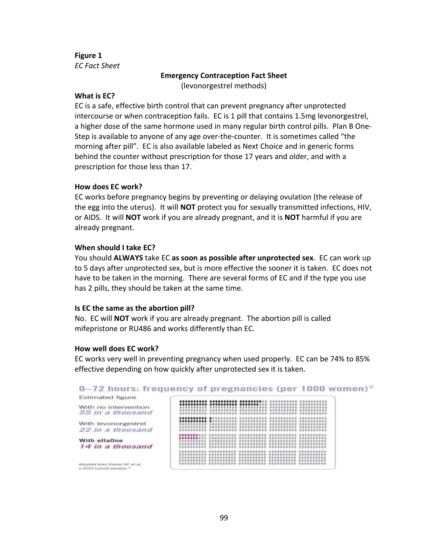Figure 1 **EC Fact Sheet** 

## **Emergency Contraception Fact Sheet**

(levonorgestrel methods)

## What is EC?

EC is a safe, effective birth control that can prevent pregnancy after unprotected intercourse or when contraception fails. EC is 1 pill that contains 1.5mg levonorgestrel, a higher dose of the same hormone used in many regular birth control pills. Plan B One-Step is available to anyone of any age over-the-counter. It is sometimes called "the morning after pill". EC is also available labeled as Next Choice and in generic forms behind the counter without prescription for those 17 years and older, and with a prescription for those less than 17.

## How does EC work?

EC works before pregnancy begins by preventing or delaying ovulation (the release of the egg into the uterus). It will **NOT** protect you for sexually transmitted infections, HIV, or AIDS. It will NOT work if you are already pregnant, and it is NOT harmful if you are already pregnant.

## When should I take EC?

You should ALWAYS take EC as soon as possible after unprotected sex. EC can work up to 5 days after unprotected sex, but is more effective the sooner it is taken. EC does not have to be taken in the morning. There are several forms of EC and if the type you use has 2 pills, they should be taken at the same time.

## Is EC the same as the abortion pill?

No. EC will NOT work if you are already pregnant. The abortion pill is called mifepristone or RU486 and works differently than EC.

## How well does EC work?

EC works very well in preventing pregnancy when used properly. EC can be 74% to 85% effective depending on how quickly after unprotected sex it is taken.

## $0-72$  hours: frequency of pregnancies (per 1000 women)<sup>2</sup>

**Estimated figure** 

With no intervention 55 in a thousand

With levonorgestrel 22 in a thousand

With ellaOne 14 in a thousand \*\*\*\*\*\*\*\*\*\*\* \*\*\*\*\*\*\*\*\*\* \*\*\*\*\*\*\*\*\* :::::::

Adapted from Glasier AF et al.,<br>a 2010 Lancet analysis.<sup>2</sup>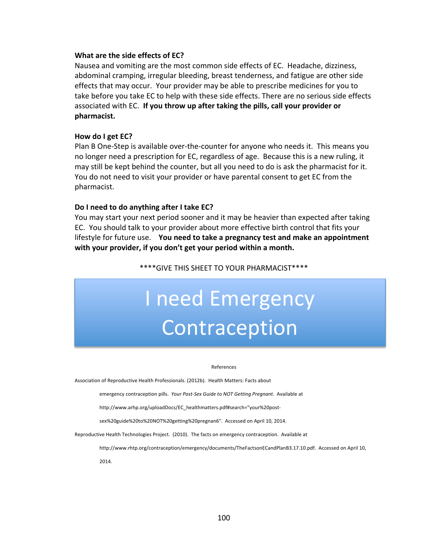## What are the side effects of EC?

Nausea and vomiting are the most common side effects of EC. Headache, dizziness, abdominal cramping, irregular bleeding, breast tenderness, and fatigue are other side effects that may occur. Your provider may be able to prescribe medicines for you to take before you take EC to help with these side effects. There are no serious side effects associated with EC. If you throw up after taking the pills, call your provider or pharmacist.

## How do I get EC?

Plan B One-Step is available over-the-counter for anyone who needs it. This means you no longer need a prescription for EC, regardless of age. Because this is a new ruling, it may still be kept behind the counter, but all you need to do is ask the pharmacist for it. You do not need to visit your provider or have parental consent to get EC from the pharmacist.

## Do I need to do anything after I take EC?

You may start your next period sooner and it may be heavier than expected after taking EC. You should talk to your provider about more effective birth control that fits your lifestyle for future use. You need to take a pregnancy test and make an appointment with your provider, if you don't get your period within a month.

\*\*\*\* GIVE THIS SHEET TO YOUR PHARMACIST\*\*\*\*

# I need Emergency Contraception

#### References

Association of Reproductive Health Professionals. (2012b). Health Matters: Facts about

emergency contraception pills. Your Post-Sex Guide to NOT Getting Pregnant. Available at

http://www.arhp.org/uploadDocs/EC\_healthmatters.pdf#search="your%20post-

sex%20guide%20to%20NOT%20getting%20pregnan6". Accessed on April 10, 2014.

Reproductive Health Technologies Project. (2010). The facts on emergency contraception. Available at

http://www.rhtp.org/contraception/emergency/documents/TheFactsonECandPlanB3.17.10.pdf. Accessed on April 10,

2014.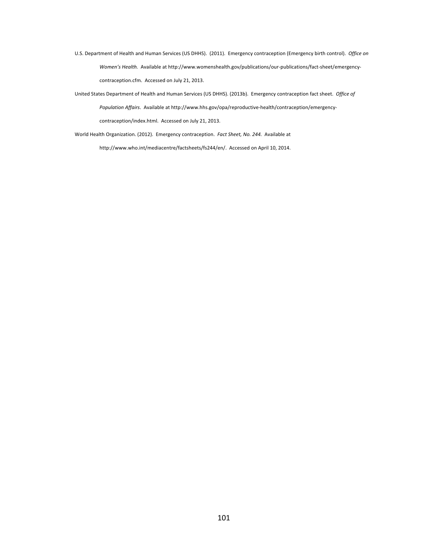- U.S. Department of Health and Human Services (US DHHS). (2011). Emergency contraception (Emergency birth control). Office on Women's Health. Available at http://www.womenshealth.gov/publications/our-publications/fact-sheet/emergencycontraception.cfm. Accessed on July 21, 2013.
- United States Department of Health and Human Services (US DHHS). (2013b). Emergency contraception fact sheet. Office of Population Affairs. Available at http://www.hhs.gov/opa/reproductive-health/contraception/emergencycontraception/index.html. Accessed on July 21, 2013.

World Health Organization. (2012). Emergency contraception. Fact Sheet, No. 244. Available at http://www.who.int/mediacentre/factsheets/fs244/en/. Accessed on April 10, 2014.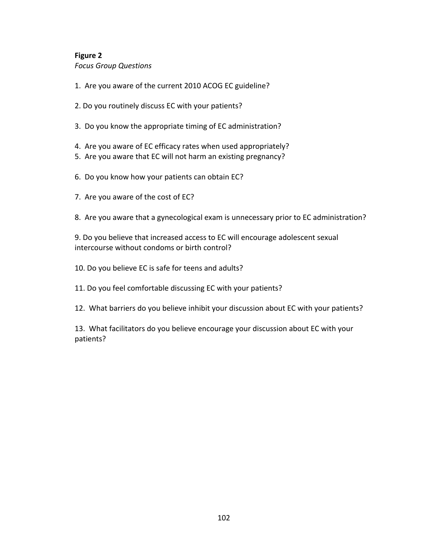## **Figure 2**

**Focus Group Questions** 

- 1. Are you aware of the current 2010 ACOG EC guideline?
- 2. Do you routinely discuss EC with your patients?
- 3. Do you know the appropriate timing of EC administration?
- 4. Are you aware of EC efficacy rates when used appropriately?
- 5. Are you aware that EC will not harm an existing pregnancy?
- 6. Do you know how your patients can obtain EC?
- 7. Are you aware of the cost of EC?
- 8. Are you aware that a gynecological exam is unnecessary prior to EC administration?

9. Do you believe that increased access to EC will encourage adolescent sexual intercourse without condoms or birth control?

- 10. Do you believe EC is safe for teens and adults?
- 11. Do you feel comfortable discussing EC with your patients?
- 12. What barriers do you believe inhibit your discussion about EC with your patients?

13. What facilitators do you believe encourage your discussion about EC with your patients?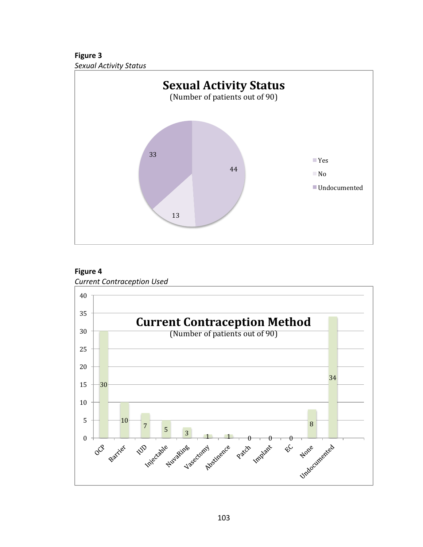Figure 3

**Sexual Activity Status** 





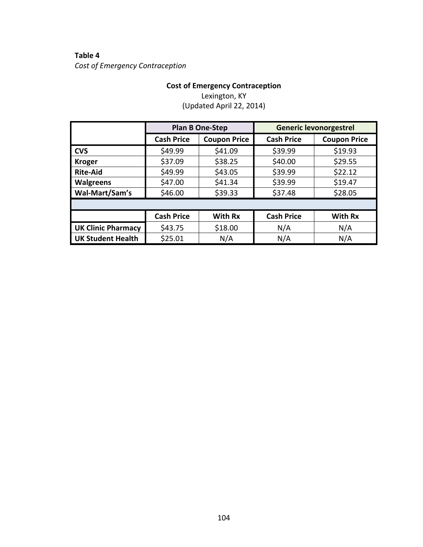# Table 4 Cost of Emergency Contraception

# **Cost of Emergency Contraception**

Lexington, KY (Updated April 22, 2014)

|                           |                   | <b>Plan B One-Step</b> | <b>Generic levonorgestrel</b> |                     |  |
|---------------------------|-------------------|------------------------|-------------------------------|---------------------|--|
|                           | <b>Cash Price</b> | <b>Coupon Price</b>    | <b>Cash Price</b>             | <b>Coupon Price</b> |  |
| <b>CVS</b>                | \$49.99           | \$41.09                | \$39.99                       | \$19.93             |  |
| <b>Kroger</b>             | \$37.09           | \$38.25                | \$40.00                       | \$29.55             |  |
| <b>Rite-Aid</b>           | \$49.99           | \$43.05                | \$39.99                       | \$22.12             |  |
| <b>Walgreens</b>          | \$47.00           | \$41.34                | \$39.99                       | \$19.47             |  |
| Wal-Mart/Sam's            | \$46.00           | \$39.33                | \$37.48                       | \$28.05             |  |
|                           |                   |                        |                               |                     |  |
|                           | <b>Cash Price</b> | <b>With Rx</b>         | <b>Cash Price</b>             | <b>With Rx</b>      |  |
| <b>UK Clinic Pharmacy</b> | \$43.75           | \$18.00                | N/A                           | N/A                 |  |
| <b>UK Student Health</b>  | \$25.01           | N/A                    | N/A                           | N/A                 |  |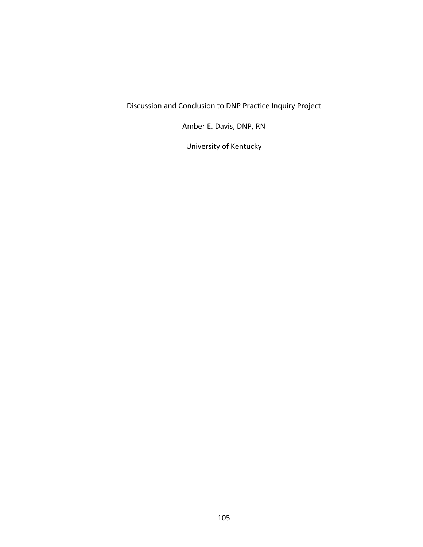Discussion and Conclusion to DNP Practice Inquiry Project

Amber E. Davis, DNP, RN

University of Kentucky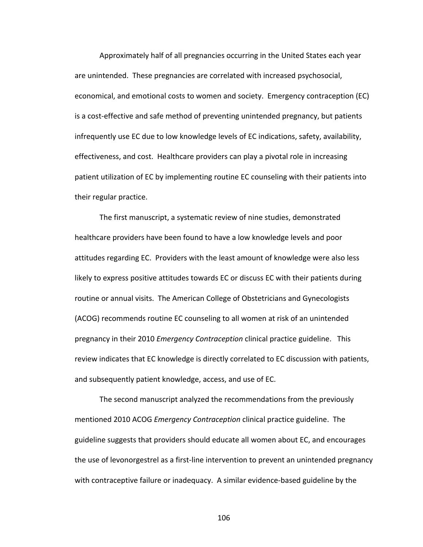Approximately half of all pregnancies occurring in the United States each year are unintended. These pregnancies are correlated with increased psychosocial, economical, and emotional costs to women and society. Emergency contraception (EC) is a cost-effective and safe method of preventing unintended pregnancy, but patients infrequently use EC due to low knowledge levels of EC indications, safety, availability, effectiveness, and cost. Healthcare providers can play a pivotal role in increasing patient utilization of EC by implementing routine EC counseling with their patients into their regular practice.

The first manuscript, a systematic review of nine studies, demonstrated healthcare providers have been found to have a low knowledge levels and poor attitudes regarding EC. Providers with the least amount of knowledge were also less likely to express positive attitudes towards EC or discuss EC with their patients during routine or annual visits. The American College of Obstetricians and Gynecologists (ACOG) recommends routine EC counseling to all women at risk of an unintended pregnancy in their 2010 *Emergency Contraception* clinical practice guideline. This review indicates that EC knowledge is directly correlated to EC discussion with patients, and subsequently patient knowledge, access, and use of EC.

The second manuscript analyzed the recommendations from the previously mentioned 2010 ACOG *Emergency Contraception* clinical practice guideline. The guideline suggests that providers should educate all women about EC, and encourages the use of levonorgestrel as a first-line intervention to prevent an unintended pregnancy with contraceptive failure or inadequacy. A similar evidence-based guideline by the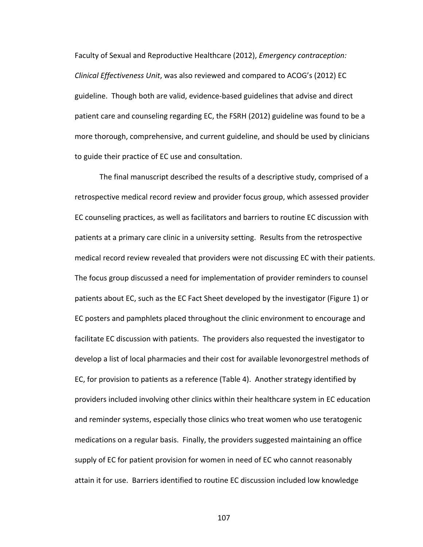Faculty of Sexual and Reproductive Healthcare (2012), Emergency contraception: Clinical Effectiveness Unit, was also reviewed and compared to ACOG's (2012) EC guideline. Though both are valid, evidence-based guidelines that advise and direct patient care and counseling regarding EC, the FSRH (2012) guideline was found to be a more thorough, comprehensive, and current guideline, and should be used by clinicians to guide their practice of EC use and consultation.

The final manuscript described the results of a descriptive study, comprised of a retrospective medical record review and provider focus group, which assessed provider EC counseling practices, as well as facilitators and barriers to routine EC discussion with patients at a primary care clinic in a university setting. Results from the retrospective medical record review revealed that providers were not discussing EC with their patients. The focus group discussed a need for implementation of provider reminders to counsel patients about EC, such as the EC Fact Sheet developed by the investigator (Figure 1) or EC posters and pamphlets placed throughout the clinic environment to encourage and facilitate EC discussion with patients. The providers also requested the investigator to develop a list of local pharmacies and their cost for available levonorgestrel methods of EC, for provision to patients as a reference (Table 4). Another strategy identified by providers included involving other clinics within their healthcare system in EC education and reminder systems, especially those clinics who treat women who use teratogenic medications on a regular basis. Finally, the providers suggested maintaining an office supply of EC for patient provision for women in need of EC who cannot reasonably attain it for use. Barriers identified to routine EC discussion included low knowledge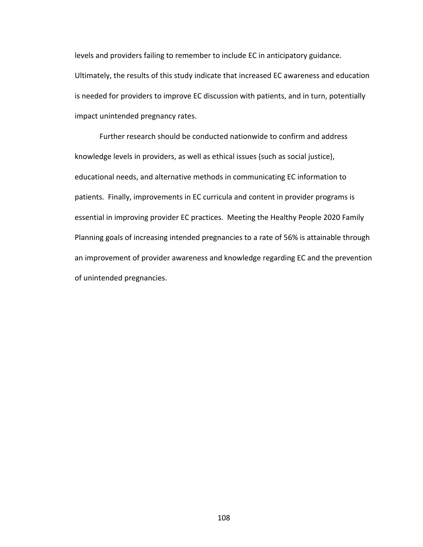levels and providers failing to remember to include EC in anticipatory guidance. Ultimately, the results of this study indicate that increased EC awareness and education is needed for providers to improve EC discussion with patients, and in turn, potentially impact unintended pregnancy rates.

Further research should be conducted nationwide to confirm and address knowledge levels in providers, as well as ethical issues (such as social justice), educational needs, and alternative methods in communicating EC information to patients. Finally, improvements in EC curricula and content in provider programs is essential in improving provider EC practices. Meeting the Healthy People 2020 Family Planning goals of increasing intended pregnancies to a rate of 56% is attainable through an improvement of provider awareness and knowledge regarding EC and the prevention of unintended pregnancies.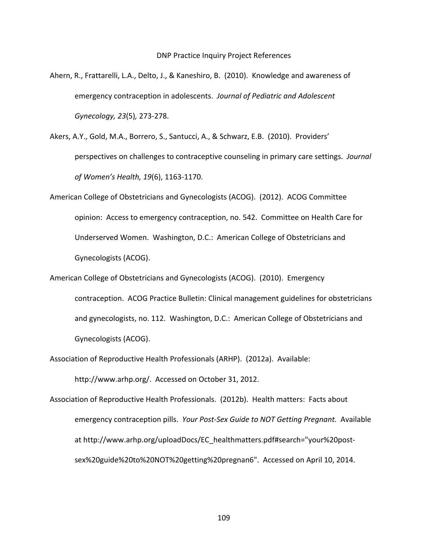- Ahern, R., Frattarelli, L.A., Delto, J., & Kaneshiro, B. (2010). Knowledge and awareness of emergency contraception in adolescents. Journal of Pediatric and Adolescent Gynecology, 23(5), 273-278.
- Akers, A.Y., Gold, M.A., Borrero, S., Santucci, A., & Schwarz, E.B. (2010). Providers' perspectives on challenges to contraceptive counseling in primary care settings. Journal of Women's Health, 19(6), 1163-1170.
- American College of Obstetricians and Gynecologists (ACOG). (2012). ACOG Committee opinion: Access to emergency contraception, no. 542. Committee on Health Care for Underserved Women. Washington, D.C.: American College of Obstetricians and Gynecologists (ACOG).
- American College of Obstetricians and Gynecologists (ACOG). (2010). Emergency contraception. ACOG Practice Bulletin: Clinical management guidelines for obstetricians and gynecologists, no. 112. Washington, D.C.: American College of Obstetricians and Gynecologists (ACOG).

Association of Reproductive Health Professionals (ARHP). (2012a). Available:

http://www.arhp.org/. Accessed on October 31, 2012.

Association of Reproductive Health Professionals. (2012b). Health matters: Facts about emergency contraception pills. Your Post-Sex Guide to NOT Getting Pregnant. Available at http://www.arhp.org/uploadDocs/EC healthmatters.pdf#search="your%20postsex%20guide%20to%20NOT%20getting%20pregnan6". Accessed on April 10, 2014.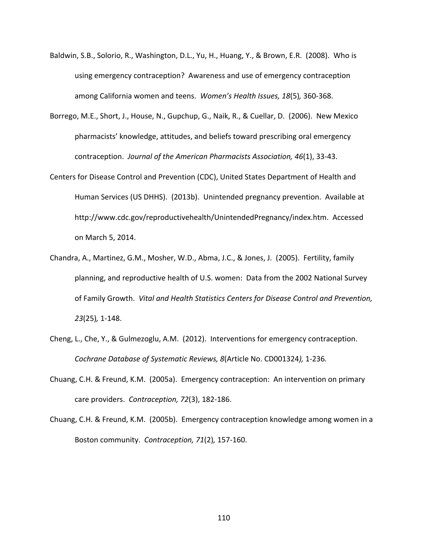- Baldwin, S.B., Solorio, R., Washington, D.L., Yu, H., Huang, Y., & Brown, E.R. (2008). Who is using emergency contraception? Awareness and use of emergency contraception among California women and teens. Women's Health Issues, 18(5), 360-368.
- Borrego, M.E., Short, J., House, N., Gupchup, G., Naik, R., & Cuellar, D. (2006). New Mexico pharmacists' knowledge, attitudes, and beliefs toward prescribing oral emergency contraception. Journal of the American Pharmacists Association, 46(1), 33-43.
- Centers for Disease Control and Prevention (CDC), United States Department of Health and Human Services (US DHHS). (2013b). Unintended pregnancy prevention. Available at http://www.cdc.gov/reproductivehealth/UnintendedPregnancy/index.htm. Accessed on March 5, 2014.
- Chandra, A., Martinez, G.M., Mosher, W.D., Abma, J.C., & Jones, J. (2005). Fertility, family planning, and reproductive health of U.S. women: Data from the 2002 National Survey of Family Growth. Vital and Health Statistics Centers for Disease Control and Prevention, 23(25), 1-148.
- Cheng, L., Che, Y., & Gulmezoglu, A.M. (2012). Interventions for emergency contraception. Cochrane Database of Systematic Reviews, 8(Article No. CD001324), 1-236.
- Chuang, C.H. & Freund, K.M. (2005a). Emergency contraception: An intervention on primary care providers. Contraception, 72(3), 182-186.
- Chuang, C.H. & Freund, K.M. (2005b). Emergency contraception knowledge among women in a Boston community. Contraception, 71(2), 157-160.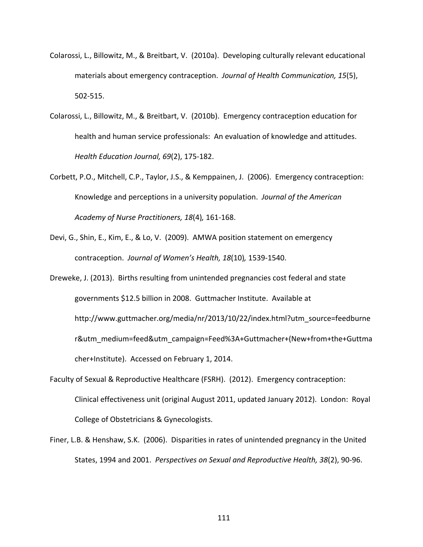- Colarossi, L., Billowitz, M., & Breitbart, V. (2010a). Developing culturally relevant educational materials about emergency contraception. Journal of Health Communication, 15(5),  $502 - 515.$
- Colarossi, L., Billowitz, M., & Breitbart, V. (2010b). Emergency contraception education for health and human service professionals: An evaluation of knowledge and attitudes. Health Education Journal, 69(2), 175-182.
- Corbett, P.O., Mitchell, C.P., Taylor, J.S., & Kemppainen, J. (2006). Emergency contraception: Knowledge and perceptions in a university population. Journal of the American Academy of Nurse Practitioners, 18(4), 161-168.
- Devi, G., Shin, E., Kim, E., & Lo, V. (2009). AMWA position statement on emergency contraception. Journal of Women's Health, 18(10), 1539-1540.
- Dreweke, J. (2013). Births resulting from unintended pregnancies cost federal and state governments \$12.5 billion in 2008. Guttmacher Institute. Available at http://www.guttmacher.org/media/nr/2013/10/22/index.html?utm source=feedburne r&utm\_medium=feed&utm\_campaign=Feed%3A+Guttmacher+(New+from+the+Guttma cher+Institute). Accessed on February 1, 2014.
- Faculty of Sexual & Reproductive Healthcare (FSRH). (2012). Emergency contraception: Clinical effectiveness unit (original August 2011, updated January 2012). London: Royal College of Obstetricians & Gynecologists.
- Finer, L.B. & Henshaw, S.K. (2006). Disparities in rates of unintended pregnancy in the United States, 1994 and 2001. Perspectives on Sexual and Reproductive Health, 38(2), 90-96.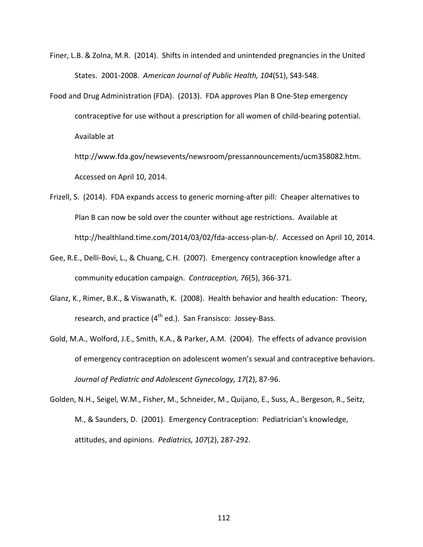- Finer, L.B. & Zolna, M.R. (2014). Shifts in intended and unintended pregnancies in the United States. 2001-2008. American Journal of Public Health, 104(S1), S43-S48.
- Food and Drug Administration (FDA). (2013). FDA approves Plan B One-Step emergency contraceptive for use without a prescription for all women of child-bearing potential. Available at

http://www.fda.gov/newsevents/newsroom/pressannouncements/ucm358082.htm. Accessed on April 10, 2014.

- Frizell, S. (2014). FDA expands access to generic morning-after pill: Cheaper alternatives to Plan B can now be sold over the counter without age restrictions. Available at http://healthland.time.com/2014/03/02/fda-access-plan-b/. Accessed on April 10, 2014.
- Gee, R.E., Delli-Bovi, L., & Chuang, C.H. (2007). Emergency contraception knowledge after a community education campaign. Contraception, 76(5), 366-371.
- Glanz, K., Rimer, B.K., & Viswanath, K. (2008). Health behavior and health education: Theory, research, and practice (4<sup>th</sup> ed.). San Fransisco: Jossey-Bass.
- Gold, M.A., Wolford, J.E., Smith, K.A., & Parker, A.M. (2004). The effects of advance provision of emergency contraception on adolescent women's sexual and contraceptive behaviors. Journal of Pediatric and Adolescent Gynecology, 17(2), 87-96.
- Golden, N.H., Seigel, W.M., Fisher, M., Schneider, M., Quijano, E., Suss, A., Bergeson, R., Seitz, M., & Saunders, D. (2001). Emergency Contraception: Pediatrician's knowledge, attitudes, and opinions. Pediatrics, 107(2), 287-292.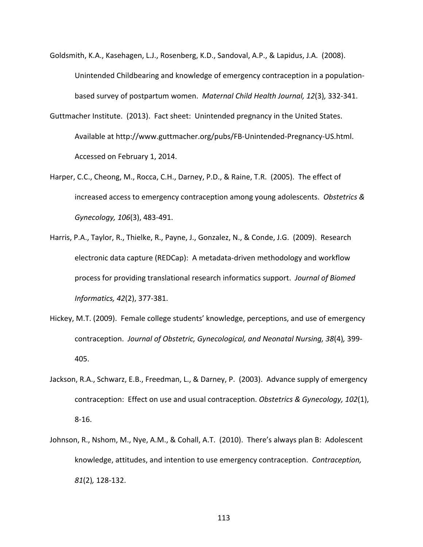- Goldsmith, K.A., Kasehagen, L.J., Rosenberg, K.D., Sandoval, A.P., & Lapidus, J.A. (2008). Unintended Childbearing and knowledge of emergency contraception in a populationbased survey of postpartum women. Maternal Child Health Journal, 12(3), 332-341.
- Guttmacher Institute. (2013). Fact sheet: Unintended pregnancy in the United States. Available at http://www.guttmacher.org/pubs/FB-Unintended-Pregnancy-US.html. Accessed on February 1, 2014.
- Harper, C.C., Cheong, M., Rocca, C.H., Darney, P.D., & Raine, T.R. (2005). The effect of increased access to emergency contraception among young adolescents. Obstetrics & Gynecology, 106(3), 483-491.
- Harris, P.A., Taylor, R., Thielke, R., Payne, J., Gonzalez, N., & Conde, J.G. (2009). Research electronic data capture (REDCap): A metadata-driven methodology and workflow process for providing translational research informatics support. Journal of Biomed Informatics, 42(2), 377-381.
- Hickey, M.T. (2009). Female college students' knowledge, perceptions, and use of emergency contraception. Journal of Obstetric, Gynecological, and Neonatal Nursing, 38(4), 399-405.
- Jackson, R.A., Schwarz, E.B., Freedman, L., & Darney, P. (2003). Advance supply of emergency contraception: Effect on use and usual contraception. Obstetrics & Gynecology, 102(1),  $8 - 16.$
- Johnson, R., Nshom, M., Nye, A.M., & Cohall, A.T. (2010). There's always plan B: Adolescent knowledge, attitudes, and intention to use emergency contraception. Contraception, 81(2), 128-132.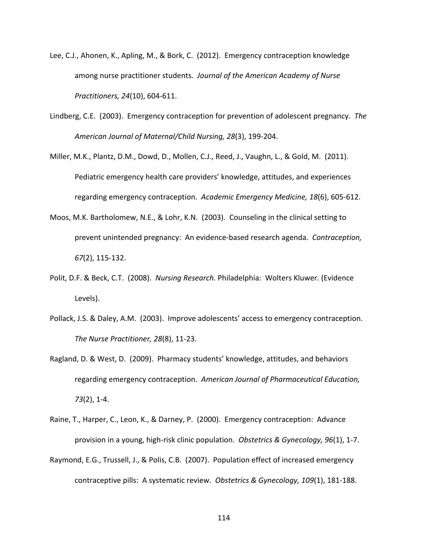- Lee, C.J., Ahonen, K., Apling, M., & Bork, C. (2012). Emergency contraception knowledge among nurse practitioner students. Journal of the American Academy of Nurse Practitioners, 24(10), 604-611.
- Lindberg, C.E. (2003). Emergency contraception for prevention of adolescent pregnancy. The American Journal of Maternal/Child Nursing, 28(3), 199-204.
- Miller, M.K., Plantz, D.M., Dowd, D., Mollen, C.J., Reed, J., Vaughn, L., & Gold, M. (2011). Pediatric emergency health care providers' knowledge, attitudes, and experiences regarding emergency contraception. Academic Emergency Medicine, 18(6), 605-612.
- Moos, M.K. Bartholomew, N.E., & Lohr, K.N. (2003). Counseling in the clinical setting to prevent unintended pregnancy: An evidence-based research agenda. Contraception, 67(2), 115-132.
- Polit, D.F. & Beck, C.T. (2008). Nursing Research. Philadelphia: Wolters Kluwer. (Evidence Levels).
- Pollack, J.S. & Daley, A.M. (2003). Improve adolescents' access to emergency contraception. The Nurse Practitioner, 28(8), 11-23.
- Ragland, D. & West, D. (2009). Pharmacy students' knowledge, attitudes, and behaviors regarding emergency contraception. American Journal of Pharmaceutical Education,  $73(2)$ , 1-4.
- Raine, T., Harper, C., Leon, K., & Darney, P. (2000). Emergency contraception: Advance provision in a young, high-risk clinic population. Obstetrics & Gynecology, 96(1), 1-7.
- Raymond, E.G., Trussell, J., & Polis, C.B. (2007). Population effect of increased emergency contraceptive pills: A systematic review. Obstetrics & Gynecology, 109(1), 181-188.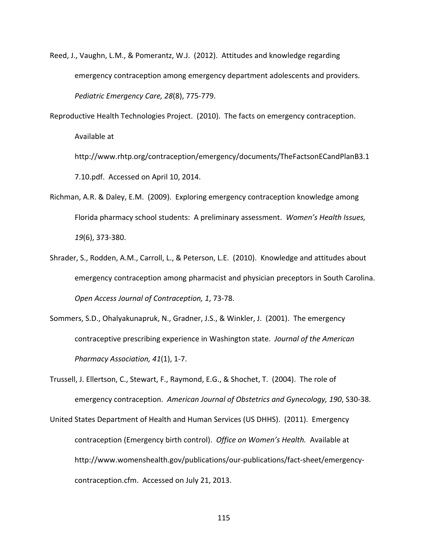Reed, J., Vaughn, L.M., & Pomerantz, W.J. (2012). Attitudes and knowledge regarding emergency contraception among emergency department adolescents and providers. Pediatric Emergency Care, 28(8), 775-779.

Reproductive Health Technologies Project. (2010). The facts on emergency contraception.

Available at

http://www.rhtp.org/contraception/emergency/documents/TheFactsonECandPlanB3.1 7.10.pdf. Accessed on April 10, 2014.

- Richman, A.R. & Daley, E.M. (2009). Exploring emergency contraception knowledge among Florida pharmacy school students: A preliminary assessment. Women's Health Issues, 19(6), 373-380.
- Shrader, S., Rodden, A.M., Carroll, L., & Peterson, L.E. (2010). Knowledge and attitudes about emergency contraception among pharmacist and physician preceptors in South Carolina. Open Access Journal of Contraception, 1, 73-78.
- Sommers, S.D., Ohalyakunapruk, N., Gradner, J.S., & Winkler, J. (2001). The emergency contraceptive prescribing experience in Washington state. Journal of the American Pharmacy Association, 41(1), 1-7.

Trussell, J. Ellertson, C., Stewart, F., Raymond, E.G., & Shochet, T. (2004). The role of emergency contraception. American Journal of Obstetrics and Gynecology, 190, S30-38.

United States Department of Health and Human Services (US DHHS). (2011). Emergency contraception (Emergency birth control). Office on Women's Health. Available at http://www.womenshealth.gov/publications/our-publications/fact-sheet/emergencycontraception.cfm. Accessed on July 21, 2013.